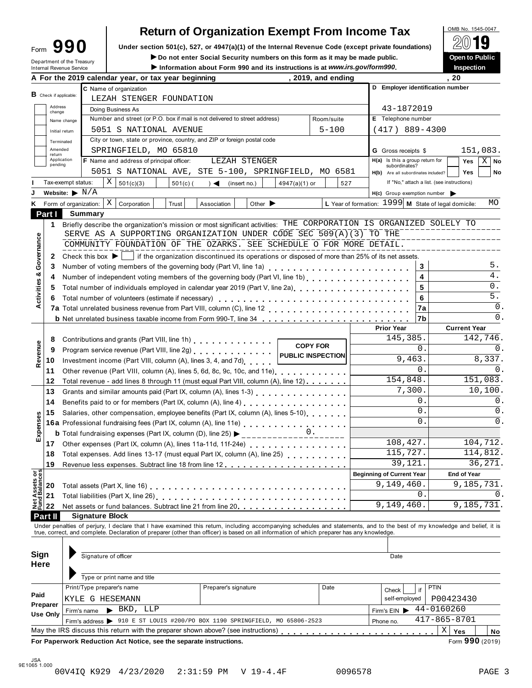| Form                     |  | 90                         |
|--------------------------|--|----------------------------|
| Internal Revenue Service |  | Department of the Treasury |

# OMB No. 1545-0047 **Return of Organization Exempt From Income Tax**

**Example 1990** Under section 501(c), 527, or 4947(a)(1) of the Internal Revenue Code (except private foundations) <u>A</u>∪ ■ <br>Do not enter Social Security numbers on this form as it may be made public. Open to Public

 $\blacktriangleright$  Do not enter Social Security numbers on this form as it may be made public.

Information about Form 990 and its instructions is at www.irs.gov/form990.

| Inspection |
|------------|
|            |

|                                | A For the 2019 calendar year, or tax year beginning                                                                                                                                                                                                                                                                      | , 2019, and ending                                                                |                                                      | , 20                                                       |  |  |  |
|--------------------------------|--------------------------------------------------------------------------------------------------------------------------------------------------------------------------------------------------------------------------------------------------------------------------------------------------------------------------|-----------------------------------------------------------------------------------|------------------------------------------------------|------------------------------------------------------------|--|--|--|
|                                | C Name of organization                                                                                                                                                                                                                                                                                                   |                                                                                   |                                                      | D Employer identification number                           |  |  |  |
| <b>B</b> Check if applicable:  | LEZAH STENGER FOUNDATION                                                                                                                                                                                                                                                                                                 |                                                                                   |                                                      |                                                            |  |  |  |
| Address<br>change              | Doing Business As                                                                                                                                                                                                                                                                                                        |                                                                                   | 43-1872019                                           |                                                            |  |  |  |
|                                | Number and street (or P.O. box if mail is not delivered to street address)<br>Name change                                                                                                                                                                                                                                | Room/suite                                                                        |                                                      |                                                            |  |  |  |
| Initial return                 | 5051 S NATIONAL AVENUE                                                                                                                                                                                                                                                                                                   | $5 - 100$                                                                         | $(417)$ 889-4300                                     |                                                            |  |  |  |
| Terminated                     | City or town, state or province, country, and ZIP or foreign postal code                                                                                                                                                                                                                                                 |                                                                                   |                                                      |                                                            |  |  |  |
| Amended                        | SPRINGFIELD, MO 65810                                                                                                                                                                                                                                                                                                    |                                                                                   | <b>G</b> Gross receipts \$                           | 151,083.                                                   |  |  |  |
| return<br>Application          | F Name and address of principal officer:<br>LEZAH STENGER                                                                                                                                                                                                                                                                |                                                                                   | H(a) Is this a group return for                      | $X \mid$ No<br>Yes                                         |  |  |  |
| pending                        | 5051 S NATIONAL AVE, STE 5-100, SPRINGFIELD, MO 6581                                                                                                                                                                                                                                                                     |                                                                                   | subordinates?<br>H(b) Are all subordinates included? | <b>Yes</b><br>No                                           |  |  |  |
|                                | Χ<br>Tax-exempt status:<br>501(c)(3)<br>$501(c)$ (<br>4947(a)(1) or<br>$) \triangleleft$ (insert no.)                                                                                                                                                                                                                    | 527                                                                               |                                                      | If "No," attach a list. (see instructions)                 |  |  |  |
|                                | Website: $\blacktriangleright$ N/A                                                                                                                                                                                                                                                                                       |                                                                                   | $H(c)$ Group exemption number $\blacktriangleright$  |                                                            |  |  |  |
| Κ                              | $\mid X \mid$<br>Form of organization:<br>Corporation<br>Other $\blacktriangleright$<br>Trust<br>Association                                                                                                                                                                                                             |                                                                                   |                                                      | L Year of formation: 1999 M State of legal domicile:<br>MO |  |  |  |
| Part I                         | Summary                                                                                                                                                                                                                                                                                                                  |                                                                                   |                                                      |                                                            |  |  |  |
| 1.                             | Briefly describe the organization's mission or most significant activities: THE CORPORATION IS ORGANIZED SOLELY TO                                                                                                                                                                                                       |                                                                                   |                                                      |                                                            |  |  |  |
|                                | SERVE AS A SUPPORTING ORGANIZATION UNDER CODE SEC 509(A)(3) TO THE                                                                                                                                                                                                                                                       |                                                                                   |                                                      |                                                            |  |  |  |
|                                | COMMUNITY FOUNDATION OF THE OZARKS. SEE SCHEDULE O FOR MORE DETAIL.                                                                                                                                                                                                                                                      |                                                                                   |                                                      |                                                            |  |  |  |
| 2                              | Check this box ▶   if the organization discontinued its operations or disposed of more than 25% of its net assets.                                                                                                                                                                                                       |                                                                                   |                                                      |                                                            |  |  |  |
| Activities & Governance<br>3   | Number of voting members of the governing body (Part VI, line 1a)<br>                                                                                                                                                                                                                                                    |                                                                                   |                                                      | 5.<br>3                                                    |  |  |  |
| 4                              | Number of independent voting members of the governing body (Part VI, line 1b) [1] [1] [1] $\ldots$ [1] [1] $\ldots$ [1] $\ldots$ [1] $\ldots$ [1] $\ldots$ [1] $\ldots$ [1] $\ldots$ [1] $\ldots$ [1] $\ldots$ [1] $\ldots$ [1] $\ldots$ [1] $\ldots$ [1] $\ldots$ [1                                                    |                                                                                   |                                                      | $\overline{4}$ .<br>4                                      |  |  |  |
| 5                              | Total number of individuals employed in calendar year 2019 (Part V, line 2a)<br>The 2a)                                                                                                                                                                                                                                  |                                                                                   |                                                      | 0.<br>5                                                    |  |  |  |
|                                |                                                                                                                                                                                                                                                                                                                          |                                                                                   |                                                      | $5.$<br>6                                                  |  |  |  |
| 6                              | Total number of volunteers (estimate if necessary)                                                                                                                                                                                                                                                                       |                                                                                   |                                                      | $\overline{0}$ .                                           |  |  |  |
|                                |                                                                                                                                                                                                                                                                                                                          |                                                                                   |                                                      | 7a<br>0.<br>7b                                             |  |  |  |
|                                | <b>b</b> Net unrelated business taxable income from Form 990-T, line 34                                                                                                                                                                                                                                                  |                                                                                   | <b>Prior Year</b>                                    | <b>Current Year</b>                                        |  |  |  |
|                                |                                                                                                                                                                                                                                                                                                                          |                                                                                   | 145,385.                                             | 142,746.                                                   |  |  |  |
| 8                              | Contributions and grants (Part VIII, line 1h)<br><b>COPY FOR</b>                                                                                                                                                                                                                                                         |                                                                                   |                                                      | $\mathsf{O}$ .<br>$0$ .                                    |  |  |  |
| Revenue<br>9                   | Program service revenue (Part VIII, line 2g)<br>PUBLIC INSPECTION                                                                                                                                                                                                                                                        |                                                                                   | 9,463.                                               | 8,337.                                                     |  |  |  |
| 10                             | Investment income (Part VIII, column (A), lines 3, 4, and 7d)                                                                                                                                                                                                                                                            |                                                                                   |                                                      | $\Omega$ .<br>0.                                           |  |  |  |
| 11                             | Other revenue (Part VIII, column (A), lines 5, 6d, 8c, 9c, 10c, and 11e)                                                                                                                                                                                                                                                 |                                                                                   | 154,848.                                             | 151,083.                                                   |  |  |  |
| 12                             | Total revenue - add lines 8 through 11 (must equal Part VIII, column (A), line 12)                                                                                                                                                                                                                                       |                                                                                   | 7,300.                                               | 10,100.                                                    |  |  |  |
| 13                             |                                                                                                                                                                                                                                                                                                                          |                                                                                   |                                                      | $\mathbf{0}$ .<br>0.                                       |  |  |  |
| 14                             |                                                                                                                                                                                                                                                                                                                          |                                                                                   | $\mathbf{0}$ .<br>0.                                 |                                                            |  |  |  |
| 15                             |                                                                                                                                                                                                                                                                                                                          | Salaries, other compensation, employee benefits (Part IX, column (A), lines 5-10) |                                                      |                                                            |  |  |  |
| Expenses                       | 16a Professional fundraising fees (Part IX, column (A), line 11e)<br>16a Professional fundraising fees (Part IX, column (A), line 11e)                                                                                                                                                                                   |                                                                                   | $\mathbf 0$ .<br>0.                                  |                                                            |  |  |  |
|                                | <b>b</b> Total fundraising expenses (Part IX, column (D), line 25) $\blacktriangleright$<br>. _ _ _ _ _ _ _ _ _ _ _ <del>U .</del> _ _ _ _ _ _                                                                                                                                                                           |                                                                                   |                                                      |                                                            |  |  |  |
| 17                             |                                                                                                                                                                                                                                                                                                                          |                                                                                   | 108,427.                                             | 104,712.                                                   |  |  |  |
| 18                             | Total expenses. Add lines 13-17 (must equal Part IX, column (A), line 25)                                                                                                                                                                                                                                                |                                                                                   | 115,727.                                             | 114,812.                                                   |  |  |  |
| 19                             |                                                                                                                                                                                                                                                                                                                          |                                                                                   | 39,121.                                              | 36, 271.                                                   |  |  |  |
| Net Assets or<br>Fund Balances |                                                                                                                                                                                                                                                                                                                          |                                                                                   | <b>Beginning of Current Year</b>                     | <b>End of Year</b>                                         |  |  |  |
| 20                             |                                                                                                                                                                                                                                                                                                                          |                                                                                   | 9,149,460.                                           | 9,185,731.                                                 |  |  |  |
| 21                             | Total liabilities (Part X, line 26)                                                                                                                                                                                                                                                                                      |                                                                                   |                                                      | 0<br>0.                                                    |  |  |  |
| 22                             | Net assets or fund balances. Subtract line 21 from line 20.                                                                                                                                                                                                                                                              |                                                                                   | 9,149,460.                                           | 9,185,731.                                                 |  |  |  |
| <b>Part II</b>                 | <b>Signature Block</b>                                                                                                                                                                                                                                                                                                   |                                                                                   |                                                      |                                                            |  |  |  |
|                                | Under penalties of perjury, I declare that I have examined this return, including accompanying schedules and statements, and to the best of my knowledge and belief, it is<br>true, correct, and complete. Declaration of preparer (other than officer) is based on all information of which preparer has any knowledge. |                                                                                   |                                                      |                                                            |  |  |  |
|                                |                                                                                                                                                                                                                                                                                                                          |                                                                                   |                                                      |                                                            |  |  |  |
| Sign                           | Signature of officer                                                                                                                                                                                                                                                                                                     |                                                                                   |                                                      |                                                            |  |  |  |
| <b>Here</b>                    |                                                                                                                                                                                                                                                                                                                          |                                                                                   | Date                                                 |                                                            |  |  |  |
|                                |                                                                                                                                                                                                                                                                                                                          |                                                                                   |                                                      |                                                            |  |  |  |
|                                | Type or print name and title                                                                                                                                                                                                                                                                                             |                                                                                   |                                                      |                                                            |  |  |  |
| Paid                           | Print/Type preparer's name<br>Preparer's signature                                                                                                                                                                                                                                                                       | Date                                                                              | Check                                                | PTIN<br>if                                                 |  |  |  |
| Preparer                       | KYLE G HESEMANN                                                                                                                                                                                                                                                                                                          |                                                                                   | self-employed                                        | P00423430                                                  |  |  |  |
| Use Only                       | $\blacktriangleright$ BKD, LLP<br>Firm's name                                                                                                                                                                                                                                                                            |                                                                                   | Firm's $EIN$                                         | 44-0160260                                                 |  |  |  |
|                                | Firm's address > 910 E ST LOUIS #200/PO BOX 1190 SPRINGFIELD, MO 65806-2523                                                                                                                                                                                                                                              |                                                                                   | Phone no.                                            | $417 - 865 - 8701$                                         |  |  |  |
|                                | May the IRS discuss this return with the preparer shown above? (see instructions)                                                                                                                                                                                                                                        |                                                                                   |                                                      | Χ<br>Yes<br>No                                             |  |  |  |
|                                | For Paperwork Reduction Act Notice, see the separate instructions.                                                                                                                                                                                                                                                       |                                                                                   |                                                      | Form 990 (2019)                                            |  |  |  |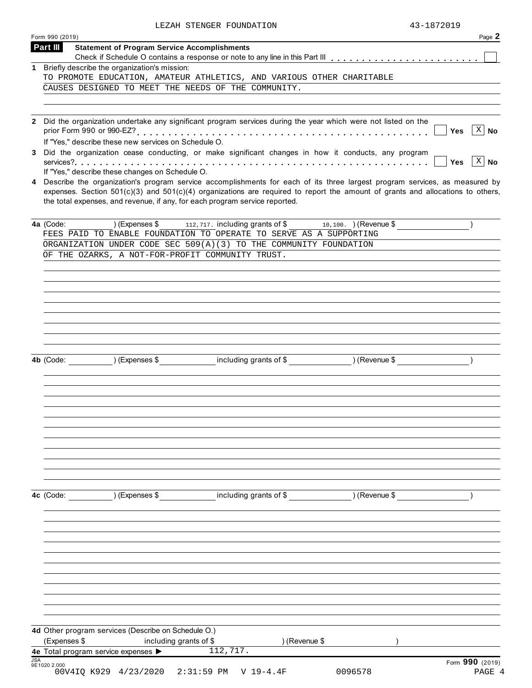| LEZAH STENGER FOUNDATION | 43-1872019 |
|--------------------------|------------|
|                          |            |

|     | Form 990 (2019)                                                                                                                                                                                                                                                                                                                                   | Page 2                 |
|-----|---------------------------------------------------------------------------------------------------------------------------------------------------------------------------------------------------------------------------------------------------------------------------------------------------------------------------------------------------|------------------------|
|     | Part III<br><b>Statement of Program Service Accomplishments</b>                                                                                                                                                                                                                                                                                   |                        |
|     |                                                                                                                                                                                                                                                                                                                                                   |                        |
| 1   | Briefly describe the organization's mission:<br>TO PROMOTE EDUCATION, AMATEUR ATHLETICS, AND VARIOUS OTHER CHARITABLE                                                                                                                                                                                                                             |                        |
|     | CAUSES DESIGNED TO MEET THE NEEDS OF THE COMMUNITY.                                                                                                                                                                                                                                                                                               |                        |
|     |                                                                                                                                                                                                                                                                                                                                                   |                        |
|     |                                                                                                                                                                                                                                                                                                                                                   |                        |
|     | 2 Did the organization undertake any significant program services during the year which were not listed on the                                                                                                                                                                                                                                    | $X \mid No$<br>Yes     |
|     | If "Yes," describe these new services on Schedule O.<br>3 Did the organization cease conducting, or make significant changes in how it conducts, any program                                                                                                                                                                                      |                        |
|     | If "Yes," describe these changes on Schedule O.                                                                                                                                                                                                                                                                                                   | $ X $ No<br><b>Yes</b> |
|     | 4 Describe the organization's program service accomplishments for each of its three largest program services, as measured by<br>expenses. Section $501(c)(3)$ and $501(c)(4)$ organizations are required to report the amount of grants and allocations to others,<br>the total expenses, and revenue, if any, for each program service reported. |                        |
|     | $(Express $ 112, 717.$ including grants of \$<br>4a (Code:<br>$\frac{10,100.}{}$ (Revenue \$                                                                                                                                                                                                                                                      |                        |
|     | FEES PAID TO ENABLE FOUNDATION TO OPERATE TO SERVE AS A SUPPORTING                                                                                                                                                                                                                                                                                |                        |
|     | ORGANIZATION UNDER CODE SEC 509(A)(3) TO THE COMMUNITY FOUNDATION<br>OF THE OZARKS, A NOT-FOR-PROFIT COMMUNITY TRUST.                                                                                                                                                                                                                             |                        |
|     |                                                                                                                                                                                                                                                                                                                                                   |                        |
|     |                                                                                                                                                                                                                                                                                                                                                   |                        |
|     |                                                                                                                                                                                                                                                                                                                                                   |                        |
|     |                                                                                                                                                                                                                                                                                                                                                   |                        |
|     |                                                                                                                                                                                                                                                                                                                                                   |                        |
|     |                                                                                                                                                                                                                                                                                                                                                   |                        |
|     |                                                                                                                                                                                                                                                                                                                                                   |                        |
|     |                                                                                                                                                                                                                                                                                                                                                   |                        |
|     | 4b (Code: ) (Expenses \$ including grants of \$ ) (Revenue \$                                                                                                                                                                                                                                                                                     |                        |
|     |                                                                                                                                                                                                                                                                                                                                                   |                        |
|     |                                                                                                                                                                                                                                                                                                                                                   |                        |
|     |                                                                                                                                                                                                                                                                                                                                                   |                        |
|     |                                                                                                                                                                                                                                                                                                                                                   |                        |
|     |                                                                                                                                                                                                                                                                                                                                                   |                        |
|     |                                                                                                                                                                                                                                                                                                                                                   |                        |
|     |                                                                                                                                                                                                                                                                                                                                                   |                        |
|     |                                                                                                                                                                                                                                                                                                                                                   |                        |
|     |                                                                                                                                                                                                                                                                                                                                                   |                        |
|     |                                                                                                                                                                                                                                                                                                                                                   |                        |
|     |                                                                                                                                                                                                                                                                                                                                                   |                        |
|     | 4c (Code: ) (Expenses \$ including grants of \$ ) (Revenue \$                                                                                                                                                                                                                                                                                     |                        |
|     |                                                                                                                                                                                                                                                                                                                                                   |                        |
|     |                                                                                                                                                                                                                                                                                                                                                   |                        |
|     |                                                                                                                                                                                                                                                                                                                                                   |                        |
|     |                                                                                                                                                                                                                                                                                                                                                   |                        |
|     |                                                                                                                                                                                                                                                                                                                                                   |                        |
|     |                                                                                                                                                                                                                                                                                                                                                   |                        |
|     |                                                                                                                                                                                                                                                                                                                                                   |                        |
|     |                                                                                                                                                                                                                                                                                                                                                   |                        |
|     |                                                                                                                                                                                                                                                                                                                                                   |                        |
|     |                                                                                                                                                                                                                                                                                                                                                   |                        |
|     |                                                                                                                                                                                                                                                                                                                                                   |                        |
|     | 4d Other program services (Describe on Schedule O.)                                                                                                                                                                                                                                                                                               |                        |
|     | (Expenses \$<br>including grants of \$<br>) (Revenue \$                                                                                                                                                                                                                                                                                           |                        |
|     | 112, 717.<br>4e Total program service expenses >                                                                                                                                                                                                                                                                                                  |                        |
| JSA | 9E1020 2.000                                                                                                                                                                                                                                                                                                                                      | Form 990 (2019)        |
|     | 00V4IQ K929 4/23/2020<br>2:31:59 PM V 19-4.4F<br>0096578                                                                                                                                                                                                                                                                                          | PAGE 4                 |
|     |                                                                                                                                                                                                                                                                                                                                                   |                        |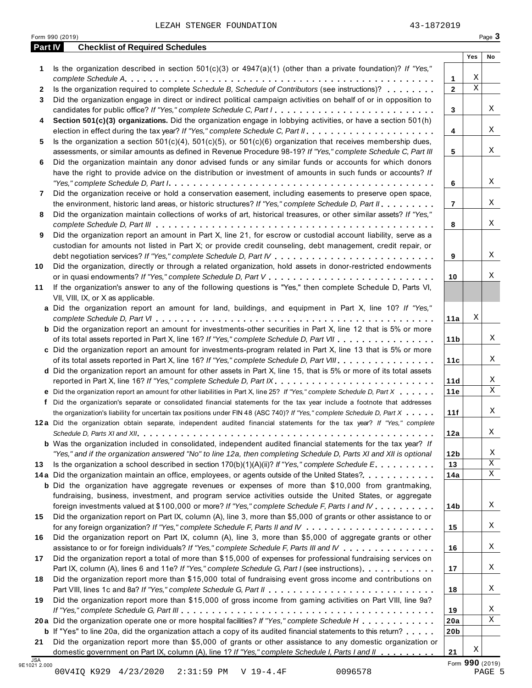|         | Form 990 (2019)                                                                                                                                                                                                    |                 |             | Page 3 |
|---------|--------------------------------------------------------------------------------------------------------------------------------------------------------------------------------------------------------------------|-----------------|-------------|--------|
| Part IV | <b>Checklist of Required Schedules</b>                                                                                                                                                                             |                 |             |        |
|         |                                                                                                                                                                                                                    |                 | Yes         | No     |
| 1       | Is the organization described in section $501(c)(3)$ or $4947(a)(1)$ (other than a private foundation)? If "Yes,"                                                                                                  |                 |             |        |
|         |                                                                                                                                                                                                                    | $\mathbf 1$     | Χ           |        |
| 2       | Is the organization required to complete Schedule B, Schedule of Contributors (see instructions)?                                                                                                                  | $\overline{2}$  | $\mathbf X$ |        |
| 3       | Did the organization engage in direct or indirect political campaign activities on behalf of or in opposition to                                                                                                   |                 |             |        |
|         |                                                                                                                                                                                                                    | $\mathbf{3}$    |             | Χ      |
| 4       | Section 501(c)(3) organizations. Did the organization engage in lobbying activities, or have a section 501(h)                                                                                                      |                 |             | X      |
|         |                                                                                                                                                                                                                    | $\overline{4}$  |             |        |
| 5       | Is the organization a section $501(c)(4)$ , $501(c)(5)$ , or $501(c)(6)$ organization that receives membership dues,                                                                                               |                 |             | Χ      |
|         | assessments, or similar amounts as defined in Revenue Procedure 98-19? If "Yes," complete Schedule C, Part III                                                                                                     | 5               |             |        |
| 6       | Did the organization maintain any donor advised funds or any similar funds or accounts for which donors                                                                                                            |                 |             |        |
|         | have the right to provide advice on the distribution or investment of amounts in such funds or accounts? If                                                                                                        |                 |             | Χ      |
|         |                                                                                                                                                                                                                    | 6               |             |        |
| 7       | Did the organization receive or hold a conservation easement, including easements to preserve open space,<br>the environment, historic land areas, or historic structures? If "Yes," complete Schedule D, Part II. | $\overline{7}$  |             | Χ      |
|         | Did the organization maintain collections of works of art, historical treasures, or other similar assets? If "Yes,"                                                                                                |                 |             |        |
| 8       |                                                                                                                                                                                                                    | 8               |             | Χ      |
| 9       | Did the organization report an amount in Part X, line 21, for escrow or custodial account liability, serve as a                                                                                                    |                 |             |        |
|         | custodian for amounts not listed in Part X; or provide credit counseling, debt management, credit repair, or                                                                                                       |                 |             |        |
|         |                                                                                                                                                                                                                    | 9               |             | Χ      |
| 10      | Did the organization, directly or through a related organization, hold assets in donor-restricted endowments                                                                                                       |                 |             |        |
|         |                                                                                                                                                                                                                    | 10              |             | X      |
| 11      | If the organization's answer to any of the following questions is "Yes," then complete Schedule D, Parts VI,                                                                                                       |                 |             |        |
|         | VII, VIII, IX, or X as applicable.                                                                                                                                                                                 |                 |             |        |
|         | a Did the organization report an amount for land, buildings, and equipment in Part X, line 10? If "Yes,"                                                                                                           |                 |             |        |
|         |                                                                                                                                                                                                                    | 11a             | Χ           |        |
|         | <b>b</b> Did the organization report an amount for investments-other securities in Part X, line 12 that is 5% or more                                                                                              |                 |             |        |
|         | of its total assets reported in Part X, line 16? If "Yes," complete Schedule D, Part VII                                                                                                                           | 11 <sub>b</sub> |             | Χ      |
|         | c Did the organization report an amount for investments-program related in Part X, line 13 that is 5% or more                                                                                                      |                 |             |        |
|         | of its total assets reported in Part X, line 16? If "Yes," complete Schedule D, Part VIII.                                                                                                                         | 11c             |             | Χ      |
|         | d Did the organization report an amount for other assets in Part X, line 15, that is 5% or more of its total assets                                                                                                |                 |             |        |
|         | reported in Part X, line 16? If "Yes," complete Schedule D, Part IX.                                                                                                                                               | 11d             |             | Χ      |
|         | e Did the organization report an amount for other liabilities in Part X, line 25? If "Yes," complete Schedule D, Part X                                                                                            | 11e             |             | X      |
|         | f Did the organization's separate or consolidated financial statements for the tax year include a footnote that addresses                                                                                          |                 |             |        |
|         | the organization's liability for uncertain tax positions under FIN 48 (ASC 740)? If "Yes," complete Schedule D, Part X                                                                                             | 11f             |             | Χ      |
|         | 12a Did the organization obtain separate, independent audited financial statements for the tax year? If "Yes," complete                                                                                            |                 |             |        |
|         |                                                                                                                                                                                                                    | 12a             |             | Χ      |
|         | <b>b</b> Was the organization included in consolidated, independent audited financial statements for the tax year? If                                                                                              |                 |             |        |
|         | "Yes," and if the organization answered "No" to line 12a, then completing Schedule D, Parts XI and XII is optional                                                                                                 | 12 <sub>b</sub> |             | Χ      |
| 13      | Is the organization a school described in section $170(b)(1)(A)(ii)$ ? If "Yes," complete Schedule E                                                                                                               | 13              |             | Χ      |
|         | 14a Did the organization maintain an office, employees, or agents outside of the United States?.                                                                                                                   | 14a             |             | Χ      |
|         | <b>b</b> Did the organization have aggregate revenues or expenses of more than \$10,000 from grantmaking,                                                                                                          |                 |             |        |
|         | fundraising, business, investment, and program service activities outside the United States, or aggregate                                                                                                          |                 |             |        |
|         | foreign investments valued at \$100,000 or more? If "Yes," complete Schedule F, Parts I and IV                                                                                                                     | 14b             |             | Χ      |
| 15      | Did the organization report on Part IX, column (A), line 3, more than \$5,000 of grants or other assistance to or                                                                                                  |                 |             |        |
|         |                                                                                                                                                                                                                    | 15              |             | Χ      |
| 16      | Did the organization report on Part IX, column (A), line 3, more than \$5,000 of aggregate grants or other                                                                                                         |                 |             |        |
|         | assistance to or for foreign individuals? If "Yes," complete Schedule F, Parts III and IV                                                                                                                          | 16              |             | Χ      |
| 17      | Did the organization report a total of more than \$15,000 of expenses for professional fundraising services on                                                                                                     |                 |             |        |
|         | Part IX, column (A), lines 6 and 11e? If "Yes," complete Schedule G, Part I (see instructions)                                                                                                                     | 17              |             | Χ      |
| 18      | Did the organization report more than \$15,000 total of fundraising event gross income and contributions on                                                                                                        |                 |             |        |
|         |                                                                                                                                                                                                                    | 18              |             | Χ      |
| 19      | Did the organization report more than \$15,000 of gross income from gaming activities on Part VIII, line 9a?                                                                                                       |                 |             |        |

**20 a** Did the organization operate one or more hospital facilities? *If "Yes," complete Schedule H* m m m m m m m m m m m m **21** *If "Yes," complete Schedule G, Part III* m m m m m m m m m m m m m m m m m m m m m m m m m m m m m m m m m m m m m m m m m **a** Did the organization operate one or more hospital facilities? If "Yes," complete Schedule H<br>**b** If "Yes" to line 20a, did the organization attach a copy of its audited financial statements to this return?<br>————————————— Did the organization report more than \$5,000 of grants or other assistance to any domestic organization or

domestic government on Part IX, column (A), line 1? *If "Yes," complete Schedule I, Parts I and II*<br>9E1021 2.000

X

**19 20a 20b**

**21**

| ۰.<br>× |
|---------|

 X  $\overline{\mathbf{x}}$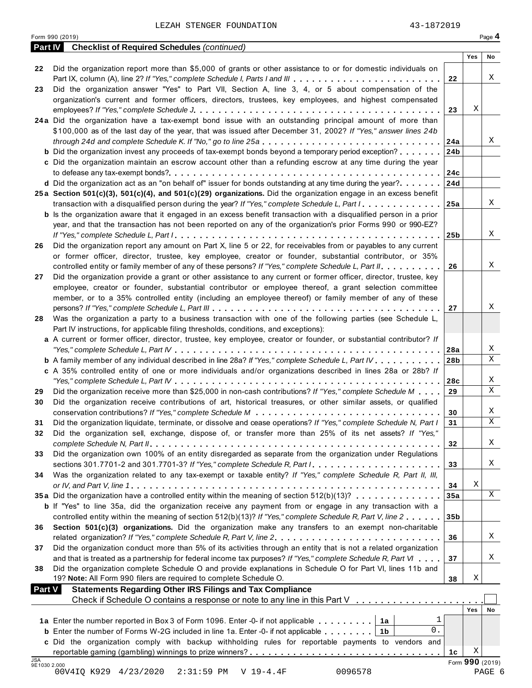Form <sup>990</sup> (2019) Page **4**

|                            | <b>Part IV</b> Checklist of Required Schedules (continued)                                                                                                                         |                 |                 |             |
|----------------------------|------------------------------------------------------------------------------------------------------------------------------------------------------------------------------------|-----------------|-----------------|-------------|
|                            |                                                                                                                                                                                    |                 | Yes             | No          |
| 22                         | Did the organization report more than \$5,000 of grants or other assistance to or for domestic individuals on                                                                      | 22              |                 | Χ           |
| 23                         | Part IX, column (A), line 2? If "Yes," complete Schedule I, Parts I and III<br>Did the organization answer "Yes" to Part VII, Section A, line 3, 4, or 5 about compensation of the |                 |                 |             |
|                            | organization's current and former officers, directors, trustees, key employees, and highest compensated                                                                            |                 |                 |             |
|                            |                                                                                                                                                                                    | 23              | Χ               |             |
|                            | 24a Did the organization have a tax-exempt bond issue with an outstanding principal amount of more than                                                                            |                 |                 |             |
|                            | \$100,000 as of the last day of the year, that was issued after December 31, 2002? If "Yes," answer lines 24b                                                                      |                 |                 |             |
|                            |                                                                                                                                                                                    | 24a             |                 | Χ           |
|                            | <b>b</b> Did the organization invest any proceeds of tax-exempt bonds beyond a temporary period exception?                                                                         | 24b             |                 |             |
|                            | c Did the organization maintain an escrow account other than a refunding escrow at any time during the year                                                                        |                 |                 |             |
|                            |                                                                                                                                                                                    | 24c             |                 |             |
|                            | <b>d</b> Did the organization act as an "on behalf of" issuer for bonds outstanding at any time during the year?                                                                   | 24d             |                 |             |
|                            | 25a Section 501(c)(3), 501(c)(4), and 501(c)(29) organizations. Did the organization engage in an excess benefit                                                                   |                 |                 |             |
|                            | transaction with a disqualified person during the year? If "Yes," complete Schedule L, Part I.                                                                                     | 25a             |                 | X           |
|                            | <b>b</b> Is the organization aware that it engaged in an excess benefit transaction with a disqualified person in a prior                                                          |                 |                 |             |
|                            | year, and that the transaction has not been reported on any of the organization's prior Forms 990 or 990-EZ?                                                                       |                 |                 |             |
|                            |                                                                                                                                                                                    | 25 <sub>b</sub> |                 | Χ           |
| 26                         | Did the organization report any amount on Part X, line 5 or 22, for receivables from or payables to any current                                                                    |                 |                 |             |
|                            | or former officer, director, trustee, key employee, creator or founder, substantial contributor, or 35%                                                                            |                 |                 |             |
|                            | controlled entity or family member of any of these persons? If "Yes," complete Schedule L, Part II.                                                                                | 26              |                 | X           |
| 27                         | Did the organization provide a grant or other assistance to any current or former officer, director, trustee, key                                                                  |                 |                 |             |
|                            | employee, creator or founder, substantial contributor or employee thereof, a grant selection committee                                                                             |                 |                 |             |
|                            | member, or to a 35% controlled entity (including an employee thereof) or family member of any of these                                                                             |                 |                 |             |
|                            |                                                                                                                                                                                    | 27              |                 | X           |
| 28                         | Was the organization a party to a business transaction with one of the following parties (see Schedule L,                                                                          |                 |                 |             |
|                            | Part IV instructions, for applicable filing thresholds, conditions, and exceptions):                                                                                               |                 |                 |             |
|                            | a A current or former officer, director, trustee, key employee, creator or founder, or substantial contributor? If                                                                 |                 |                 |             |
|                            |                                                                                                                                                                                    | 28a             |                 | Χ           |
|                            | <b>b</b> A family member of any individual described in line 28a? If "Yes," complete Schedule L, Part IV.                                                                          | 28 <sub>b</sub> |                 | X           |
|                            | c A 35% controlled entity of one or more individuals and/or organizations described in lines 28a or 28b? If                                                                        |                 |                 |             |
|                            |                                                                                                                                                                                    | 28c             |                 | X           |
| 29                         | Did the organization receive more than \$25,000 in non-cash contributions? If "Yes," complete Schedule M                                                                           | 29              |                 | $\mathbf X$ |
| 30                         | Did the organization receive contributions of art, historical treasures, or other similar assets, or qualified                                                                     |                 |                 |             |
|                            |                                                                                                                                                                                    | 30              |                 | X           |
| 31                         | Did the organization liquidate, terminate, or dissolve and cease operations? If "Yes," complete Schedule N, Part I                                                                 | 31              |                 | $\mathbf X$ |
| 32                         | Did the organization sell, exchange, dispose of, or transfer more than 25% of its net assets? If "Yes,"                                                                            |                 |                 |             |
|                            |                                                                                                                                                                                    | 32              |                 | Χ           |
| 33                         | Did the organization own 100% of an entity disregarded as separate from the organization under Regulations                                                                         |                 |                 |             |
|                            |                                                                                                                                                                                    | 33              |                 | Χ           |
| 34                         | Was the organization related to any tax-exempt or taxable entity? If "Yes," complete Schedule R, Part II, III,                                                                     |                 |                 |             |
|                            |                                                                                                                                                                                    | 34              | Χ               |             |
|                            | 35a Did the organization have a controlled entity within the meaning of section 512(b)(13)?                                                                                        | 35a             |                 | X           |
|                            | <b>b</b> If "Yes" to line 35a, did the organization receive any payment from or engage in any transaction with a                                                                   |                 |                 |             |
|                            | controlled entity within the meaning of section 512(b)(13)? If "Yes," complete Schedule R, Part V, line 2                                                                          | 35 <sub>b</sub> |                 |             |
| 36                         | Section 501(c)(3) organizations. Did the organization make any transfers to an exempt non-charitable                                                                               |                 |                 |             |
|                            | related organization? If "Yes," complete Schedule R, Part V, line 2.                                                                                                               | 36              |                 | Χ           |
| 37                         | Did the organization conduct more than 5% of its activities through an entity that is not a related organization                                                                   |                 |                 |             |
|                            | and that is treated as a partnership for federal income tax purposes? If "Yes," complete Schedule R, Part VI                                                                       | 37              |                 | Χ           |
| 38                         | Did the organization complete Schedule O and provide explanations in Schedule O for Part VI, lines 11b and                                                                         |                 |                 |             |
|                            | 19? Note: All Form 990 filers are required to complete Schedule O.                                                                                                                 | 38              | Χ               |             |
| <b>Part V</b>              | <b>Statements Regarding Other IRS Filings and Tax Compliance</b>                                                                                                                   |                 |                 |             |
|                            | Check if Schedule O contains a response or note to any line in this Part V                                                                                                         |                 |                 |             |
|                            |                                                                                                                                                                                    |                 | Yes             | No          |
|                            | 1<br>1a Enter the number reported in Box 3 of Form 1096. Enter -0- if not applicable   1a                                                                                          |                 |                 |             |
|                            | 0.<br><b>b</b> Enter the number of Forms W-2G included in line 1a. Enter -0- if not applicable $\ldots \ldots$ ,                                                                   |                 |                 |             |
|                            | c Did the organization comply with backup withholding rules for reportable payments to vendors and                                                                                 |                 |                 |             |
|                            |                                                                                                                                                                                    | 1c              | Χ               |             |
| <b>JSA</b><br>9E1030 2.000 |                                                                                                                                                                                    |                 | Form 990 (2019) |             |
|                            | 00V4IQ K929 4/23/2020<br>$2:31:59$ PM<br>$V 19-4.4F$<br>0096578                                                                                                                    |                 | PAGE 6          |             |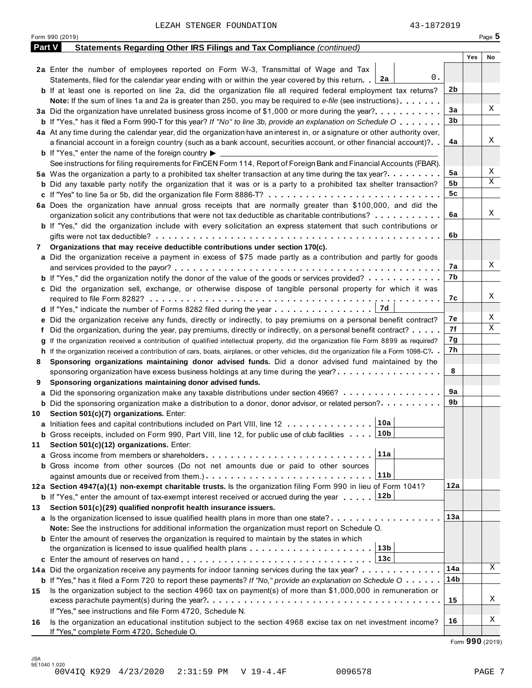|               | Form 990 (2019)                                                                                                                              |     | Page 5 |
|---------------|----------------------------------------------------------------------------------------------------------------------------------------------|-----|--------|
| <b>Part V</b> | Statements Regarding Other IRS Filings and Tax Compliance (continued)                                                                        |     |        |
|               |                                                                                                                                              | Yes | No     |
|               | 2a Enter the number of employees reported on Form W-3, Transmittal of Wage and Tax                                                           |     |        |
|               | 0.<br>Statements, filed for the calendar year ending with or within the year covered by this return. 2a                                      |     |        |
|               | <b>b</b> If at least one is reported on line 2a, did the organization file all required federal employment tax returns?                      | 2b  |        |
|               | Note: If the sum of lines 1a and 2a is greater than 250, you may be required to e-file (see instructions)                                    |     |        |
|               | 3a Did the organization have unrelated business gross income of \$1,000 or more during the year?                                             | 3a  | Χ      |
|               | <b>b</b> If "Yes," has it filed a Form 990-T for this year? If "No" to line 3b, provide an explanation on Schedule O                         | 3b  |        |
|               | 4a At any time during the calendar year, did the organization have an interest in, or a signature or other authority over,                   |     |        |
|               | a financial account in a foreign country (such as a bank account, securities account, or other financial account)?                           | 4a  | Χ      |
|               | <b>b</b> If "Yes," enter the name of the foreign country $\blacktriangleright$                                                               |     |        |
|               | See instructions for filing requirements for FinCEN Form 114, Report of Foreign Bank and Financial Accounts (FBAR).                          |     |        |
|               | 5a Was the organization a party to a prohibited tax shelter transaction at any time during the tax year?                                     | 5a  | Χ      |
|               | <b>b</b> Did any taxable party notify the organization that it was or is a party to a prohibited tax shelter transaction?                    | 5b  | Χ      |
|               |                                                                                                                                              | 5c  |        |
|               | 6a Does the organization have annual gross receipts that are normally greater than \$100,000, and did the                                    |     |        |
|               | organization solicit any contributions that were not tax deductible as charitable contributions?                                             | 6a  | Χ      |
|               | <b>b</b> If "Yes," did the organization include with every solicitation an express statement that such contributions or                      |     |        |
|               |                                                                                                                                              | 6b  |        |
| 7             | Organizations that may receive deductible contributions under section 170(c).                                                                |     |        |
|               | a Did the organization receive a payment in excess of \$75 made partly as a contribution and partly for goods                                |     |        |
|               |                                                                                                                                              | 7а  | Χ      |
|               |                                                                                                                                              | 7b  |        |
|               | <b>b</b> If "Yes," did the organization notify the donor of the value of the goods or services provided?                                     |     |        |
|               | c Did the organization sell, exchange, or otherwise dispose of tangible personal property for which it was                                   |     | Χ      |
|               |                                                                                                                                              | 7с  |        |
|               | d If "Yes," indicate the number of Forms 8282 filed during the year $\ldots \ldots \ldots \ldots \ldots$                                     |     | Χ      |
|               | e Did the organization receive any funds, directly or indirectly, to pay premiums on a personal benefit contract?                            | 7е  | Χ      |
| t.            | Did the organization, during the year, pay premiums, directly or indirectly, on a personal benefit contract?                                 | 7f  |        |
|               | g If the organization received a contribution of qualified intellectual property, did the organization file Form 8899 as required?           | 7g  |        |
|               | h If the organization received a contribution of cars, boats, airplanes, or other vehicles, did the organization file a Form 1098-C?         | 7h  |        |
| 8             | Sponsoring organizations maintaining donor advised funds. Did a donor advised fund maintained by the                                         |     |        |
|               | sponsoring organization have excess business holdings at any time during the year?                                                           | 8   |        |
| 9             | Sponsoring organizations maintaining donor advised funds.                                                                                    |     |        |
|               | a Did the sponsoring organization make any taxable distributions under section 4966?                                                         | 9а  |        |
|               | <b>b</b> Did the sponsoring organization make a distribution to a donor, donor advisor, or related person?                                   | 9b  |        |
| 10            | Section 501(c)(7) organizations. Enter:                                                                                                      |     |        |
|               | 10a <br>a Initiation fees and capital contributions included on Part VIII, line 12                                                           |     |        |
|               | <b>b</b> Gross receipts, included on Form 990, Part VIII, line 12, for public use of club facilities 10b                                     |     |        |
| 11            | Section 501(c)(12) organizations. Enter:                                                                                                     |     |        |
|               | 11a                                                                                                                                          |     |        |
|               | <b>b</b> Gross income from other sources (Do not net amounts due or paid to other sources                                                    |     |        |
|               | 11b                                                                                                                                          |     |        |
|               | 12a Section 4947(a)(1) non-exempt charitable trusts. Is the organization filing Form 990 in lieu of Form 1041?                               | 12a |        |
|               | 12b<br><b>b</b> If "Yes," enter the amount of tax-exempt interest received or accrued during the year                                        |     |        |
| 13            | Section 501(c)(29) qualified nonprofit health insurance issuers.                                                                             |     |        |
|               | a Is the organization licensed to issue qualified health plans in more than one state?                                                       | 13а |        |
|               | Note: See the instructions for additional information the organization must report on Schedule O.                                            |     |        |
|               | <b>b</b> Enter the amount of reserves the organization is required to maintain by the states in which                                        |     |        |
|               | 13b                                                                                                                                          |     |        |
|               |                                                                                                                                              |     |        |
|               |                                                                                                                                              | 14a | Χ      |
|               | 14a Did the organization receive any payments for indoor tanning services during the tax year?                                               |     |        |
|               | <b>b</b> If "Yes," has it filed a Form 720 to report these payments? If "No," provide an explanation on Schedule $0 \cdot \cdot \cdot \cdot$ | 14b |        |
| 15            | Is the organization subject to the section 4960 tax on payment(s) of more than \$1,000,000 in remuneration or                                |     | Χ      |
|               |                                                                                                                                              | 15  |        |
|               | If "Yes," see instructions and file Form 4720, Schedule N.                                                                                   |     |        |
| 16            | Is the organization an educational institution subject to the section 4968 excise tax on net investment income?                              | 16  | Χ      |
|               | If "Yes," complete Form 4720, Schedule O.                                                                                                    |     |        |

Form **990** (2019)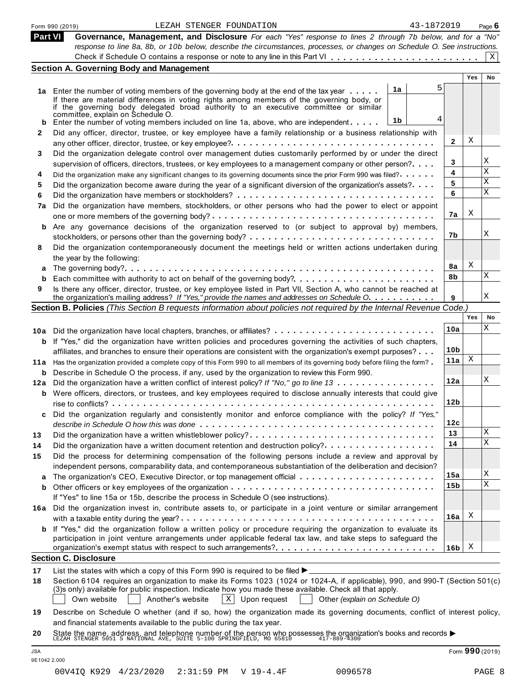| Part VI                          | 43-1872019<br>LEZAH STENGER FOUNDATION<br>Form 990 (2019)                                                                                                                                                                                                                                          |                 |            | Page 6 |
|----------------------------------|----------------------------------------------------------------------------------------------------------------------------------------------------------------------------------------------------------------------------------------------------------------------------------------------------|-----------------|------------|--------|
|                                  | Governance, Management, and Disclosure For each "Yes" response to lines 2 through 7b below, and for a "No"                                                                                                                                                                                         |                 |            |        |
|                                  | response to line 8a, 8b, or 10b below, describe the circumstances, processes, or changes on Schedule O. See instructions.                                                                                                                                                                          |                 |            | Χ      |
|                                  | <b>Section A. Governing Body and Management</b>                                                                                                                                                                                                                                                    |                 |            |        |
|                                  |                                                                                                                                                                                                                                                                                                    |                 | <b>Yes</b> | No     |
|                                  | 5<br>1a                                                                                                                                                                                                                                                                                            |                 |            |        |
|                                  | 1a Enter the number of voting members of the governing body at the end of the tax year<br>If there are material differences in voting rights among members of the governing body, or                                                                                                               |                 |            |        |
|                                  | if the governing body delegated broad authority to an executive committee or similar                                                                                                                                                                                                               |                 |            |        |
|                                  | committée, explain on Schedule O.<br>4<br>1b<br>Enter the number of voting members included on line 1a, above, who are independent                                                                                                                                                                 |                 |            |        |
| 2                                | Did any officer, director, trustee, or key employee have a family relationship or a business relationship with                                                                                                                                                                                     |                 |            |        |
|                                  |                                                                                                                                                                                                                                                                                                    | 2               | Χ          |        |
| 3                                | Did the organization delegate control over management duties customarily performed by or under the direct                                                                                                                                                                                          |                 |            |        |
|                                  | supervision of officers, directors, trustees, or key employees to a management company or other person?                                                                                                                                                                                            | 3               |            | Χ      |
| 4                                | Did the organization make any significant changes to its governing documents since the prior Form 990 was filed?                                                                                                                                                                                   | 4               |            | Χ      |
| 5                                | Did the organization become aware during the year of a significant diversion of the organization's assets?                                                                                                                                                                                         | 5               |            | Χ      |
| 6                                |                                                                                                                                                                                                                                                                                                    | 6               |            | Χ      |
| 7a                               | Did the organization have members, stockholders, or other persons who had the power to elect or appoint                                                                                                                                                                                            |                 |            |        |
|                                  |                                                                                                                                                                                                                                                                                                    | 7a              | X          |        |
| b                                | Are any governance decisions of the organization reserved to (or subject to approval by) members,                                                                                                                                                                                                  |                 |            |        |
|                                  |                                                                                                                                                                                                                                                                                                    | 7b              |            | Χ      |
| 8                                | Did the organization contemporaneously document the meetings held or written actions undertaken during                                                                                                                                                                                             |                 |            |        |
|                                  | the year by the following:                                                                                                                                                                                                                                                                         |                 |            |        |
| а                                |                                                                                                                                                                                                                                                                                                    | 8a              | X          |        |
| b                                |                                                                                                                                                                                                                                                                                                    | 8b              |            | Χ      |
| 9                                | Is there any officer, director, trustee, or key employee listed in Part VII, Section A, who cannot be reached at                                                                                                                                                                                   |                 |            |        |
|                                  | the organization's mailing address? If "Yes," provide the names and addresses on Schedule O.                                                                                                                                                                                                       | 9               |            | Χ      |
|                                  | Section B. Policies (This Section B requests information about policies not required by the Internal Revenue Code.)                                                                                                                                                                                |                 |            |        |
|                                  |                                                                                                                                                                                                                                                                                                    |                 | Yes        | No     |
|                                  |                                                                                                                                                                                                                                                                                                    | 10a             |            | Χ      |
|                                  | <b>b</b> If "Yes," did the organization have written policies and procedures governing the activities of such chapters,                                                                                                                                                                            |                 |            |        |
|                                  | affiliates, and branches to ensure their operations are consistent with the organization's exempt purposes?                                                                                                                                                                                        | 10 <sub>b</sub> |            |        |
|                                  | 11a Has the organization provided a complete copy of this Form 990 to all members of its governing body before filing the form?                                                                                                                                                                    | 11a             | Χ          |        |
|                                  | <b>b</b> Describe in Schedule O the process, if any, used by the organization to review this Form 990.                                                                                                                                                                                             |                 |            |        |
|                                  | 12a Did the organization have a written conflict of interest policy? If "No," go to line 13                                                                                                                                                                                                        | 12a             |            | Χ      |
|                                  | <b>b</b> Were officers, directors, or trustees, and key employees required to disclose annually interests that could give                                                                                                                                                                          |                 |            |        |
|                                  |                                                                                                                                                                                                                                                                                                    |                 |            |        |
|                                  |                                                                                                                                                                                                                                                                                                    | 12 <sub>b</sub> |            |        |
|                                  | Did the organization regularly and consistently monitor and enforce compliance with the policy? If "Yes,"                                                                                                                                                                                          |                 |            |        |
|                                  |                                                                                                                                                                                                                                                                                                    | 12c             |            |        |
|                                  | Did the organization have a written whistleblower policy?                                                                                                                                                                                                                                          | 13              |            | Χ      |
|                                  | Did the organization have a written document retention and destruction policy?                                                                                                                                                                                                                     | 14              |            | X      |
|                                  | Did the process for determining compensation of the following persons include a review and approval by                                                                                                                                                                                             |                 |            |        |
|                                  | independent persons, comparability data, and contemporaneous substantiation of the deliberation and decision?                                                                                                                                                                                      |                 |            |        |
|                                  | The organization's CEO, Executive Director, or top management official                                                                                                                                                                                                                             | 15a             |            | Χ      |
| b                                |                                                                                                                                                                                                                                                                                                    | 15 <sub>b</sub> |            | X      |
|                                  | If "Yes" to line 15a or 15b, describe the process in Schedule O (see instructions).                                                                                                                                                                                                                |                 |            |        |
|                                  | 16a Did the organization invest in, contribute assets to, or participate in a joint venture or similar arrangement                                                                                                                                                                                 |                 |            |        |
|                                  |                                                                                                                                                                                                                                                                                                    | 16a             | X          |        |
|                                  | <b>b</b> If "Yes," did the organization follow a written policy or procedure requiring the organization to evaluate its                                                                                                                                                                            |                 |            |        |
|                                  | participation in joint venture arrangements under applicable federal tax law, and take steps to safeguard the                                                                                                                                                                                      |                 |            |        |
|                                  |                                                                                                                                                                                                                                                                                                    | 16 <sub>b</sub> | X          |        |
|                                  | <b>Section C. Disclosure</b>                                                                                                                                                                                                                                                                       |                 |            |        |
|                                  | List the states with which a copy of this Form 990 is required to be filed $\blacktriangleright$                                                                                                                                                                                                   |                 |            |        |
|                                  | Section 6104 requires an organization to make its Forms 1023 (1024 or 1024-A, if applicable), 990, and 990-T (Section 501(c)<br>(3)s only) available for public inspection. Indicate how you made these available. Check all that apply.                                                           |                 |            |        |
|                                  | $X$ Upon request<br>Own website<br>Another's website<br>Other (explain on Schedule O)                                                                                                                                                                                                              |                 |            |        |
|                                  |                                                                                                                                                                                                                                                                                                    |                 |            |        |
| 13<br>14<br>15<br>17<br>18<br>19 | Describe on Schedule O whether (and if so, how) the organization made its governing documents, conflict of interest policy,                                                                                                                                                                        |                 |            |        |
| 20                               | and financial statements available to the public during the tax year.<br>State the name, address, and telephone number of the person who possesses the organization's books and records $\blacktriangleright$<br>LEZAH STENGER 5051 S NATIONAL AVE, SUITE 5-100 SPRINGFIELD, MO 65810 417-889-4300 |                 |            |        |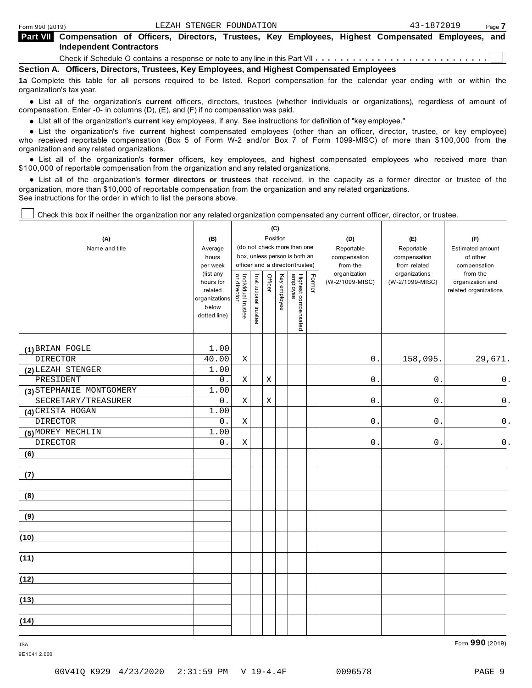| <b>Part VIII</b> Compensation of Officers, Directors, Trustees, Key Employees, Highest Compensated Employees, and<br><b>Independent Contractors</b> |  |
|-----------------------------------------------------------------------------------------------------------------------------------------------------|--|
|                                                                                                                                                     |  |
| Section A. Officers, Directors, Trustees, Key Employees, and Highest Compensated Employees                                                          |  |

**1a** Complete this table for all persons required to be listed. Report compensation for the calendar year ending with or within the organization's tax year.

anization's lax year.<br>● List all of the organization's **current** officers, directors, trustees (whether individuals or organizations), regardless of amount of<br>nnensation Enter -0- in columns (D) (E) and (E) if no compensa compensation. Enter -0- in columns (D), (E), and (F) if no compensation was paid.

• List all of the organization's **current** key employees, if any. See instructions for definition of "key employee."<br>● List the experimetiscle five expect highest expressed explores (other than an efficer director t

**Example in the organization's current** key employees, if any, see instructions for definition of key employee.<br>• List the organization's five **current** highest compensated employees (other than an officer, director, trust who received reportable compensation (Box 5 of Form W-2 and/or Box 7 of Form 1099-MISC) of more than \$100,000 from the

organization and any related organizations.<br>• List all of the organization's **former** officers, key employees, and highest compensated employees who received more than<br>\$1.00.000 of reportable componention from the erganiza \$100,000 of reportable compensation from the organization and any related organizations.

% List all of the organization's **former directors or trustees** that received, in the capacity as a former director or trustee of the organization, more than \$10,000 of reportable compensation from the organization and any related organizations. See instructions for the order in which to list the persons above.

 $\mathbf{C}$ 

┱

Check this box if neither the organization nor any related organization compensated any current officer, director, or trustee.

| (A)<br>Name and title    | (B)<br>Average<br>hours<br>per week<br>(list any<br>hours for<br>related<br>organizations<br>below<br>dotted line) | Individual trustee<br>or director | Institutional trustee | (७)<br>Position<br>Officer | Key employee | (do not check more than one<br>box, unless person is both an<br>officer and a director/trustee)<br>Highest compensated<br>employee | Former | (D)<br>Reportable<br>compensation<br>from the<br>organization<br>(W-2/1099-MISC) | (E)<br>Reportable<br>compensation<br>from related<br>organizations<br>(W-2/1099-MISC) | (F)<br>Estimated amount<br>of other<br>compensation<br>from the<br>organization and<br>related organizations |
|--------------------------|--------------------------------------------------------------------------------------------------------------------|-----------------------------------|-----------------------|----------------------------|--------------|------------------------------------------------------------------------------------------------------------------------------------|--------|----------------------------------------------------------------------------------|---------------------------------------------------------------------------------------|--------------------------------------------------------------------------------------------------------------|
| (1) BRIAN FOGLE          | 1.00                                                                                                               |                                   |                       |                            |              |                                                                                                                                    |        |                                                                                  |                                                                                       |                                                                                                              |
| <b>DIRECTOR</b>          | 40.00                                                                                                              | $\mathbf X$                       |                       |                            |              |                                                                                                                                    |        | $\mathsf 0$ .                                                                    | 158,095.                                                                              | 29,671.                                                                                                      |
| (2) LEZAH STENGER        | 1.00                                                                                                               |                                   |                       |                            |              |                                                                                                                                    |        |                                                                                  |                                                                                       |                                                                                                              |
| PRESIDENT                | 0.                                                                                                                 | $\mathbf X$                       |                       | Χ                          |              |                                                                                                                                    |        | 0                                                                                | $0$ .                                                                                 | $\mathsf 0$ .                                                                                                |
| (3) STEPHANIE MONTGOMERY | 1.00                                                                                                               |                                   |                       |                            |              |                                                                                                                                    |        |                                                                                  |                                                                                       |                                                                                                              |
| SECRETARY/TREASURER      | 0.                                                                                                                 | $\rm X$                           |                       | $\mathbf X$                |              |                                                                                                                                    |        | $0$ .                                                                            | 0.                                                                                    | $\mathsf 0$ .                                                                                                |
| (4) CRISTA HOGAN         | 1.00                                                                                                               |                                   |                       |                            |              |                                                                                                                                    |        |                                                                                  |                                                                                       |                                                                                                              |
| <b>DIRECTOR</b>          | $\overline{0}$ .                                                                                                   | $\mathbf X$                       |                       |                            |              |                                                                                                                                    |        | 0                                                                                | $\mathsf{O}$                                                                          | $\mathsf 0$ .                                                                                                |
| (5) MOREY MECHLIN        | 1.00                                                                                                               |                                   |                       |                            |              |                                                                                                                                    |        |                                                                                  |                                                                                       |                                                                                                              |
| <b>DIRECTOR</b>          | 0.                                                                                                                 | Χ                                 |                       |                            |              |                                                                                                                                    |        | 0                                                                                | $\mathsf{O}$ .                                                                        | $\mathsf 0$ .                                                                                                |
| (6)                      |                                                                                                                    |                                   |                       |                            |              |                                                                                                                                    |        |                                                                                  |                                                                                       |                                                                                                              |
| (7)                      |                                                                                                                    |                                   |                       |                            |              |                                                                                                                                    |        |                                                                                  |                                                                                       |                                                                                                              |
| (8)                      |                                                                                                                    |                                   |                       |                            |              |                                                                                                                                    |        |                                                                                  |                                                                                       |                                                                                                              |
| (9)                      |                                                                                                                    |                                   |                       |                            |              |                                                                                                                                    |        |                                                                                  |                                                                                       |                                                                                                              |
| (10)                     |                                                                                                                    |                                   |                       |                            |              |                                                                                                                                    |        |                                                                                  |                                                                                       |                                                                                                              |
| (11)                     |                                                                                                                    |                                   |                       |                            |              |                                                                                                                                    |        |                                                                                  |                                                                                       |                                                                                                              |
| (12)                     |                                                                                                                    |                                   |                       |                            |              |                                                                                                                                    |        |                                                                                  |                                                                                       |                                                                                                              |
| (13)                     |                                                                                                                    |                                   |                       |                            |              |                                                                                                                                    |        |                                                                                  |                                                                                       |                                                                                                              |
| (14)                     |                                                                                                                    |                                   |                       |                            |              |                                                                                                                                    |        |                                                                                  |                                                                                       |                                                                                                              |

JSA Form **990** (2019)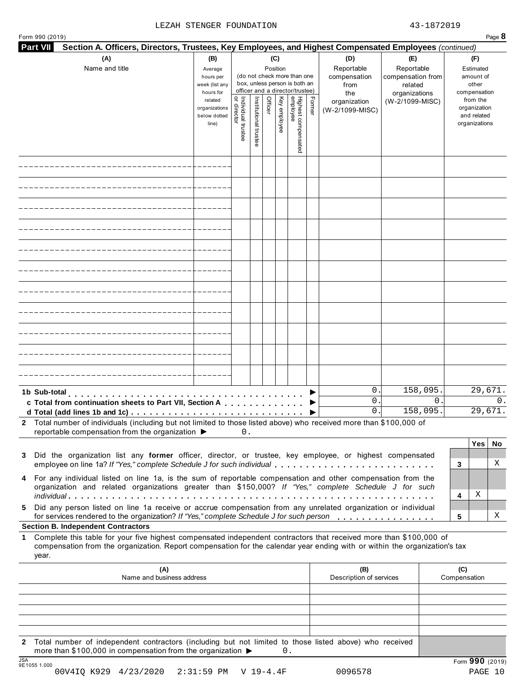### LEZAH STENGER FOUNDATION 43-1872019

| Form 990 (2019)<br><b>Part VII</b> | Section A. Officers, Directors, Trustees, Key Employees, and Highest Compensated Employees (continued)                                                                                                                                           |                                                            |                                   |                                                                                                                    |         |              |                                 |        |                                                  |                                                                    |   |                                                          | Page 8                |
|------------------------------------|--------------------------------------------------------------------------------------------------------------------------------------------------------------------------------------------------------------------------------------------------|------------------------------------------------------------|-----------------------------------|--------------------------------------------------------------------------------------------------------------------|---------|--------------|---------------------------------|--------|--------------------------------------------------|--------------------------------------------------------------------|---|----------------------------------------------------------|-----------------------|
|                                    | (A)<br>Name and title                                                                                                                                                                                                                            | (B)<br>Average<br>hours per<br>week (list any<br>hours for |                                   | (C)<br>Position<br>(do not check more than one<br>box, unless person is both an<br>officer and a director/trustee) |         |              |                                 |        | (D)<br>Reportable<br>compensation<br>from<br>the | (E)<br>Reportable<br>compensation from<br>related<br>organizations |   | (F)<br>Estimated<br>amount of<br>other<br>compensation   |                       |
|                                    |                                                                                                                                                                                                                                                  | related<br>organizations<br>below dotted<br>line)          | Individual trustee<br>or director | Institutional trustee                                                                                              | Officer | Key employee | Highest compensated<br>employee | Former | organization<br>(W-2/1099-MISC)                  | (W-2/1099-MISC)                                                    |   | from the<br>organization<br>and related<br>organizations |                       |
|                                    |                                                                                                                                                                                                                                                  |                                                            |                                   |                                                                                                                    |         |              |                                 |        |                                                  |                                                                    |   |                                                          |                       |
|                                    |                                                                                                                                                                                                                                                  |                                                            |                                   |                                                                                                                    |         |              |                                 |        |                                                  |                                                                    |   |                                                          |                       |
|                                    |                                                                                                                                                                                                                                                  |                                                            |                                   |                                                                                                                    |         |              |                                 |        |                                                  |                                                                    |   |                                                          |                       |
|                                    |                                                                                                                                                                                                                                                  |                                                            |                                   |                                                                                                                    |         |              |                                 |        |                                                  |                                                                    |   |                                                          |                       |
|                                    |                                                                                                                                                                                                                                                  |                                                            |                                   |                                                                                                                    |         |              |                                 |        |                                                  |                                                                    |   |                                                          |                       |
|                                    |                                                                                                                                                                                                                                                  |                                                            |                                   |                                                                                                                    |         |              |                                 |        |                                                  |                                                                    |   |                                                          |                       |
|                                    |                                                                                                                                                                                                                                                  |                                                            |                                   |                                                                                                                    |         |              |                                 |        |                                                  |                                                                    |   |                                                          |                       |
|                                    |                                                                                                                                                                                                                                                  |                                                            |                                   |                                                                                                                    |         |              |                                 |        |                                                  |                                                                    |   |                                                          |                       |
|                                    |                                                                                                                                                                                                                                                  |                                                            |                                   |                                                                                                                    |         |              |                                 |        |                                                  |                                                                    |   |                                                          |                       |
|                                    |                                                                                                                                                                                                                                                  |                                                            |                                   |                                                                                                                    |         |              |                                 |        |                                                  |                                                                    |   |                                                          |                       |
|                                    |                                                                                                                                                                                                                                                  |                                                            |                                   |                                                                                                                    |         |              |                                 |        |                                                  |                                                                    |   |                                                          |                       |
|                                    | 1b Sub-total                                                                                                                                                                                                                                     |                                                            |                                   |                                                                                                                    |         |              |                                 |        | $0$ .<br>$0$ .                                   | 158,095.                                                           | 0 |                                                          | 29,671.<br>$\Omega$ . |
|                                    | c Total from continuation sheets to Part VII, Section A                                                                                                                                                                                          |                                                            |                                   |                                                                                                                    |         |              |                                 |        | 0.                                               | 158,095.                                                           |   |                                                          | 29,671.               |
|                                    | 2 Total number of individuals (including but not limited to those listed above) who received more than \$100,000 of<br>reportable compensation from the organization ▶                                                                           |                                                            | 0.                                |                                                                                                                    |         |              |                                 |        |                                                  |                                                                    |   |                                                          |                       |
|                                    |                                                                                                                                                                                                                                                  |                                                            |                                   |                                                                                                                    |         |              |                                 |        |                                                  |                                                                    |   | Yes                                                      | No                    |
|                                    | 3 Did the organization list any former officer, director, or trustee, key employee, or highest compensated<br>employee on line 1a? If "Yes," complete Schedule J for such individual                                                             |                                                            |                                   |                                                                                                                    |         |              |                                 |        |                                                  |                                                                    |   | 3                                                        | X                     |
|                                    | 4 For any individual listed on line 1a, is the sum of reportable compensation and other compensation from the<br>organization and related organizations greater than \$150,000? If "Yes," complete Schedule J for such                           |                                                            |                                   |                                                                                                                    |         |              |                                 |        |                                                  |                                                                    |   |                                                          |                       |
| 5.                                 | Did any person listed on line 1a receive or accrue compensation from any unrelated organization or individual                                                                                                                                    |                                                            |                                   |                                                                                                                    |         |              |                                 |        |                                                  |                                                                    |   | Χ<br>4                                                   |                       |
|                                    | for services rendered to the organization? If "Yes," complete Schedule J for such person<br><b>Section B. Independent Contractors</b>                                                                                                            |                                                            |                                   |                                                                                                                    |         |              |                                 |        |                                                  |                                                                    |   | 5                                                        | Χ                     |
| $\mathbf 1$<br>year.               | Complete this table for your five highest compensated independent contractors that received more than \$100,000 of<br>compensation from the organization. Report compensation for the calendar year ending with or within the organization's tax |                                                            |                                   |                                                                                                                    |         |              |                                 |        |                                                  |                                                                    |   |                                                          |                       |
|                                    | (A)<br>Name and business address                                                                                                                                                                                                                 |                                                            |                                   |                                                                                                                    |         |              |                                 |        | (B)<br>Description of services                   |                                                                    |   | (C)<br>Compensation                                      |                       |
|                                    |                                                                                                                                                                                                                                                  |                                                            |                                   |                                                                                                                    |         |              |                                 |        |                                                  |                                                                    |   |                                                          |                       |
|                                    |                                                                                                                                                                                                                                                  |                                                            |                                   |                                                                                                                    |         |              |                                 |        |                                                  |                                                                    |   |                                                          |                       |
|                                    |                                                                                                                                                                                                                                                  |                                                            |                                   |                                                                                                                    |         |              |                                 |        |                                                  |                                                                    |   |                                                          |                       |

**2** Total number of independent contractors (including but not limited to those listed above) who received more than \$100,000 in compensation from the organization  $\triangleright$  0.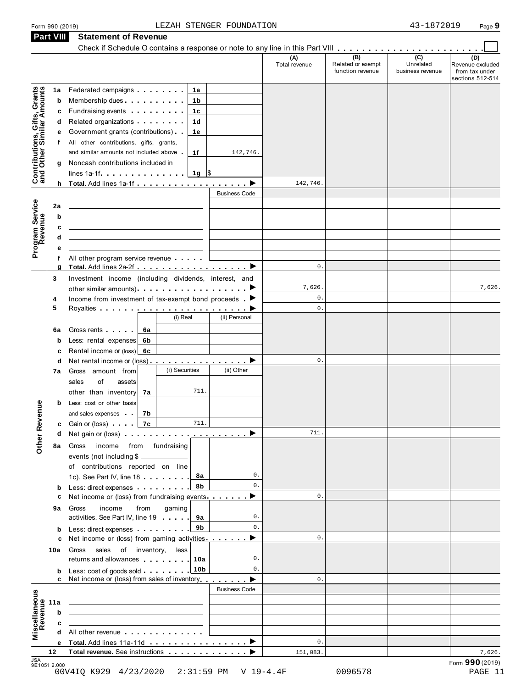### Form <sup>990</sup> (2019) Page **9** LEZAH STENGER FOUNDATION 43-1872019

|                                                                              | <b>Part VIII</b> | <b>Statement of Revenue</b>                                                                                                                                                                                                                   |                          |                                       |                               |                                                        |
|------------------------------------------------------------------------------|------------------|-----------------------------------------------------------------------------------------------------------------------------------------------------------------------------------------------------------------------------------------------|--------------------------|---------------------------------------|-------------------------------|--------------------------------------------------------|
|                                                                              |                  | Check if Schedule O contains a response or note to any line in this Part VIII                                                                                                                                                                 | (A)                      | (B)                                   | (C)                           | (D)                                                    |
|                                                                              |                  |                                                                                                                                                                                                                                               | Total revenue            | Related or exempt<br>function revenue | Unrelated<br>business revenue | Revenue excluded<br>from tax under<br>sections 512-514 |
|                                                                              | 1a               | Federated campaigns <b>Federated</b><br>1a                                                                                                                                                                                                    |                          |                                       |                               |                                                        |
|                                                                              | b                | Membership dues <b>All Accords</b> Membership dues<br>1b                                                                                                                                                                                      |                          |                                       |                               |                                                        |
|                                                                              | с                | Fundraising events <b>Fundraising</b><br>1c                                                                                                                                                                                                   |                          |                                       |                               |                                                        |
|                                                                              | d                | Related organizations <b>and the set of the set of the set of the set of the set of the set of the set of the set of the set of the set of the set of the set of the set of the set of the set of the set of the set of the set </b><br>1d    |                          |                                       |                               |                                                        |
|                                                                              | е                | Government grants (contributions)<br>1е                                                                                                                                                                                                       |                          |                                       |                               |                                                        |
| Contributions, Gifts, Grants<br>and Other Similar Amounts<br>Program Service | T.               | All other contributions, gifts, grants,                                                                                                                                                                                                       |                          |                                       |                               |                                                        |
|                                                                              |                  | and similar amounts not included above<br>1f<br>142,746.                                                                                                                                                                                      |                          |                                       |                               |                                                        |
|                                                                              | g                | Noncash contributions included in<br>$1g$ \$<br>lines 1a-1f                                                                                                                                                                                   |                          |                                       |                               |                                                        |
|                                                                              |                  | h Total. Add lines 1a-1f                                                                                                                                                                                                                      | 142,746.                 |                                       |                               |                                                        |
|                                                                              |                  | <b>Business Code</b>                                                                                                                                                                                                                          |                          |                                       |                               |                                                        |
|                                                                              | 2a               |                                                                                                                                                                                                                                               |                          |                                       |                               |                                                        |
|                                                                              | b                | the control of the control of the control of the control of the control of the control of                                                                                                                                                     |                          |                                       |                               |                                                        |
|                                                                              | c                | the control of the control of the control of the control of the control of the control of                                                                                                                                                     |                          |                                       |                               |                                                        |
|                                                                              | d                | the control of the control of the control of the control of the control of the control of                                                                                                                                                     |                          |                                       |                               |                                                        |
|                                                                              | е                |                                                                                                                                                                                                                                               |                          |                                       |                               |                                                        |
|                                                                              | f                | All other program service revenue                                                                                                                                                                                                             |                          |                                       |                               |                                                        |
|                                                                              | g                |                                                                                                                                                                                                                                               | 0.                       |                                       |                               |                                                        |
|                                                                              | 3                | Investment income (including dividends, interest, and                                                                                                                                                                                         |                          |                                       |                               |                                                        |
|                                                                              |                  | other similar amounts) $\cdots$ $\cdots$ $\cdots$ $\cdots$                                                                                                                                                                                    | 7,626.<br>$\mathsf{0}$ . |                                       |                               | 7,626.                                                 |
|                                                                              | 4<br>5           | Income from investment of tax-exempt bond proceeds $\blacktriangleright$                                                                                                                                                                      | 0.                       |                                       |                               |                                                        |
|                                                                              |                  | (i) Real<br>(ii) Personal                                                                                                                                                                                                                     |                          |                                       |                               |                                                        |
|                                                                              | 6a               | Gross rents<br>6а                                                                                                                                                                                                                             |                          |                                       |                               |                                                        |
|                                                                              | b                | Less: rental expenses<br>6b                                                                                                                                                                                                                   |                          |                                       |                               |                                                        |
|                                                                              | c                | Rental income or $(\text{loss})$ 6c                                                                                                                                                                                                           |                          |                                       |                               |                                                        |
|                                                                              | d                | Net rental income or (loss)                                                                                                                                                                                                                   | $\mathsf{0}$ .           |                                       |                               |                                                        |
|                                                                              | 7а               | (i) Securities<br>(ii) Other<br>Gross amount from                                                                                                                                                                                             |                          |                                       |                               |                                                        |
|                                                                              |                  | of<br>sales<br>assets                                                                                                                                                                                                                         |                          |                                       |                               |                                                        |
|                                                                              |                  | 711.<br>other than inventory<br>7a                                                                                                                                                                                                            |                          |                                       |                               |                                                        |
|                                                                              | b                | Less: cost or other basis                                                                                                                                                                                                                     |                          |                                       |                               |                                                        |
| enue                                                                         |                  | and sales expenses<br>7b                                                                                                                                                                                                                      |                          |                                       |                               |                                                        |
|                                                                              | с                | Gain or (loss) $\overline{z}$ 7c<br>711.                                                                                                                                                                                                      |                          |                                       |                               |                                                        |
|                                                                              | d                | Net gain or (loss)                                                                                                                                                                                                                            | 711.                     |                                       |                               |                                                        |
| Other Rev                                                                    | 8а               | income from fundraising<br>Gross                                                                                                                                                                                                              |                          |                                       |                               |                                                        |
|                                                                              |                  | events (not including \$                                                                                                                                                                                                                      |                          |                                       |                               |                                                        |
|                                                                              |                  | of contributions reported on line                                                                                                                                                                                                             |                          |                                       |                               |                                                        |
|                                                                              |                  | 0.<br>1c). See Part IV, line 18 <b></b><br>8а                                                                                                                                                                                                 |                          |                                       |                               |                                                        |
|                                                                              | b                | $0$ .<br>8b<br>Less: direct expenses extending the set of the set of the set of the set of the set of the set of the set of the set of the set of the set of the set of the set of the set of the set of the set of the set of the set of the | $\mathsf{0}$ .           |                                       |                               |                                                        |
|                                                                              |                  | Net income or (loss) from fundraising events $\blacksquare$                                                                                                                                                                                   |                          |                                       |                               |                                                        |
|                                                                              | 9а               | income<br>from<br>gaming<br>Gross<br>activities. See Part IV, line 19<br>0.                                                                                                                                                                   |                          |                                       |                               |                                                        |
|                                                                              |                  | $0$ .<br>9b<br>Less: direct expenses extending the set of the set of the set of the set of the set of the set of the set of the set of the set of the set of the set of the set of the set of the set of the set of the set of the set of the |                          |                                       |                               |                                                        |
|                                                                              | b<br>c           | Net income or (loss) from gaming activities ▶                                                                                                                                                                                                 | $\mathsf{0}$ .           |                                       |                               |                                                        |
|                                                                              | 10a              | Gross sales of inventory,<br>less                                                                                                                                                                                                             |                          |                                       |                               |                                                        |
|                                                                              |                  | returns and allowances 10<br>0.                                                                                                                                                                                                               |                          |                                       |                               |                                                        |
|                                                                              | b                | 0.<br>Less: cost of goods sold 10b                                                                                                                                                                                                            |                          |                                       |                               |                                                        |
|                                                                              | c                | Net income or (loss) from sales of inventory                                                                                                                                                                                                  | $\mathsf{0}$ .           |                                       |                               |                                                        |
|                                                                              |                  | <b>Business Code</b>                                                                                                                                                                                                                          |                          |                                       |                               |                                                        |
|                                                                              | 11a              | <u> 1989 - Andrea Stadt Britain, amerikansk politik (</u>                                                                                                                                                                                     |                          |                                       |                               |                                                        |
|                                                                              | b                | <u>and the state of the state of the state of the state of the state of the state of the state of the state of the state of the state of the state of the state of the state of the state of the state of the state of the state</u>          |                          |                                       |                               |                                                        |
| Miscellaneous<br>Revenue                                                     | c                | the control of the control of the control of the                                                                                                                                                                                              |                          |                                       |                               |                                                        |
|                                                                              | d                | All other revenue                                                                                                                                                                                                                             |                          |                                       |                               |                                                        |
|                                                                              |                  |                                                                                                                                                                                                                                               | $0$ .                    |                                       |                               |                                                        |
|                                                                              | 12               | Total revenue. See instructions                                                                                                                                                                                                               | 151,083.                 |                                       |                               | 7,626.<br>Form 990 (2019)                              |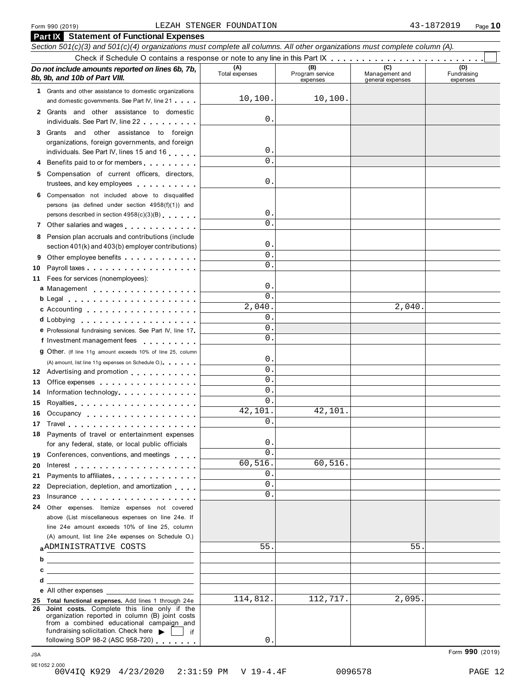### Form <sup>990</sup> (2019) Page **10** LEZAH STENGER FOUNDATION 43-1872019

|                 | <b>Part IX</b> Statement of Functional Expenses                                                                                                                                                                                                                                 |                             |                                    |                                           |                                |
|-----------------|---------------------------------------------------------------------------------------------------------------------------------------------------------------------------------------------------------------------------------------------------------------------------------|-----------------------------|------------------------------------|-------------------------------------------|--------------------------------|
|                 | Section 501(c)(3) and 501(c)(4) organizations must complete all columns. All other organizations must complete column (A).                                                                                                                                                      |                             |                                    |                                           |                                |
|                 |                                                                                                                                                                                                                                                                                 |                             |                                    |                                           |                                |
|                 | Do not include amounts reported on lines 6b, 7b,<br>8b, 9b, and 10b of Part VIII.                                                                                                                                                                                               | (A)<br>Total expenses       | (B)<br>Program service<br>expenses | (C)<br>Management and<br>general expenses | (D)<br>Fundraising<br>expenses |
|                 | 1 Grants and other assistance to domestic organizations                                                                                                                                                                                                                         |                             |                                    |                                           |                                |
|                 | and domestic governments. See Part IV, line 21                                                                                                                                                                                                                                  | 10, 100.                    | 10, 100.                           |                                           |                                |
|                 | 2 Grants and other assistance to domestic                                                                                                                                                                                                                                       |                             |                                    |                                           |                                |
|                 | individuals. See Part IV, line 22                                                                                                                                                                                                                                               | 0.                          |                                    |                                           |                                |
|                 | 3 Grants and other assistance to foreign                                                                                                                                                                                                                                        |                             |                                    |                                           |                                |
|                 | organizations, foreign governments, and foreign                                                                                                                                                                                                                                 |                             |                                    |                                           |                                |
|                 | individuals. See Part IV, lines 15 and 16                                                                                                                                                                                                                                       | 0.                          |                                    |                                           |                                |
|                 | 4 Benefits paid to or for members                                                                                                                                                                                                                                               | $\Omega$ .                  |                                    |                                           |                                |
|                 | 5 Compensation of current officers, directors,<br>trustees, and key employees entitled as a set of the set of the set of the set of the set of the set of the set of the set of the set of the set of the set of the set of the set of the set of the set of the set of the set | $\mathbf 0$ .               |                                    |                                           |                                |
|                 | 6 Compensation not included above to disqualified                                                                                                                                                                                                                               |                             |                                    |                                           |                                |
|                 | persons (as defined under section 4958(f)(1)) and                                                                                                                                                                                                                               |                             |                                    |                                           |                                |
|                 | persons described in section 4958(c)(3)(B)                                                                                                                                                                                                                                      | $\mathbf 0$ .               |                                    |                                           |                                |
|                 | 7 Other salaries and wages                                                                                                                                                                                                                                                      | $\Omega$ .                  |                                    |                                           |                                |
|                 | 8 Pension plan accruals and contributions (include                                                                                                                                                                                                                              |                             |                                    |                                           |                                |
|                 | section 401(k) and 403(b) employer contributions)                                                                                                                                                                                                                               | 0.                          |                                    |                                           |                                |
| 9               | Other employee benefits entitled and the control of the control of the control of the control of the control of the control of the control of the control of the control of the control of the control of the control of the c                                                  | $\Omega$ .                  |                                    |                                           |                                |
| 10              |                                                                                                                                                                                                                                                                                 | $\Omega$ .                  |                                    |                                           |                                |
|                 | 11 Fees for services (nonemployees):                                                                                                                                                                                                                                            |                             |                                    |                                           |                                |
|                 | a Management                                                                                                                                                                                                                                                                    | $\mathbf 0$ .<br>$\Omega$ . |                                    |                                           |                                |
|                 | b Legal and the contract of the contract of the contract of the contract of the contract of the contract of the                                                                                                                                                                 | 2,040.                      |                                    | 2,040.                                    |                                |
|                 | <b>c</b> Accounting <b>c</b> Accounting                                                                                                                                                                                                                                         | $\Omega$ .                  |                                    |                                           |                                |
|                 |                                                                                                                                                                                                                                                                                 | 0.                          |                                    |                                           |                                |
|                 | <b>e</b> Professional fundraising services. See Part IV, line 17                                                                                                                                                                                                                | 0.                          |                                    |                                           |                                |
|                 | f Investment management fees                                                                                                                                                                                                                                                    |                             |                                    |                                           |                                |
|                 | 9 Other. (If line 11g amount exceeds 10% of line 25, column                                                                                                                                                                                                                     | 0.                          |                                    |                                           |                                |
|                 | (A) amount, list line 11g expenses on Schedule O.)<br>12 Advertising and promotion                                                                                                                                                                                              | $\Omega$ .                  |                                    |                                           |                                |
| 13              | Office expenses                                                                                                                                                                                                                                                                 | 0.                          |                                    |                                           |                                |
| 14              | Information technology                                                                                                                                                                                                                                                          | 0.                          |                                    |                                           |                                |
| 15              | Royalties Royalties                                                                                                                                                                                                                                                             | 0.                          |                                    |                                           |                                |
|                 | 16 Occupancy                                                                                                                                                                                                                                                                    | 42,101.                     | 42,101.                            |                                           |                                |
| 17 <sub>1</sub> | Travel <b>The Communication Communication</b>                                                                                                                                                                                                                                   | $\mathsf 0$ .               |                                    |                                           |                                |
|                 | 18 Payments of travel or entertainment expenses                                                                                                                                                                                                                                 |                             |                                    |                                           |                                |
|                 | for any federal, state, or local public officials                                                                                                                                                                                                                               | 0.                          |                                    |                                           |                                |
|                 | 19 Conferences, conventions, and meetings                                                                                                                                                                                                                                       | 0.                          |                                    |                                           |                                |
| 20              | Interest $\ldots$ , $\ldots$ , $\ldots$ , $\ldots$ , $\ldots$ , $\ldots$ , $\ldots$                                                                                                                                                                                             | 60, 516.                    | 60,516.                            |                                           |                                |
| 21              | Payments to affiliates.                                                                                                                                                                                                                                                         | 0.                          |                                    |                                           |                                |
| 22              | Depreciation, depletion, and amortization                                                                                                                                                                                                                                       | 0.                          |                                    |                                           |                                |
| 23              | Insurance experience and the set of the set of the set of the set of the set of the set of the set of the set of the set of the set of the set of the set of the set of the set of the set of the set of the set of the set of                                                  | 0.                          |                                    |                                           |                                |
| 24              | Other expenses. Itemize expenses not covered                                                                                                                                                                                                                                    |                             |                                    |                                           |                                |
|                 | above (List miscellaneous expenses on line 24e. If                                                                                                                                                                                                                              |                             |                                    |                                           |                                |
|                 | line 24e amount exceeds 10% of line 25, column                                                                                                                                                                                                                                  |                             |                                    |                                           |                                |
|                 | (A) amount, list line 24e expenses on Schedule O.)                                                                                                                                                                                                                              |                             |                                    |                                           |                                |
|                 | ADMINISTRATIVE COSTS                                                                                                                                                                                                                                                            | 55.                         |                                    | 55                                        |                                |
| b               | <u> 1989 - Johann John Stein, markin fan it ferstjer fan it ferstjer fan it ferstjer fan it ferstjer fan it fers</u>                                                                                                                                                            |                             |                                    |                                           |                                |
| с               |                                                                                                                                                                                                                                                                                 |                             |                                    |                                           |                                |
|                 | <u> 1989 - Jan Sterling Sterling, amerikansk politiker (</u>                                                                                                                                                                                                                    |                             |                                    |                                           |                                |
|                 | e All other expenses<br>25 Total functional expenses. Add lines 1 through 24e                                                                                                                                                                                                   | 114,812.                    | 112,717.                           | 2,095.                                    |                                |
|                 | 26 Joint costs. Complete this line only if the                                                                                                                                                                                                                                  |                             |                                    |                                           |                                |
|                 | organization reported in column (B) joint costs<br>from a combined educational campaign and                                                                                                                                                                                     |                             |                                    |                                           |                                |
|                 | fundraising solicitation. Check here  <br>lif                                                                                                                                                                                                                                   |                             |                                    |                                           |                                |
|                 | following SOP 98-2 (ASC 958-720)                                                                                                                                                                                                                                                | 0.                          |                                    |                                           |                                |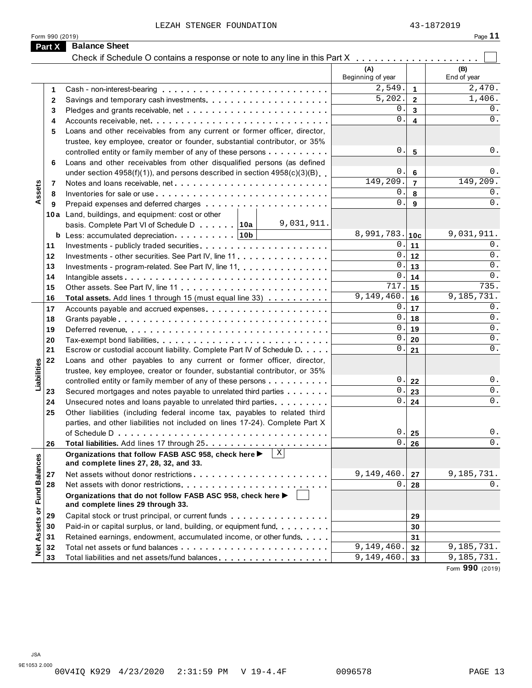LEZAH STENGER FOUNDATION 43-1872019

|--|--|--|

|                      | Form 990 (2019)                                                                                      |                           |                         | Page 11            |
|----------------------|------------------------------------------------------------------------------------------------------|---------------------------|-------------------------|--------------------|
| Part X               | <b>Balance Sheet</b>                                                                                 |                           |                         |                    |
|                      |                                                                                                      | (A)<br>Beginning of year  |                         | (B)<br>End of year |
| 1                    |                                                                                                      | 2,549.                    | $\mathbf{1}$            | 2,470.             |
| 2                    |                                                                                                      | 5,202.                    | $\mathbf{2}$            | 1,406.             |
| 3                    |                                                                                                      | 0                         | $\mathbf{3}$            | 0.                 |
| 4                    |                                                                                                      | $\Omega$                  | $\overline{\mathbf{4}}$ | 0.                 |
| 5                    | Loans and other receivables from any current or former officer, director,                            |                           |                         |                    |
|                      | trustee, key employee, creator or founder, substantial contributor, or 35%                           |                           |                         |                    |
|                      | controlled entity or family member of any of these persons                                           | 0.                        | $5\phantom{1}$          | 0.                 |
| 6                    | Loans and other receivables from other disqualified persons (as defined                              |                           |                         |                    |
|                      | under section 4958(f)(1)), and persons described in section 4958(c)(3)(B)                            | 0.                        | $6\phantom{1}6$         | 0.                 |
| 7                    | Notes and loans receivable, net                                                                      | 149,209.                  | $\overline{7}$          | 149,209.           |
| Assets<br>8          |                                                                                                      | $\mathsf{O}$ .            | 8                       | 0.                 |
| 9                    |                                                                                                      | $\Omega$ .                | 9                       | 0.                 |
|                      | 10a Land, buildings, and equipment: cost or other                                                    |                           |                         |                    |
|                      | 9,031,911.<br>basis. Complete Part VI of Schedule D 10a                                              |                           |                         |                    |
|                      | <b>b</b> Less: accumulated depreciation $\ldots$ , ,    10b                                          | $8,991,783.$ 10c          |                         | 9,031,911.         |
| 11                   |                                                                                                      | 0.                        | 11                      | 0.                 |
| 12                   | Investments - other securities. See Part IV, line 11.                                                | $0$ .                     | $12$                    | 0.                 |
| 13                   | Investments - program-related. See Part IV, line 11.                                                 | 0.                        | 13                      | 0.                 |
| 14                   |                                                                                                      | $\mathsf{O}$              | 14                      | 0.                 |
| 15                   |                                                                                                      | 717.                      | 15                      | 735.               |
| 16                   | Total assets. Add lines 1 through 15 (must equal line 33)                                            | 9,149,460.                | 16                      | 9,185,731.         |
| 17                   | Accounts payable and accrued expenses                                                                | $\mathsf{O}$ .            | 17                      | 0.                 |
| 18                   |                                                                                                      | $\mathbf 0$ .             | 18                      | 0.                 |
| 19                   |                                                                                                      | $0$ .                     | 19                      | 0.                 |
| 20                   | Tax-exempt bond liabilities                                                                          | $\mathbf 0$ .             | 20                      | 0.                 |
| 21                   | Escrow or custodial account liability. Complete Part IV of Schedule D.                               | $\overline{0}$ .          | 21                      | 0.                 |
| 22                   | Loans and other payables to any current or former officer, director,                                 |                           |                         |                    |
| Liabilities          | trustee, key employee, creator or founder, substantial contributor, or 35%                           |                           |                         |                    |
|                      | controlled entity or family member of any of these persons                                           | 0.                        | 22                      | 0.                 |
| 23                   | Secured mortgages and notes payable to unrelated third parties                                       | $\Omega$ .                | 23                      | 0.                 |
| 24                   | Unsecured notes and loans payable to unrelated third parties                                         | $0$ .                     | 24                      | 0.                 |
| 25                   | Other liabilities (including federal income tax, payables to related third                           |                           |                         |                    |
|                      | parties, and other liabilities not included on lines 17-24). Complete Part X                         |                           |                         |                    |
|                      |                                                                                                      | 0.                        | 25                      | $0$ .              |
| 26                   |                                                                                                      | 0.                        | 26                      | 0.                 |
|                      | x <br>Organizations that follow FASB ASC 958, check here ><br>and complete lines 27, 28, 32, and 33. |                           |                         |                    |
| 27                   |                                                                                                      | 9,149,460.                | 27                      | 9,185,731.         |
| 28                   |                                                                                                      | $\Omega$ .                | 28                      | 0.                 |
| <b>Fund Balances</b> | Organizations that do not follow FASB ASC 958, check here ▶<br>and complete lines 29 through 33.     |                           |                         |                    |
| 29                   | Capital stock or trust principal, or current funds                                                   |                           | 29                      |                    |
| Net Assets or<br>30  | Paid-in or capital surplus, or land, building, or equipment fund.                                    |                           | 30                      |                    |
| 31                   | Retained earnings, endowment, accumulated income, or other funds                                     |                           | 31                      |                    |
|                      |                                                                                                      | $\overline{9,149}$ , 460. | 32                      | 9,185,731.         |
| 32                   |                                                                                                      |                           |                         |                    |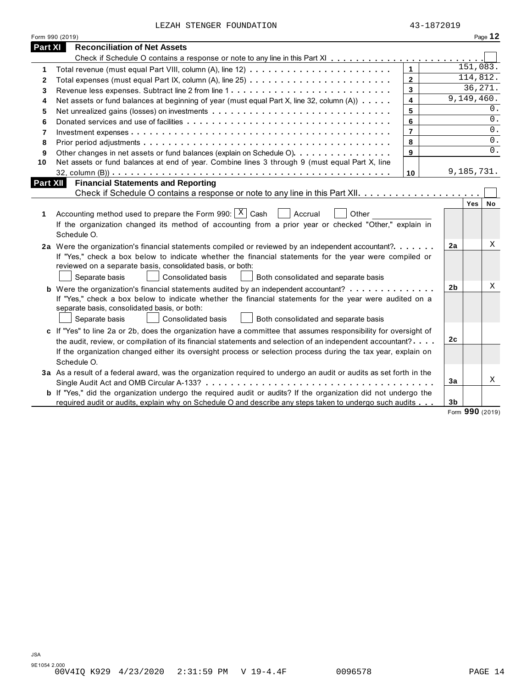| LEZAH STENGER FOUNDATION |  |  |  |
|--------------------------|--|--|--|
|--------------------------|--|--|--|

|              | Form 990 (2019)                                                                                                                                                                                                                                                                                                                                            |                         |                |                       | Page 12 |
|--------------|------------------------------------------------------------------------------------------------------------------------------------------------------------------------------------------------------------------------------------------------------------------------------------------------------------------------------------------------------------|-------------------------|----------------|-----------------------|---------|
| Part XI      | <b>Reconciliation of Net Assets</b>                                                                                                                                                                                                                                                                                                                        |                         |                |                       |         |
|              |                                                                                                                                                                                                                                                                                                                                                            |                         |                |                       |         |
| 1            |                                                                                                                                                                                                                                                                                                                                                            | $\mathbf{1}$            |                | 151,083.              |         |
| $\mathbf{2}$ |                                                                                                                                                                                                                                                                                                                                                            | $\mathbf{2}$            |                | 114,812.              |         |
| 3            |                                                                                                                                                                                                                                                                                                                                                            | $\overline{3}$          |                | 36, 271.              |         |
| 4            | Net assets or fund balances at beginning of year (must equal Part X, line 32, column (A))                                                                                                                                                                                                                                                                  | $\overline{\mathbf{4}}$ |                | 9,149,460.            |         |
| 5            |                                                                                                                                                                                                                                                                                                                                                            | 5                       |                |                       | 0.      |
| 6            |                                                                                                                                                                                                                                                                                                                                                            | 6                       |                |                       | 0.      |
| 7            |                                                                                                                                                                                                                                                                                                                                                            | $\overline{7}$          |                |                       | 0.      |
| 8            |                                                                                                                                                                                                                                                                                                                                                            | 8                       |                |                       | 0.      |
| 9            | Other changes in net assets or fund balances (explain on Schedule O)                                                                                                                                                                                                                                                                                       | 9                       |                |                       | $0$ .   |
| 10           | Net assets or fund balances at end of year. Combine lines 3 through 9 (must equal Part X, line                                                                                                                                                                                                                                                             |                         |                |                       |         |
|              |                                                                                                                                                                                                                                                                                                                                                            | 10                      |                | 9,185,731.            |         |
| Part XII     | <b>Financial Statements and Reporting</b>                                                                                                                                                                                                                                                                                                                  |                         |                |                       |         |
|              |                                                                                                                                                                                                                                                                                                                                                            |                         |                |                       |         |
| 1            | Accounting method used to prepare the Form 990: $\mid X \mid$ Cash<br>Accrual<br>Other<br>If the organization changed its method of accounting from a prior year or checked "Other," explain in<br>Schedule O.                                                                                                                                             |                         |                | Yes                   | No      |
|              | 2a Were the organization's financial statements compiled or reviewed by an independent accountant?<br>If "Yes," check a box below to indicate whether the financial statements for the year were compiled or<br>reviewed on a separate basis, consolidated basis, or both:<br>Separate basis<br>Consolidated basis<br>Both consolidated and separate basis |                         | 2a             |                       | Χ       |
|              | <b>b</b> Were the organization's financial statements audited by an independent accountant?<br>If "Yes," check a box below to indicate whether the financial statements for the year were audited on a<br>separate basis, consolidated basis, or both:<br>Separate basis<br>Consolidated basis<br>Both consolidated and separate basis                     |                         | 2 <sub>b</sub> |                       | Χ       |
|              | c If "Yes" to line 2a or 2b, does the organization have a committee that assumes responsibility for oversight of<br>the audit, review, or compilation of its financial statements and selection of an independent accountant?<br>If the organization changed either its oversight process or selection process during the tax year, explain on             |                         | 2c             |                       |         |
|              | Schedule O.<br>3a As a result of a federal award, was the organization required to undergo an audit or audits as set forth in the                                                                                                                                                                                                                          |                         | 3a             |                       | X       |
|              | b If "Yes," did the organization undergo the required audit or audits? If the organization did not undergo the<br>required audit or audits, explain why on Schedule O and describe any steps taken to undergo such audits                                                                                                                                  |                         | 3 <sub>b</sub> | $0.00 \times 10^{-1}$ |         |

Form **990** (2019)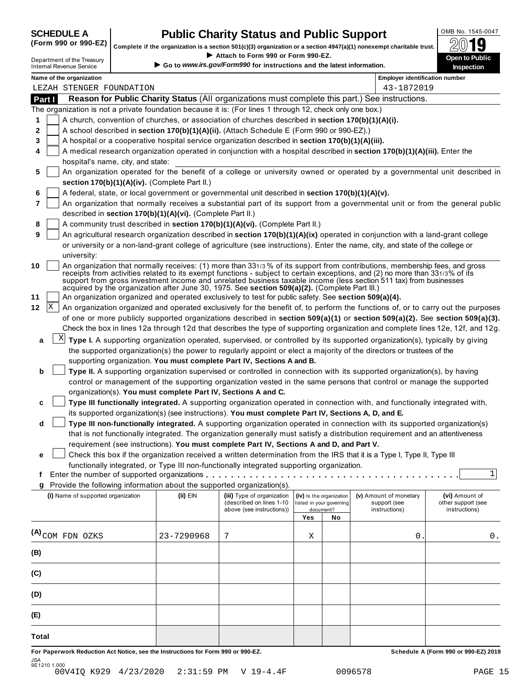# **SCHEDULE A Public Charity Status and Public Support**<br>(Form 990 or 990-EZ) complete if the organization is a section 501(c)(3) organization or a section 4947(a)(1) popeyemet charitable trust  $\bigotimes_{\text{min}} 1$  **1 Q**

Complete if the organization is a section 501(c)(3) organization or a section 4947(a)(1) nonexempt charitable trust.<br>Attach to Form 990 or Form 990-EZ. Complete if the organization is a section 501(c)(3) organization or a section 4947(a)(1) nonexempt charitable trust.<br>
Department of the Treasury Complete if the organization is a section 501(c)(3) organization or a sectio

| Department of the Treasury |  |
|----------------------------|--|
| Internal Revenue Service   |  |

|          | Name of the organization                                                                                  |                                                                                                                                                                                                                                                                                                                                                                                                                                                                                                                                                                                           |                            |                          |    | <b>Employer identification number</b> |                    |  |  |
|----------|-----------------------------------------------------------------------------------------------------------|-------------------------------------------------------------------------------------------------------------------------------------------------------------------------------------------------------------------------------------------------------------------------------------------------------------------------------------------------------------------------------------------------------------------------------------------------------------------------------------------------------------------------------------------------------------------------------------------|----------------------------|--------------------------|----|---------------------------------------|--------------------|--|--|
|          | LEZAH STENGER FOUNDATION                                                                                  |                                                                                                                                                                                                                                                                                                                                                                                                                                                                                                                                                                                           |                            |                          |    | 43-1872019                            |                    |  |  |
| Part I   |                                                                                                           | Reason for Public Charity Status (All organizations must complete this part.) See instructions.                                                                                                                                                                                                                                                                                                                                                                                                                                                                                           |                            |                          |    |                                       |                    |  |  |
|          | The organization is not a private foundation because it is: (For lines 1 through 12, check only one box.) |                                                                                                                                                                                                                                                                                                                                                                                                                                                                                                                                                                                           |                            |                          |    |                                       |                    |  |  |
| 1        |                                                                                                           | A church, convention of churches, or association of churches described in section 170(b)(1)(A)(i).                                                                                                                                                                                                                                                                                                                                                                                                                                                                                        |                            |                          |    |                                       |                    |  |  |
| 2        |                                                                                                           | A school described in section 170(b)(1)(A)(ii). (Attach Schedule E (Form 990 or 990-EZ).)                                                                                                                                                                                                                                                                                                                                                                                                                                                                                                 |                            |                          |    |                                       |                    |  |  |
| 3<br>4   |                                                                                                           | A hospital or a cooperative hospital service organization described in section 170(b)(1)(A)(iii).<br>A medical research organization operated in conjunction with a hospital described in section 170(b)(1)(A)(iii). Enter the                                                                                                                                                                                                                                                                                                                                                            |                            |                          |    |                                       |                    |  |  |
|          | hospital's name, city, and state:                                                                         |                                                                                                                                                                                                                                                                                                                                                                                                                                                                                                                                                                                           |                            |                          |    |                                       |                    |  |  |
| 5        |                                                                                                           | An organization operated for the benefit of a college or university owned or operated by a governmental unit described in                                                                                                                                                                                                                                                                                                                                                                                                                                                                 |                            |                          |    |                                       |                    |  |  |
|          |                                                                                                           | section 170(b)(1)(A)(iv). (Complete Part II.)                                                                                                                                                                                                                                                                                                                                                                                                                                                                                                                                             |                            |                          |    |                                       |                    |  |  |
| 6        |                                                                                                           | A federal, state, or local government or governmental unit described in section 170(b)(1)(A)(v).                                                                                                                                                                                                                                                                                                                                                                                                                                                                                          |                            |                          |    |                                       |                    |  |  |
| 7        |                                                                                                           | An organization that normally receives a substantial part of its support from a governmental unit or from the general public                                                                                                                                                                                                                                                                                                                                                                                                                                                              |                            |                          |    |                                       |                    |  |  |
|          |                                                                                                           | described in section 170(b)(1)(A)(vi). (Complete Part II.)                                                                                                                                                                                                                                                                                                                                                                                                                                                                                                                                |                            |                          |    |                                       |                    |  |  |
| 8        |                                                                                                           | A community trust described in section 170(b)(1)(A)(vi). (Complete Part II.)                                                                                                                                                                                                                                                                                                                                                                                                                                                                                                              |                            |                          |    |                                       |                    |  |  |
| 9        |                                                                                                           | An agricultural research organization described in section 170(b)(1)(A)(ix) operated in conjunction with a land-grant college                                                                                                                                                                                                                                                                                                                                                                                                                                                             |                            |                          |    |                                       |                    |  |  |
|          |                                                                                                           | or university or a non-land-grant college of agriculture (see instructions). Enter the name, city, and state of the college or                                                                                                                                                                                                                                                                                                                                                                                                                                                            |                            |                          |    |                                       |                    |  |  |
|          | university:                                                                                               |                                                                                                                                                                                                                                                                                                                                                                                                                                                                                                                                                                                           |                            |                          |    |                                       |                    |  |  |
| 10<br>11 |                                                                                                           | An organization that normally receives: (1) more than 331/3 % of its support from contributions, membership fees, and gross<br>receipts from activities related to its exempt functions - subject to certain exceptions, and (2) no more than 331/3% of its<br>support from gross investment income and unrelated business taxable income (less section 511 tax) from businesses<br>acquired by the organization after June 30, 1975. See section 509(a)(2). (Complete Part III.)<br>An organization organized and operated exclusively to test for public safety. See section 509(a)(4). |                            |                          |    |                                       |                    |  |  |
| X<br>12  |                                                                                                           | An organization organized and operated exclusively for the benefit of, to perform the functions of, or to carry out the purposes                                                                                                                                                                                                                                                                                                                                                                                                                                                          |                            |                          |    |                                       |                    |  |  |
|          |                                                                                                           | of one or more publicly supported organizations described in section 509(a)(1) or section 509(a)(2). See section 509(a)(3).                                                                                                                                                                                                                                                                                                                                                                                                                                                               |                            |                          |    |                                       |                    |  |  |
|          |                                                                                                           | Check the box in lines 12a through 12d that describes the type of supporting organization and complete lines 12e, 12f, and 12g.                                                                                                                                                                                                                                                                                                                                                                                                                                                           |                            |                          |    |                                       |                    |  |  |
| a        | X                                                                                                         | Type I. A supporting organization operated, supervised, or controlled by its supported organization(s), typically by giving                                                                                                                                                                                                                                                                                                                                                                                                                                                               |                            |                          |    |                                       |                    |  |  |
|          |                                                                                                           |                                                                                                                                                                                                                                                                                                                                                                                                                                                                                                                                                                                           |                            |                          |    |                                       |                    |  |  |
|          |                                                                                                           | the supported organization(s) the power to regularly appoint or elect a majority of the directors or trustees of the<br>supporting organization. You must complete Part IV, Sections A and B.                                                                                                                                                                                                                                                                                                                                                                                             |                            |                          |    |                                       |                    |  |  |
| b        |                                                                                                           | Type II. A supporting organization supervised or controlled in connection with its supported organization(s), by having                                                                                                                                                                                                                                                                                                                                                                                                                                                                   |                            |                          |    |                                       |                    |  |  |
|          |                                                                                                           | control or management of the supporting organization vested in the same persons that control or manage the supported                                                                                                                                                                                                                                                                                                                                                                                                                                                                      |                            |                          |    |                                       |                    |  |  |
|          |                                                                                                           | organization(s). You must complete Part IV, Sections A and C.                                                                                                                                                                                                                                                                                                                                                                                                                                                                                                                             |                            |                          |    |                                       |                    |  |  |
| c        |                                                                                                           | Type III functionally integrated. A supporting organization operated in connection with, and functionally integrated with,                                                                                                                                                                                                                                                                                                                                                                                                                                                                |                            |                          |    |                                       |                    |  |  |
|          |                                                                                                           | its supported organization(s) (see instructions). You must complete Part IV, Sections A, D, and E.                                                                                                                                                                                                                                                                                                                                                                                                                                                                                        |                            |                          |    |                                       |                    |  |  |
| d        |                                                                                                           | Type III non-functionally integrated. A supporting organization operated in connection with its supported organization(s)                                                                                                                                                                                                                                                                                                                                                                                                                                                                 |                            |                          |    |                                       |                    |  |  |
|          |                                                                                                           | that is not functionally integrated. The organization generally must satisfy a distribution requirement and an attentiveness                                                                                                                                                                                                                                                                                                                                                                                                                                                              |                            |                          |    |                                       |                    |  |  |
|          |                                                                                                           | requirement (see instructions). You must complete Part IV, Sections A and D, and Part V.                                                                                                                                                                                                                                                                                                                                                                                                                                                                                                  |                            |                          |    |                                       |                    |  |  |
| е        |                                                                                                           | Check this box if the organization received a written determination from the IRS that it is a Type I, Type II, Type III                                                                                                                                                                                                                                                                                                                                                                                                                                                                   |                            |                          |    |                                       |                    |  |  |
|          |                                                                                                           | functionally integrated, or Type III non-functionally integrated supporting organization.                                                                                                                                                                                                                                                                                                                                                                                                                                                                                                 |                            |                          |    |                                       | 1                  |  |  |
| Ť.<br>q  | Provide the following information about the supported organization(s).                                    |                                                                                                                                                                                                                                                                                                                                                                                                                                                                                                                                                                                           |                            |                          |    |                                       |                    |  |  |
|          | (i) Name of supported organization                                                                        | (ii) EIN                                                                                                                                                                                                                                                                                                                                                                                                                                                                                                                                                                                  | (iii) Type of organization | (iv) Is the organization |    | (v) Amount of monetary                | (vi) Amount of     |  |  |
|          |                                                                                                           |                                                                                                                                                                                                                                                                                                                                                                                                                                                                                                                                                                                           | (described on lines 1-10   | listed in your governing |    | support (see                          | other support (see |  |  |
|          |                                                                                                           |                                                                                                                                                                                                                                                                                                                                                                                                                                                                                                                                                                                           | above (see instructions))  | document?                |    | instructions)                         | instructions)      |  |  |
|          |                                                                                                           |                                                                                                                                                                                                                                                                                                                                                                                                                                                                                                                                                                                           |                            | Yes                      | No |                                       |                    |  |  |
|          | $(A)$ COM FDN OZKS                                                                                        | 23-7290968                                                                                                                                                                                                                                                                                                                                                                                                                                                                                                                                                                                | 7                          | Χ                        |    | 0                                     | 0.                 |  |  |
|          |                                                                                                           |                                                                                                                                                                                                                                                                                                                                                                                                                                                                                                                                                                                           |                            |                          |    |                                       |                    |  |  |
| (B)      |                                                                                                           |                                                                                                                                                                                                                                                                                                                                                                                                                                                                                                                                                                                           |                            |                          |    |                                       |                    |  |  |
|          |                                                                                                           |                                                                                                                                                                                                                                                                                                                                                                                                                                                                                                                                                                                           |                            |                          |    |                                       |                    |  |  |
| (C)      |                                                                                                           |                                                                                                                                                                                                                                                                                                                                                                                                                                                                                                                                                                                           |                            |                          |    |                                       |                    |  |  |
|          |                                                                                                           |                                                                                                                                                                                                                                                                                                                                                                                                                                                                                                                                                                                           |                            |                          |    |                                       |                    |  |  |
| (D)      |                                                                                                           |                                                                                                                                                                                                                                                                                                                                                                                                                                                                                                                                                                                           |                            |                          |    |                                       |                    |  |  |
| (E)      |                                                                                                           |                                                                                                                                                                                                                                                                                                                                                                                                                                                                                                                                                                                           |                            |                          |    |                                       |                    |  |  |
|          |                                                                                                           |                                                                                                                                                                                                                                                                                                                                                                                                                                                                                                                                                                                           |                            |                          |    |                                       |                    |  |  |
| Total    |                                                                                                           |                                                                                                                                                                                                                                                                                                                                                                                                                                                                                                                                                                                           |                            |                          |    |                                       |                    |  |  |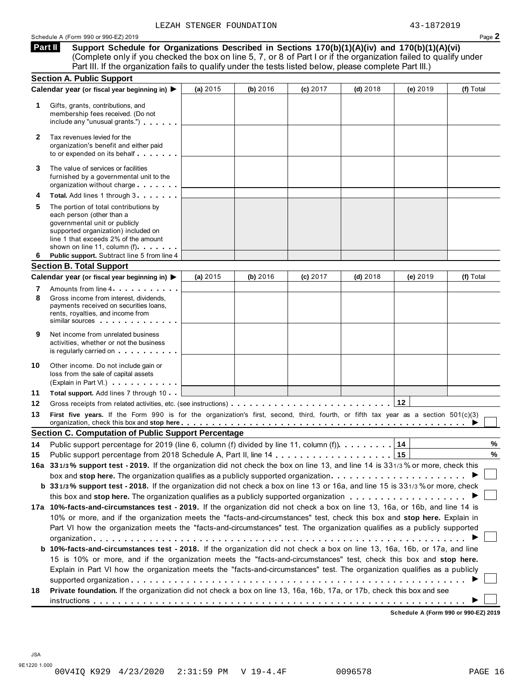**Support Schedule for Organizations Described in Sections 170(b)(1)(A)(iv) and 170(b)(1)(A)(vi)** (Complete only if you checked the box on line 5, 7, or 8 of Part I or if the organization failed to qualify under Part III. If the organization fails to qualify under the tests listed below, please complete Part III.) **Part II**

|        | <b>Section A. Public Support</b>                                                                                                                                                                                                                                                                                |          |          |            |            |          |           |
|--------|-----------------------------------------------------------------------------------------------------------------------------------------------------------------------------------------------------------------------------------------------------------------------------------------------------------------|----------|----------|------------|------------|----------|-----------|
|        | Calendar year (or fiscal year beginning in) ▶                                                                                                                                                                                                                                                                   | (a) 2015 | (b) 2016 | (c) 2017   | $(d)$ 2018 | (e) 2019 | (f) Total |
| 1.     | Gifts, grants, contributions, and<br>membership fees received. (Do not<br>include any "unusual grants.")                                                                                                                                                                                                        |          |          |            |            |          |           |
| 2      | Tax revenues levied for the<br>organization's benefit and either paid<br>to or expended on its behalf                                                                                                                                                                                                           |          |          |            |            |          |           |
| 3      | The value of services or facilities<br>furnished by a governmental unit to the<br>organization without charge                                                                                                                                                                                                   |          |          |            |            |          |           |
| 4      | Total. Add lines 1 through 3                                                                                                                                                                                                                                                                                    |          |          |            |            |          |           |
| 5      | The portion of total contributions by<br>each person (other than a<br>governmental unit or publicly<br>supported organization) included on<br>line 1 that exceeds 2% of the amount<br>shown on line 11, column (f)                                                                                              |          |          |            |            |          |           |
| 6      | Public support. Subtract line 5 from line 4                                                                                                                                                                                                                                                                     |          |          |            |            |          |           |
|        | <b>Section B. Total Support</b>                                                                                                                                                                                                                                                                                 |          |          |            |            |          |           |
|        | Calendar year (or fiscal year beginning in) ▶                                                                                                                                                                                                                                                                   | (a) 2015 | (b) 2016 | $(c)$ 2017 | $(d)$ 2018 | (e) 2019 | (f) Total |
| 7<br>8 | Amounts from line 4<br>Gross income from interest, dividends,<br>payments received on securities loans,<br>rents, royalties, and income from<br>similar sources experiences                                                                                                                                     |          |          |            |            |          |           |
| 9      | Net income from unrelated business<br>activities, whether or not the business<br>is regularly carried on the control of the set of the control of the control of the control of the control of the control of the control of the control of the control of the control of the control of the control of the con |          |          |            |            |          |           |
| 10     | Other income. Do not include gain or<br>loss from the sale of capital assets<br>(Explain in Part VI.)                                                                                                                                                                                                           |          |          |            |            |          |           |
| 11     | Total support. Add lines 7 through 10                                                                                                                                                                                                                                                                           |          |          |            |            |          |           |
| 12     |                                                                                                                                                                                                                                                                                                                 |          |          |            |            |          |           |
| 13     | First five years. If the Form 990 is for the organization's first, second, third, fourth, or fifth tax year as a section 501(c)(3)<br>organization, check this box and stop here entitled and state of the state of the state of the state of the state of $\blacktriangleright$                                |          |          |            |            |          |           |
|        | <b>Section C. Computation of Public Support Percentage</b>                                                                                                                                                                                                                                                      |          |          |            |            |          |           |
| 14     | Public support percentage for 2019 (line 6, column (f) divided by line 11, column (f)). $\dots \dots \dots$                                                                                                                                                                                                     |          |          |            |            | 14       | %         |
| 15     |                                                                                                                                                                                                                                                                                                                 |          |          |            |            |          | $\%$      |
|        | 16a 331/3% support test - 2019. If the organization did not check the box on line 13, and line 14 is 331/3% or more, check this                                                                                                                                                                                 |          |          |            |            |          |           |
|        | box and stop here. The organization qualifies as a publicly supported organization $\ldots \ldots \ldots \ldots \ldots \ldots$                                                                                                                                                                                  |          |          |            |            |          |           |
|        | b 331/3% support test - 2018. If the organization did not check a box on line 13 or 16a, and line 15 is 331/3% or more, check                                                                                                                                                                                   |          |          |            |            |          |           |
|        |                                                                                                                                                                                                                                                                                                                 |          |          |            |            |          |           |
|        | 17a 10%-facts-and-circumstances test - 2019. If the organization did not check a box on line 13, 16a, or 16b, and line 14 is                                                                                                                                                                                    |          |          |            |            |          |           |
|        | 10% or more, and if the organization meets the "facts-and-circumstances" test, check this box and stop here. Explain in                                                                                                                                                                                         |          |          |            |            |          |           |
|        | Part VI how the organization meets the "facts-and-circumstances" test. The organization qualifies as a publicly supported                                                                                                                                                                                       |          |          |            |            |          |           |
|        |                                                                                                                                                                                                                                                                                                                 |          |          |            |            |          |           |
|        | b 10%-facts-and-circumstances test - 2018. If the organization did not check a box on line 13, 16a, 16b, or 17a, and line                                                                                                                                                                                       |          |          |            |            |          |           |
|        | 15 is 10% or more, and if the organization meets the "facts-and-circumstances" test, check this box and stop here.                                                                                                                                                                                              |          |          |            |            |          |           |
|        | Explain in Part VI how the organization meets the "facts-and-circumstances" test. The organization qualifies as a publicly                                                                                                                                                                                      |          |          |            |            |          |           |
|        |                                                                                                                                                                                                                                                                                                                 |          |          |            |            |          |           |
| 18     | Private foundation. If the organization did not check a box on line 13, 16a, 16b, 17a, or 17b, check this box and see                                                                                                                                                                                           |          |          |            |            |          |           |
|        |                                                                                                                                                                                                                                                                                                                 |          |          |            |            |          |           |

**Schedule A (Form 990 or 990-EZ) 2019**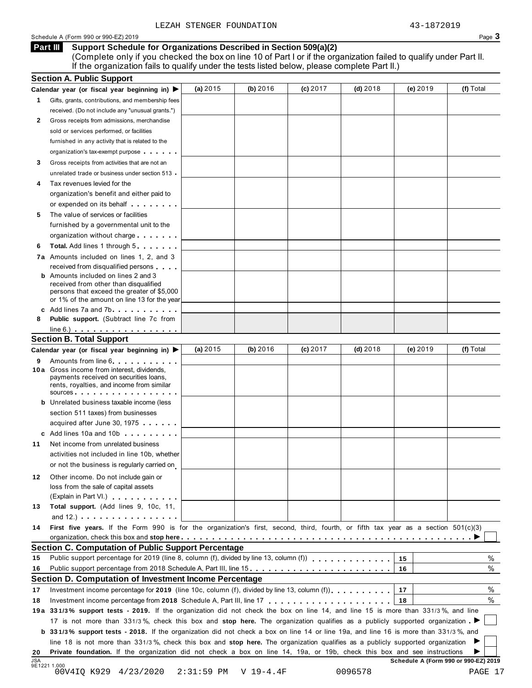### Schedule A (Form 990 or 990-EZ) 2019 Page  $3$

### **Support Schedule for Organizations Described in Section 509(a)(2) Part III**

(Complete only if you checked the box on line 10 of Part I or if the organization failed to qualify under Part II. If the organization fails to qualify under the tests listed below, please complete Part II.)

|            | <b>Section A. Public Support</b>                                                                                                                                                                                                     |              |             |            |            |                                      |           |
|------------|--------------------------------------------------------------------------------------------------------------------------------------------------------------------------------------------------------------------------------------|--------------|-------------|------------|------------|--------------------------------------|-----------|
|            | Calendar year (or fiscal year beginning in)                                                                                                                                                                                          | (a) $2015$   | (b) 2016    | (c) $2017$ | $(d)$ 2018 | (e) 2019                             | (f) Total |
| 1.         | Gifts, grants, contributions, and membership fees                                                                                                                                                                                    |              |             |            |            |                                      |           |
|            | received. (Do not include any "unusual grants.")                                                                                                                                                                                     |              |             |            |            |                                      |           |
| 2          | Gross receipts from admissions, merchandise                                                                                                                                                                                          |              |             |            |            |                                      |           |
|            | sold or services performed, or facilities                                                                                                                                                                                            |              |             |            |            |                                      |           |
|            | furnished in any activity that is related to the                                                                                                                                                                                     |              |             |            |            |                                      |           |
|            | organization's tax-exempt purpose                                                                                                                                                                                                    |              |             |            |            |                                      |           |
| 3          | Gross receipts from activities that are not an                                                                                                                                                                                       |              |             |            |            |                                      |           |
|            | unrelated trade or business under section 513                                                                                                                                                                                        |              |             |            |            |                                      |           |
|            | Tax revenues levied for the                                                                                                                                                                                                          |              |             |            |            |                                      |           |
|            | organization's benefit and either paid to                                                                                                                                                                                            |              |             |            |            |                                      |           |
|            | or expended on its behalf <b>contains the set of the set of the set of the set of the set of the set of the set of the set of the set of the set of the set of the set of the set of the set of the set of the set of the set of</b> |              |             |            |            |                                      |           |
| 5          | The value of services or facilities                                                                                                                                                                                                  |              |             |            |            |                                      |           |
|            | furnished by a governmental unit to the                                                                                                                                                                                              |              |             |            |            |                                      |           |
|            | organization without charge                                                                                                                                                                                                          |              |             |            |            |                                      |           |
| 6          | <b>Total.</b> Add lines 1 through 5                                                                                                                                                                                                  |              |             |            |            |                                      |           |
|            | 7a Amounts included on lines 1, 2, and 3                                                                                                                                                                                             |              |             |            |            |                                      |           |
|            | received from disqualified persons                                                                                                                                                                                                   |              |             |            |            |                                      |           |
|            | <b>b</b> Amounts included on lines 2 and 3                                                                                                                                                                                           |              |             |            |            |                                      |           |
|            | received from other than disqualified                                                                                                                                                                                                |              |             |            |            |                                      |           |
|            | persons that exceed the greater of \$5,000                                                                                                                                                                                           |              |             |            |            |                                      |           |
|            | or 1% of the amount on line 13 for the year<br>c Add lines 7a and 7b                                                                                                                                                                 |              |             |            |            |                                      |           |
| 8          | Public support. (Subtract line 7c from                                                                                                                                                                                               |              |             |            |            |                                      |           |
|            | $line 6.)$ $\ldots$ $\ldots$ $\ldots$ $\ldots$ $\ldots$ $\ldots$ $\ldots$                                                                                                                                                            |              |             |            |            |                                      |           |
|            | <b>Section B. Total Support</b>                                                                                                                                                                                                      |              |             |            |            |                                      |           |
|            | Calendar year (or fiscal year beginning in)                                                                                                                                                                                          | (a) $2015$   | (b) 2016    | $(c)$ 2017 | $(d)$ 2018 | (e) 2019                             | (f) Total |
|            |                                                                                                                                                                                                                                      |              |             |            |            |                                      |           |
| 9          | Amounts from line 6<br>10 a Gross income from interest, dividends,                                                                                                                                                                   |              |             |            |            |                                      |           |
|            | payments received on securities loans,                                                                                                                                                                                               |              |             |            |            |                                      |           |
|            | rents, royalties, and income from similar<br>SOUICES                                                                                                                                                                                 |              |             |            |            |                                      |           |
|            | <b>b</b> Unrelated business taxable income (less                                                                                                                                                                                     |              |             |            |            |                                      |           |
|            | section 511 taxes) from businesses                                                                                                                                                                                                   |              |             |            |            |                                      |           |
|            |                                                                                                                                                                                                                                      |              |             |            |            |                                      |           |
|            | acquired after June 30, 1975                                                                                                                                                                                                         |              |             |            |            |                                      |           |
|            | c Add lines 10a and 10b                                                                                                                                                                                                              |              |             |            |            |                                      |           |
| 11         | Net income from unrelated business                                                                                                                                                                                                   |              |             |            |            |                                      |           |
|            | activities not included in line 10b, whether                                                                                                                                                                                         |              |             |            |            |                                      |           |
|            | or not the business is regularly carried on                                                                                                                                                                                          |              |             |            |            |                                      |           |
| 12         | Other income. Do not include gain or                                                                                                                                                                                                 |              |             |            |            |                                      |           |
|            | loss from the sale of capital assets                                                                                                                                                                                                 |              |             |            |            |                                      |           |
|            | (Explain in Part VI.) Canada and The Contract of the Contract of the Contract of the Contract of the Contract of the Contract of the Contract of the Contract of the Contract of the Contract of the Contract of the Contract        |              |             |            |            |                                      |           |
| 13         | Total support. (Add lines 9, 10c, 11,                                                                                                                                                                                                |              |             |            |            |                                      |           |
|            | and $12.$ ) $\ldots$ $\ldots$ $\ldots$ $\ldots$ $\ldots$ $\ldots$                                                                                                                                                                    |              |             |            |            |                                      |           |
| 14         | First five years. If the Form 990 is for the organization's first, second, third, fourth, or fifth tax year as a section 501(c)(3)                                                                                                   |              |             |            |            |                                      |           |
|            |                                                                                                                                                                                                                                      |              |             |            |            |                                      |           |
|            | <b>Section C. Computation of Public Support Percentage</b>                                                                                                                                                                           |              |             |            |            |                                      |           |
| 15         |                                                                                                                                                                                                                                      |              |             |            |            | 15                                   | %         |
| 16         | Public support percentage from 2018 Schedule A, Part III, line 15.                                                                                                                                                                   |              |             |            |            | 16                                   | %         |
|            | Section D. Computation of Investment Income Percentage                                                                                                                                                                               |              |             |            |            |                                      |           |
| 17         | Investment income percentage for 2019 (line 10c, column (f), divided by line 13, column (f) $\ldots$ ,,,,,,,                                                                                                                         |              |             |            |            | 17                                   | %         |
| 18         |                                                                                                                                                                                                                                      |              |             |            |            | 18                                   | $\%$      |
|            | 19a 331/3% support tests - 2019. If the organization did not check the box on line 14, and line 15 is more than 331/3%, and line                                                                                                     |              |             |            |            |                                      |           |
|            | 17 is not more than 331/3%, check this box and stop here. The organization qualifies as a publicly supported organization                                                                                                            |              |             |            |            |                                      |           |
|            | <b>b</b> 331/3% support tests - 2018. If the organization did not check a box on line 14 or line 19a, and line 16 is more than 331/3%, and                                                                                           |              |             |            |            |                                      |           |
|            | line 18 is not more than 331/3%, check this box and stop here. The organization qualifies as a publicly supported organization                                                                                                       |              |             |            |            |                                      |           |
| 20         | Private foundation. If the organization did not check a box on line 14, 19a, or 19b, check this box and see instructions                                                                                                             |              |             |            |            |                                      |           |
| <b>JSA</b> | 9E1221 1.000                                                                                                                                                                                                                         |              |             |            |            | Schedule A (Form 990 or 990-EZ) 2019 |           |
|            | 00V4IQ K929 4/23/2020                                                                                                                                                                                                                | $2:31:59$ PM | $V 19-4.4F$ |            | 0096578    |                                      | PAGE 17   |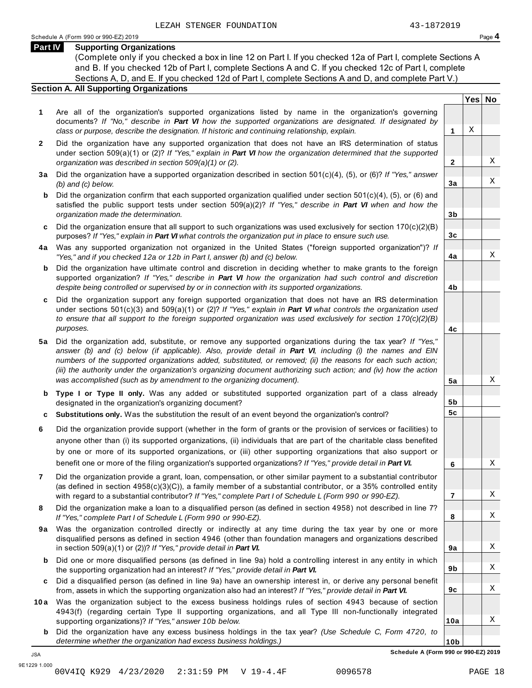**Yes No**

X

X

X

X

X

X

X

X

X

X

X

X

**2**

**3a**

**3b**

**3c**

**4a**

**4b**

**4c**

**5a**

**5b 5c**

**6**

**7**

**8**

**9a**

**9b**

**9c**

**10a**

### **Part IV Supporting Organizations**

(Complete only if you checked a box in line 12 on Part I. If you checked 12a of Part I, complete Sections A and B. If you checked 12b of Part I, complete Sections A and C. If you checked 12c of Part I, complete Sections A, D, and E. If you checked 12d of Part I, complete Sections A and D, and complete Part V.)

### **Section A. All Supporting Organizations**

- **1** Are all of the organization's supported organizations listed by name in the organization's governing documents? *If "No," describe in Part VI how the supported organizations are designated. If designated by class or purpose, describe the designation. If historic and continuing relationship, explain.* **1**
- **2** Did the organization have any supported organization that does not have an IRS determination of status under section 509(a)(1) or (2)? *If"Yes," explain in Part VI how the organization determined that the supported organization was described in section 509(a)(1) or (2).*
- **3 a** Did the organization have a supported organization described in section 501(c)(4), (5), or (6)? *If "Yes," answer (b) and (c) below.*
- **b** Did the organization confirm that each supported organization qualified under section 501(c)(4), (5), or (6) and | satisfied the public support tests under section 509(a)(2)? *If "Yes," describe in Part VI when and how the organization made the determination.*
- **c** Did the organization ensure that all support to such organizations was used exclusively for section 170(c)(2)(B) purposes? *If"Yes," explain in Part VI what controls the organization put in place to ensure such use.*
- **4 a** Was any supported organization not organized in the United States ("foreign supported organization")? *If "Yes," and if you checked 12a or 12b in Part I, answer (b) and (c) below.*
- **b** Did the organization have ultimate control and discretion in deciding whether to make grants to the foreign | supported organization? *If "Yes," describe in Part VI how the organization had such control and discretion despite being controlled or supervised by or in connection with its supported organizations.*
- **c** Did the organization support any foreign supported organization that does not have an IRS determination | under sections 501(c)(3) and 509(a)(1) or (2)? *If "Yes," explain in Part VI what controls the organization used to ensure that all support to the foreign supported organization was used exclusively for section 170(c)(2)(B) purposes.*
- **5 a** Did the organization add, substitute, or remove any supported organizations during the tax year? *If "Yes,"* answer (b) and (c) below (if applicable). Also, provide detail in Part VI, including (i) the names and EIN *numbers of the supported organizations added, substituted, or removed; (ii) the reasons for each such action;* (iii) the authority under the organization's organizing document authorizing such action; and (iv) how the action *was accomplished (such as by amendment to the organizing document).*
- **b Type I or Type II only.** Was any added or substituted supported organization part of a class already designated in the organization's organizing document?
- **c Substitutions only.** Was the substitution the result of an event beyond the organization's control?
- **6** Did the organization provide support (whether in the form of grants or the provision of services or facilities) to anyone other than (i) its supported organizations, (ii) individuals that are part of the charitable class benefited by one or more of its supported organizations, or (iii) other supporting organizations that also support or benefit one or more of the filing organization's supported organizations? *If"Yes," provide detail in Part VI.*
- **7** Did the organization provide a grant, loan, compensation, or other similar payment to a substantial contributor (as defined in section 4958(c)(3)(C)), a family member of a substantial contributor, or a 35% controlled entity with regard to a substantial contributor? *If"Yes," complete Part I of Schedule L (Form 990 or 990-EZ).*
- **8** Did the organization make a loan to a disqualified person (as defined in section 4958) not described in line 7? *If "Yes," complete Part I of Schedule L (Form 990 or 990-EZ).*
- **9a** Was the organization controlled directly or indirectly at any time during the tax year by one or more | disqualified persons as defined in section 4946 (other than foundation managers and organizations described in section 509(a)(1) or (2))? *If"Yes," provide detail in Part VI.*
- **b** Did one or more disqualified persons (as defined in line 9a) hold a controlling interest in any entity in which | the supporting organization had an interest? *If"Yes," provide detail in Part VI.*
- **c** Did a disqualified person (as defined in line 9a) have an ownership interest in, or derive any personal benefit from, assets in which the supporting organization also had an interest? *If"Yes," provide detail in Part VI.*
- **10a** Was the organization subject to the excess business holdings rules of section 4943 because of section | 4943(f) (regarding certain Type II supporting organizations, and all Type III non-functionally integrated supporting organizations)? *If"Yes," answer 10b below.*
	- **b** Did the organization have any excess business holdings in the tax year? *(Use Schedule C, Form 4720, to determine whether the organization had excess business holdings.)*

**10b Schedule A (Form 990 or 990-EZ) 2019**

JSA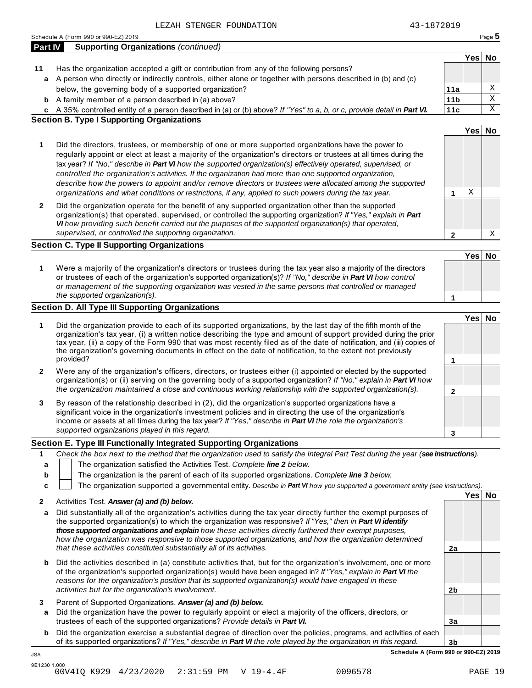|             | LEZAH STENGER FOUNDATION                                                                                                                                                                                                                                                                                                                                                                                                                                                                                                                                                                                                                                                     | 43-1872019      |        |                         |
|-------------|------------------------------------------------------------------------------------------------------------------------------------------------------------------------------------------------------------------------------------------------------------------------------------------------------------------------------------------------------------------------------------------------------------------------------------------------------------------------------------------------------------------------------------------------------------------------------------------------------------------------------------------------------------------------------|-----------------|--------|-------------------------|
|             | Schedule A (Form 990 or 990-EZ) 2019                                                                                                                                                                                                                                                                                                                                                                                                                                                                                                                                                                                                                                         |                 |        | Page 5                  |
| Part IV     | <b>Supporting Organizations (continued)</b>                                                                                                                                                                                                                                                                                                                                                                                                                                                                                                                                                                                                                                  |                 |        |                         |
|             |                                                                                                                                                                                                                                                                                                                                                                                                                                                                                                                                                                                                                                                                              |                 | Yes No |                         |
| 11          | Has the organization accepted a gift or contribution from any of the following persons?                                                                                                                                                                                                                                                                                                                                                                                                                                                                                                                                                                                      |                 |        |                         |
| a           | A person who directly or indirectly controls, either alone or together with persons described in (b) and (c)                                                                                                                                                                                                                                                                                                                                                                                                                                                                                                                                                                 |                 |        |                         |
|             | below, the governing body of a supported organization?                                                                                                                                                                                                                                                                                                                                                                                                                                                                                                                                                                                                                       | 11a             |        | Χ                       |
|             | <b>b</b> A family member of a person described in (a) above?                                                                                                                                                                                                                                                                                                                                                                                                                                                                                                                                                                                                                 | 11 <sub>b</sub> |        | $\overline{\mathbf{x}}$ |
|             | c A 35% controlled entity of a person described in (a) or (b) above? If "Yes" to a, b, or c, provide detail in Part VI.                                                                                                                                                                                                                                                                                                                                                                                                                                                                                                                                                      | 11c             |        | $\mathbf X$             |
|             | <b>Section B. Type I Supporting Organizations</b>                                                                                                                                                                                                                                                                                                                                                                                                                                                                                                                                                                                                                            |                 |        |                         |
|             |                                                                                                                                                                                                                                                                                                                                                                                                                                                                                                                                                                                                                                                                              |                 | Yes No |                         |
| 1           | Did the directors, trustees, or membership of one or more supported organizations have the power to<br>regularly appoint or elect at least a majority of the organization's directors or trustees at all times during the<br>tax year? If "No," describe in Part VI how the supported organization(s) effectively operated, supervised, or<br>controlled the organization's activities. If the organization had more than one supported organization,<br>describe how the powers to appoint and/or remove directors or trustees were allocated among the supported<br>organizations and what conditions or restrictions, if any, applied to such powers during the tax year. | 1               | Χ      |                         |
| 2           | Did the organization operate for the benefit of any supported organization other than the supported                                                                                                                                                                                                                                                                                                                                                                                                                                                                                                                                                                          |                 |        |                         |
|             | organization(s) that operated, supervised, or controlled the supporting organization? If "Yes," explain in Part                                                                                                                                                                                                                                                                                                                                                                                                                                                                                                                                                              |                 |        |                         |
|             | VI how providing such benefit carried out the purposes of the supported organization(s) that operated,                                                                                                                                                                                                                                                                                                                                                                                                                                                                                                                                                                       |                 |        |                         |
|             | supervised, or controlled the supporting organization.                                                                                                                                                                                                                                                                                                                                                                                                                                                                                                                                                                                                                       | $\mathbf{2}$    |        | Χ                       |
|             | <b>Section C. Type II Supporting Organizations</b>                                                                                                                                                                                                                                                                                                                                                                                                                                                                                                                                                                                                                           |                 |        |                         |
|             |                                                                                                                                                                                                                                                                                                                                                                                                                                                                                                                                                                                                                                                                              |                 | Yes No |                         |
| 1           | Were a majority of the organization's directors or trustees during the tax year also a majority of the directors<br>or trustees of each of the organization's supported organization(s)? If "No," describe in Part VI how control<br>or management of the supporting organization was vested in the same persons that controlled or managed<br>the supported organization(s).                                                                                                                                                                                                                                                                                                | 1               |        |                         |
|             | Section D. All Type III Supporting Organizations                                                                                                                                                                                                                                                                                                                                                                                                                                                                                                                                                                                                                             |                 |        |                         |
|             |                                                                                                                                                                                                                                                                                                                                                                                                                                                                                                                                                                                                                                                                              |                 | Yes No |                         |
| 1           | Did the organization provide to each of its supported organizations, by the last day of the fifth month of the<br>organization's tax year, (i) a written notice describing the type and amount of support provided during the prior<br>tax year, (ii) a copy of the Form 990 that was most recently filed as of the date of notification, and (iii) copies of<br>the organization's governing documents in effect on the date of notification, to the extent not previously<br>provided?                                                                                                                                                                                     | 1               |        |                         |
| 2           | Were any of the organization's officers, directors, or trustees either (i) appointed or elected by the supported                                                                                                                                                                                                                                                                                                                                                                                                                                                                                                                                                             |                 |        |                         |
|             | organization(s) or (ii) serving on the governing body of a supported organization? If "No," explain in Part VI how<br>the organization maintained a close and continuous working relationship with the supported organization(s).                                                                                                                                                                                                                                                                                                                                                                                                                                            | $\mathbf{2}$    |        |                         |
| 3           | By reason of the relationship described in (2), did the organization's supported organizations have a<br>significant voice in the organization's investment policies and in directing the use of the organization's<br>income or assets at all times during the tax year? If "Yes," describe in Part VI the role the organization's<br>supported organizations played in this regard.                                                                                                                                                                                                                                                                                        | 3               |        |                         |
|             | Section E. Type III Functionally Integrated Supporting Organizations                                                                                                                                                                                                                                                                                                                                                                                                                                                                                                                                                                                                         |                 |        |                         |
| 1<br>a<br>b | Check the box next to the method that the organization used to satisfy the Integral Part Test during the year (see instructions).<br>The organization satisfied the Activities Test. Complete line 2 below.<br>The organization is the parent of each of its supported organizations. Complete line 3 below.<br>The organization supported a governmental entity. Describe in Part VI how you supported a government entity (see instructions).                                                                                                                                                                                                                              |                 |        |                         |
| c           |                                                                                                                                                                                                                                                                                                                                                                                                                                                                                                                                                                                                                                                                              |                 | Yes No |                         |
| 2           | Activities Test. Answer (a) and (b) below.                                                                                                                                                                                                                                                                                                                                                                                                                                                                                                                                                                                                                                   |                 |        |                         |
| a           | Did substantially all of the organization's activities during the tax year directly further the exempt purposes of<br>the supported organization(s) to which the organization was responsive? If "Yes," then in Part VI identify<br>those supported organizations and explain how these activities directly furthered their exempt purposes,<br>how the organization was responsive to those supported organizations, and how the organization determined<br>that these activities constituted substantially all of its activities.                                                                                                                                          | 2a              |        |                         |
| b           | Did the activities described in (a) constitute activities that, but for the organization's involvement, one or more<br>of the organization's supported organization(s) would have been engaged in? If "Yes," explain in Part VI the<br>reasons for the organization's position that its supported organization(s) would have engaged in these                                                                                                                                                                                                                                                                                                                                |                 |        |                         |
|             | activities but for the organization's involvement.                                                                                                                                                                                                                                                                                                                                                                                                                                                                                                                                                                                                                           | 2b              |        |                         |

**3** Parent of Supported Organizations. *Answer (a) and (b) below.*

JSA

- **a** Did the organization have the power to regularly appoint or elect a majority of the officers, directors, or trustees of each of the supported organizations? *Provide details in Part VI.*
- **b** Did the organization exercise a substantial degree of direction over the policies, programs, and activities of each of its supported organizations? *If"Yes," describe in Part VI the role played by the organization in this regard.*

**3b Schedule A (Form 990 or 990-EZ) 2019**

**3a**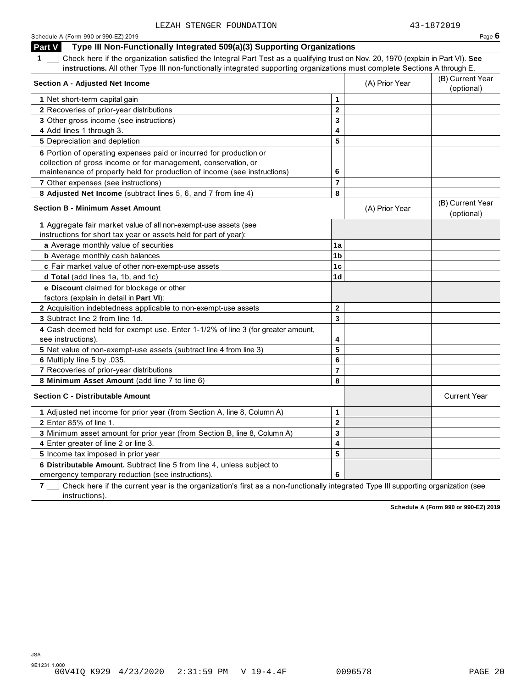| Schedule A (Form 990 or 990-EZ) 2019                                                                                                                                                                                                                                         |                |                | Page $6$                       |
|------------------------------------------------------------------------------------------------------------------------------------------------------------------------------------------------------------------------------------------------------------------------------|----------------|----------------|--------------------------------|
| Part V<br>Type III Non-Functionally Integrated 509(a)(3) Supporting Organizations                                                                                                                                                                                            |                |                |                                |
| Check here if the organization satisfied the Integral Part Test as a qualifying trust on Nov. 20, 1970 (explain in Part VI). See<br>$\mathbf 1$<br>instructions. All other Type III non-functionally integrated supporting organizations must complete Sections A through E. |                |                |                                |
| <b>Section A - Adjusted Net Income</b>                                                                                                                                                                                                                                       |                | (A) Prior Year | (B) Current Year<br>(optional) |
| 1 Net short-term capital gain                                                                                                                                                                                                                                                | 1              |                |                                |
| 2 Recoveries of prior-year distributions                                                                                                                                                                                                                                     | $\overline{2}$ |                |                                |
| 3 Other gross income (see instructions)                                                                                                                                                                                                                                      | 3              |                |                                |
| 4 Add lines 1 through 3.                                                                                                                                                                                                                                                     | 4              |                |                                |
| 5 Depreciation and depletion                                                                                                                                                                                                                                                 | 5              |                |                                |
| 6 Portion of operating expenses paid or incurred for production or<br>collection of gross income or for management, conservation, or<br>maintenance of property held for production of income (see instructions)                                                             | 6              |                |                                |
| 7 Other expenses (see instructions)                                                                                                                                                                                                                                          | $\overline{7}$ |                |                                |
| 8 Adjusted Net Income (subtract lines 5, 6, and 7 from line 4)                                                                                                                                                                                                               | 8              |                |                                |
| <b>Section B - Minimum Asset Amount</b>                                                                                                                                                                                                                                      |                | (A) Prior Year | (B) Current Year<br>(optional) |
| 1 Aggregate fair market value of all non-exempt-use assets (see                                                                                                                                                                                                              |                |                |                                |
| instructions for short tax year or assets held for part of year):                                                                                                                                                                                                            |                |                |                                |
| a Average monthly value of securities                                                                                                                                                                                                                                        | 1a             |                |                                |
| <b>b</b> Average monthly cash balances                                                                                                                                                                                                                                       | 1 <sub>b</sub> |                |                                |
| c Fair market value of other non-exempt-use assets                                                                                                                                                                                                                           | 1 <sub>c</sub> |                |                                |
| d Total (add lines 1a, 1b, and 1c)                                                                                                                                                                                                                                           | 1 <sub>d</sub> |                |                                |
| e Discount claimed for blockage or other<br>factors (explain in detail in Part VI):                                                                                                                                                                                          |                |                |                                |
| 2 Acquisition indebtedness applicable to non-exempt-use assets                                                                                                                                                                                                               | $\mathbf 2$    |                |                                |
| 3 Subtract line 2 from line 1d.                                                                                                                                                                                                                                              | 3              |                |                                |
| 4 Cash deemed held for exempt use. Enter 1-1/2% of line 3 (for greater amount,<br>see instructions).                                                                                                                                                                         | 4              |                |                                |
| 5 Net value of non-exempt-use assets (subtract line 4 from line 3)                                                                                                                                                                                                           | 5              |                |                                |
| 6 Multiply line 5 by .035.                                                                                                                                                                                                                                                   | 6              |                |                                |
| 7 Recoveries of prior-year distributions                                                                                                                                                                                                                                     | $\overline{7}$ |                |                                |
| 8 Minimum Asset Amount (add line 7 to line 6)                                                                                                                                                                                                                                | 8              |                |                                |
| <b>Section C - Distributable Amount</b>                                                                                                                                                                                                                                      |                |                | <b>Current Year</b>            |
| 1 Adjusted net income for prior year (from Section A, line 8, Column A)                                                                                                                                                                                                      | $\mathbf{1}$   |                |                                |
| 2 Enter 85% of line 1.                                                                                                                                                                                                                                                       | $\mathbf 2$    |                |                                |
| 3 Minimum asset amount for prior year (from Section B, line 8, Column A)                                                                                                                                                                                                     | 3              |                |                                |
| 4 Enter greater of line 2 or line 3.                                                                                                                                                                                                                                         | 4              |                |                                |
| 5 Income tax imposed in prior year                                                                                                                                                                                                                                           | 5              |                |                                |
| 6 Distributable Amount. Subtract line 5 from line 4, unless subject to                                                                                                                                                                                                       |                |                |                                |
| emergency temporary reduction (see instructions)                                                                                                                                                                                                                             | 6              |                |                                |

**7** | Check here if the current year is the organization's first as a non-functionally integrated Type III supporting organization (see instructions).

**Schedule A (Form 990 or 990-EZ) 2019**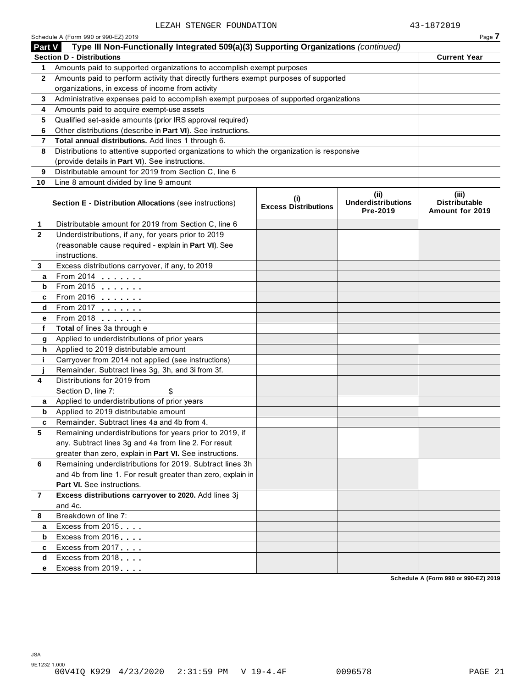|                         | Schedule A (Form 990 or 990-EZ) 2019                                                       |                                             |                                               | Page 7                                           |
|-------------------------|--------------------------------------------------------------------------------------------|---------------------------------------------|-----------------------------------------------|--------------------------------------------------|
| <b>Part V</b>           | Type III Non-Functionally Integrated 509(a)(3) Supporting Organizations (continued)        |                                             |                                               |                                                  |
|                         | <b>Section D - Distributions</b>                                                           |                                             |                                               | <b>Current Year</b>                              |
| 1                       | Amounts paid to supported organizations to accomplish exempt purposes                      |                                             |                                               |                                                  |
| $\mathbf{2}$            | Amounts paid to perform activity that directly furthers exempt purposes of supported       |                                             |                                               |                                                  |
|                         | organizations, in excess of income from activity                                           |                                             |                                               |                                                  |
| 3                       | Administrative expenses paid to accomplish exempt purposes of supported organizations      |                                             |                                               |                                                  |
| 4                       | Amounts paid to acquire exempt-use assets                                                  |                                             |                                               |                                                  |
| 5                       | Qualified set-aside amounts (prior IRS approval required)                                  |                                             |                                               |                                                  |
| 6                       | Other distributions (describe in Part VI). See instructions.                               |                                             |                                               |                                                  |
| $\overline{\mathbf{r}}$ | Total annual distributions. Add lines 1 through 6.                                         |                                             |                                               |                                                  |
| 8                       | Distributions to attentive supported organizations to which the organization is responsive |                                             |                                               |                                                  |
|                         | (provide details in Part VI). See instructions.                                            |                                             |                                               |                                                  |
| 9                       | Distributable amount for 2019 from Section C, line 6                                       |                                             |                                               |                                                  |
| 10                      | Line 8 amount divided by line 9 amount                                                     |                                             |                                               |                                                  |
|                         | Section E - Distribution Allocations (see instructions)                                    | $\mathbf{u}$<br><b>Excess Distributions</b> | (ii)<br><b>Underdistributions</b><br>Pre-2019 | (iii)<br><b>Distributable</b><br>Amount for 2019 |
| 1.                      | Distributable amount for 2019 from Section C, line 6                                       |                                             |                                               |                                                  |
| $\mathbf{2}$            | Underdistributions, if any, for years prior to 2019                                        |                                             |                                               |                                                  |
|                         | (reasonable cause required - explain in Part VI). See                                      |                                             |                                               |                                                  |
|                         | instructions.                                                                              |                                             |                                               |                                                  |
| 3                       | Excess distributions carryover, if any, to 2019                                            |                                             |                                               |                                                  |
| a                       | From 2014                                                                                  |                                             |                                               |                                                  |
| b                       | From 2015 $\qquad \qquad \qquad$                                                           |                                             |                                               |                                                  |
| c                       | From 2016 <b></b>                                                                          |                                             |                                               |                                                  |
| d                       | From 2017                                                                                  |                                             |                                               |                                                  |
| е                       | From 2018                                                                                  |                                             |                                               |                                                  |
| f                       | Total of lines 3a through e                                                                |                                             |                                               |                                                  |
| g                       | Applied to underdistributions of prior years                                               |                                             |                                               |                                                  |
| h                       | Applied to 2019 distributable amount                                                       |                                             |                                               |                                                  |
| j.                      | Carryover from 2014 not applied (see instructions)                                         |                                             |                                               |                                                  |
|                         | Remainder. Subtract lines 3g, 3h, and 3i from 3f.                                          |                                             |                                               |                                                  |
| 4                       | Distributions for 2019 from                                                                |                                             |                                               |                                                  |
|                         | Section D, line 7:                                                                         |                                             |                                               |                                                  |
| a                       | Applied to underdistributions of prior years                                               |                                             |                                               |                                                  |
| b                       | Applied to 2019 distributable amount                                                       |                                             |                                               |                                                  |
| с                       | Remainder. Subtract lines 4a and 4b from 4.                                                |                                             |                                               |                                                  |
| 5                       | Remaining underdistributions for years prior to 2019, if                                   |                                             |                                               |                                                  |
|                         | any. Subtract lines 3g and 4a from line 2. For result                                      |                                             |                                               |                                                  |
|                         | greater than zero, explain in Part VI. See instructions.                                   |                                             |                                               |                                                  |
| 6                       | Remaining underdistributions for 2019. Subtract lines 3h                                   |                                             |                                               |                                                  |
|                         | and 4b from line 1. For result greater than zero, explain in                               |                                             |                                               |                                                  |
|                         | <b>Part VI.</b> See instructions.                                                          |                                             |                                               |                                                  |
| $\overline{7}$          | Excess distributions carryover to 2020. Add lines 3j                                       |                                             |                                               |                                                  |
|                         | and 4c.                                                                                    |                                             |                                               |                                                  |
| 8                       | Breakdown of line 7:                                                                       |                                             |                                               |                                                  |
| a                       | Excess from 2015                                                                           |                                             |                                               |                                                  |
| b                       | Excess from 2016                                                                           |                                             |                                               |                                                  |
| c                       | Excess from 2017                                                                           |                                             |                                               |                                                  |
| d                       | Excess from 2018                                                                           |                                             |                                               |                                                  |
| е                       | Excess from 2019                                                                           |                                             |                                               |                                                  |

**Schedule A (Form 990 or 990-EZ) 2019**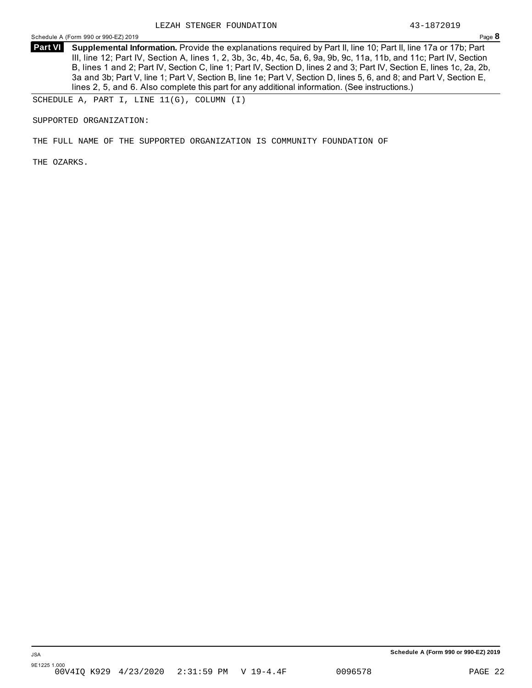**Supplemental Information.** Provide the explanations required by Part II, line 10; Part II, line 17a or 17b; Part **Part VI** III, line 12; Part IV, Section A, lines 1, 2, 3b, 3c, 4b, 4c, 5a, 6, 9a, 9b, 9c, 11a, 11b, and 11c; Part IV, Section B, lines 1 and 2; Part IV, Section C, line 1; Part IV, Section D, lines 2 and 3; Part IV, Section E, lines 1c, 2a, 2b, 3a and 3b; Part V, line 1; Part V, Section B, line 1e; Part V, Section D, lines 5, 6, and 8; and Part V, Section E, lines 2, 5, and 6. Also complete this part for any additional information. (See instructions.)

SCHEDULE A, PART I, LINE 11(G), COLUMN (I)

SUPPORTED ORGANIZATION:

THE FULL NAME OF THE SUPPORTED ORGANIZATION IS COMMUNITY FOUNDATION OF

THE OZARKS.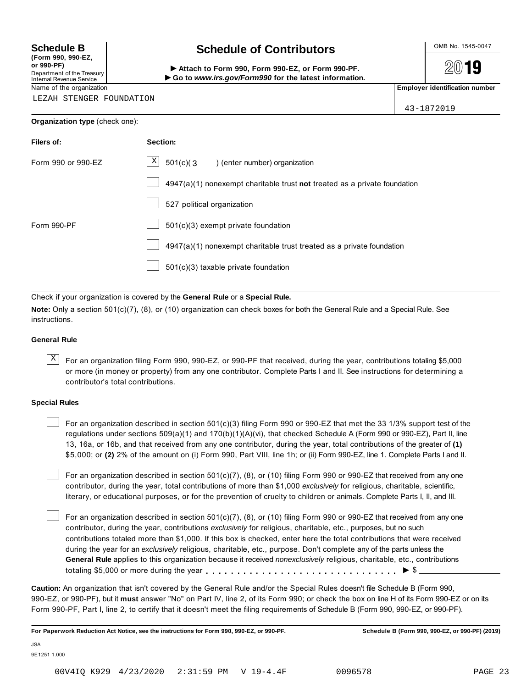**(Form 990, 990-EZ, or 990-PF)** Department of the Treasury<br>Internal Revenue Service

## **Schedule B chedule of Contributors**

(Point issue, sub-EZ,<br>Department of the Treasury internal Revenue Service<br>Department of the Treasury internal Revenue Service internal Revenue Service internal Revenue Service internal<br>Name of the organization internal Re

2019

43-1872019

LEZAH STENGER FOUNDATION

|  | Organization type (check one): |  |
|--|--------------------------------|--|
|--|--------------------------------|--|

| <b>Filers of:</b>  | Section:                                                                  |
|--------------------|---------------------------------------------------------------------------|
| Form 990 or 990-EZ | $\mathbf{X}$<br>$501(c)$ (3<br>) (enter number) organization              |
|                    | 4947(a)(1) nonexempt charitable trust not treated as a private foundation |
|                    | 527 political organization                                                |
| Form 990-PF        | 501(c)(3) exempt private foundation                                       |
|                    | 4947(a)(1) nonexempt charitable trust treated as a private foundation     |
|                    | 501(c)(3) taxable private foundation                                      |

Check if your organization is covered by the **General Rule** or a **Special Rule.**

**Note:** Only a section 501(c)(7), (8), or (10) organization can check boxes for both the General Rule and a Special Rule. See instructions.

### **General Rule**

 $\overline{X}$  For an organization filing Form 990, 990-EZ, or 990-PF that received, during the year, contributions totaling \$5,000 or more (in money or property) from any one contributor. Complete Parts I and II. See instructions for determining a contributor's total contributions.

### **Special Rules**

For an organization described in section 501(c)(3) filing Form 990 or 990-EZ that met the 33 1/3% support test of the regulations under sections 509(a)(1) and 170(b)(1)(A)(vi), that checked Schedule A (Form 990 or 990-EZ), Part II, line 13, 16a, or 16b, and that received from any one contributor, during the year, total contributions of the greater of **(1)** \$5,000; or **(2)** 2% of the amount on (i) Form 990, Part VIII, line 1h; or (ii) Form 990-EZ, line 1. Complete Parts I and II.

For an organization described in section 501(c)(7), (8), or (10) filing Form 990 or 990-EZ that received from any one contributor, during the year, total contributions of more than \$1,000 *exclusively* for religious, charitable, scientific, literary, or educational purposes, or for the prevention of cruelty to children or animals. Complete Parts I, II, and III.

For an organization described in section 501(c)(7), (8), or (10) filing Form 990 or 990-EZ that received from any one contributor, during the year, contributions *exclusively* for religious, charitable, etc., purposes, but no such contributions totaled more than \$1,000. If this box is checked, enter here the total contributions that were received during the year for an *exclusively* religious, charitable, etc., purpose. Don't complete any of the parts unless the **General Rule** applies to this organization because it received *nonexclusively* religious, charitable, etc., contributions totaling \$5,000 or more during the year m m m m m m m m m m m m m m m m m m m m m m m m m m m m m m m I \$

**Caution:** An organization that isn't covered by the General Rule and/or the Special Rules doesn't file Schedule B (Form 990, 990-EZ, or 990-PF), but it **must** answer "No" on Part IV, line 2, of its Form 990; or check the box on line H of its Form 990-EZ or on its Form 990-PF, Part I, line 2, to certify that it doesn't meet the filing requirements of Schedule B (Form 990, 990-EZ, or 990-PF).

For Paperwork Reduction Act Notice, see the instructions for Form 990, 990-EZ, or 990-PF. Schedule B (Form 990, 990-EZ, or 990-PF) (2019)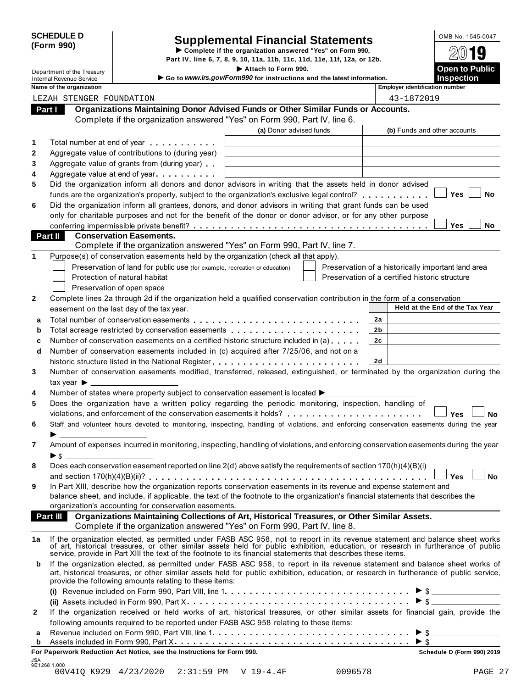|            | <b>SCHEDULE D</b> |
|------------|-------------------|
| (Form 990) |                   |

# SCHEDULE D<br>
Supplemental Financial Statements<br>
Form 990)<br>
Part IV, line 6, 7, 8, 9, 10, 11a, 11b, 11c, 11d, 11e, 11f, 12a, or 12b.<br>
Part IV, line 6, 7, 8, 9, 10, 11a, 11b, 11c, 11d, 11e, 11f, 12a, or 12b.

Department of the Treasury Internation Control of the Treasury International Control of the Treasury I and Control of the Section of the Section of the Section of the Section of the Section of the Section of the Section of

Internal Revenue Service I **Go to** *www.irs.gov/Form990* **for instructions and the latest information. Inspection**

**Name** of the organization

| lloyer identification numbei |  |
|------------------------------|--|
|                              |  |

|    | LEZAH STENGER FOUNDATION                                                                                                                                                                                                                                               | 43-1872019                                                                                           |
|----|------------------------------------------------------------------------------------------------------------------------------------------------------------------------------------------------------------------------------------------------------------------------|------------------------------------------------------------------------------------------------------|
|    | Organizations Maintaining Donor Advised Funds or Other Similar Funds or Accounts.<br>Part I                                                                                                                                                                            |                                                                                                      |
|    | Complete if the organization answered "Yes" on Form 990, Part IV, line 6.                                                                                                                                                                                              |                                                                                                      |
|    | (a) Donor advised funds                                                                                                                                                                                                                                                | (b) Funds and other accounts                                                                         |
| 1  | Total number at end of year example.                                                                                                                                                                                                                                   |                                                                                                      |
| 2  | Aggregate value of contributions to (during year)                                                                                                                                                                                                                      |                                                                                                      |
| 3  | Aggregate value of grants from (during year).                                                                                                                                                                                                                          |                                                                                                      |
| 4  | Aggregate value at end of year example.                                                                                                                                                                                                                                |                                                                                                      |
| 5  | Did the organization inform all donors and donor advisors in writing that the assets held in donor advised                                                                                                                                                             |                                                                                                      |
|    | funds are the organization's property, subject to the organization's exclusive legal control?                                                                                                                                                                          | Yes<br>No                                                                                            |
| 6  | Did the organization inform all grantees, donors, and donor advisors in writing that grant funds can be used                                                                                                                                                           |                                                                                                      |
|    | only for charitable purposes and not for the benefit of the donor or donor advisor, or for any other purpose                                                                                                                                                           |                                                                                                      |
|    |                                                                                                                                                                                                                                                                        | Yes<br>No                                                                                            |
|    | Part II<br><b>Conservation Easements.</b>                                                                                                                                                                                                                              |                                                                                                      |
| 1  | Complete if the organization answered "Yes" on Form 990, Part IV, line 7.<br>Purpose(s) of conservation easements held by the organization (check all that apply).                                                                                                     |                                                                                                      |
|    |                                                                                                                                                                                                                                                                        |                                                                                                      |
|    | Preservation of land for public use (for example, recreation or education)<br>Protection of natural habitat                                                                                                                                                            | Preservation of a historically important land area<br>Preservation of a certified historic structure |
|    | Preservation of open space                                                                                                                                                                                                                                             |                                                                                                      |
| 2  | Complete lines 2a through 2d if the organization held a qualified conservation contribution in the form of a conservation                                                                                                                                              |                                                                                                      |
|    | easement on the last day of the tax year.                                                                                                                                                                                                                              | Held at the End of the Tax Year                                                                      |
| a  |                                                                                                                                                                                                                                                                        | 2a                                                                                                   |
| b  |                                                                                                                                                                                                                                                                        | 2b                                                                                                   |
| c  | Number of conservation easements on a certified historic structure included in (a)                                                                                                                                                                                     | 2c                                                                                                   |
| d  | Number of conservation easements included in (c) acquired after 7/25/06, and not on a                                                                                                                                                                                  |                                                                                                      |
|    |                                                                                                                                                                                                                                                                        | <b>2d</b>                                                                                            |
| 3  | Number of conservation easements modified, transferred, released, extinguished, or terminated by the organization during the                                                                                                                                           |                                                                                                      |
|    |                                                                                                                                                                                                                                                                        |                                                                                                      |
| 4  | Number of states where property subject to conservation easement is located >                                                                                                                                                                                          |                                                                                                      |
| 5  | Does the organization have a written policy regarding the periodic monitoring, inspection, handling of                                                                                                                                                                 |                                                                                                      |
|    | violations, and enforcement of the conservation easements it holds?                                                                                                                                                                                                    | Yes<br>No                                                                                            |
| 6  | Staff and volunteer hours devoted to monitoring, inspecting, handling of violations, and enforcing conservation easements during the year                                                                                                                              |                                                                                                      |
|    | $\blacktriangleright$ and $\blacktriangleright$ and $\blacktriangleright$                                                                                                                                                                                              |                                                                                                      |
| 7  | Amount of expenses incurred in monitoring, inspecting, handling of violations, and enforcing conservation easements during the year                                                                                                                                    |                                                                                                      |
|    | $\blacktriangleright$ s                                                                                                                                                                                                                                                |                                                                                                      |
| 8  | Does each conservation easement reported on line 2(d) above satisfy the requirements of section 170(h)(4)(B)(i)                                                                                                                                                        |                                                                                                      |
|    |                                                                                                                                                                                                                                                                        | Yes<br>No                                                                                            |
| 9  | In Part XIII, describe how the organization reports conservation easements in its revenue and expense statement and                                                                                                                                                    |                                                                                                      |
|    | balance sheet, and include, if applicable, the text of the footnote to the organization's financial statements that describes the                                                                                                                                      |                                                                                                      |
|    | organization's accounting for conservation easements.<br>Part III Organizations Maintaining Collections of Art, Historical Treasures, or Other Similar Assets.                                                                                                         |                                                                                                      |
|    | Complete if the organization answered "Yes" on Form 990, Part IV, line 8.                                                                                                                                                                                              |                                                                                                      |
|    |                                                                                                                                                                                                                                                                        |                                                                                                      |
| 1a | If the organization elected, as permitted under FASB ASC 958, not to report in its revenue statement and balance sheet works<br>of art, historical treasures, or other similar assets held for public exhibition, education, or research in furtherance of public      |                                                                                                      |
|    | service, provide in Part XIII the text of the footnote to its financial statements that describes these items.                                                                                                                                                         |                                                                                                      |
| b  | If the organization elected, as permitted under FASB ASC 958, to report in its revenue statement and balance sheet works of<br>art, historical treasures, or other similar assets held for public exhibition, education, or research in furtherance of public service, |                                                                                                      |
|    | provide the following amounts relating to these items:                                                                                                                                                                                                                 |                                                                                                      |
|    |                                                                                                                                                                                                                                                                        |                                                                                                      |
|    |                                                                                                                                                                                                                                                                        | $\triangleright$ \$                                                                                  |
| 2  | If the organization received or held works of art, historical treasures, or other similar assets for financial gain, provide the                                                                                                                                       |                                                                                                      |
|    | following amounts required to be reported under FASB ASC 958 relating to these items:                                                                                                                                                                                  |                                                                                                      |
| a  |                                                                                                                                                                                                                                                                        | $\triangleright$ \$                                                                                  |
| b  |                                                                                                                                                                                                                                                                        |                                                                                                      |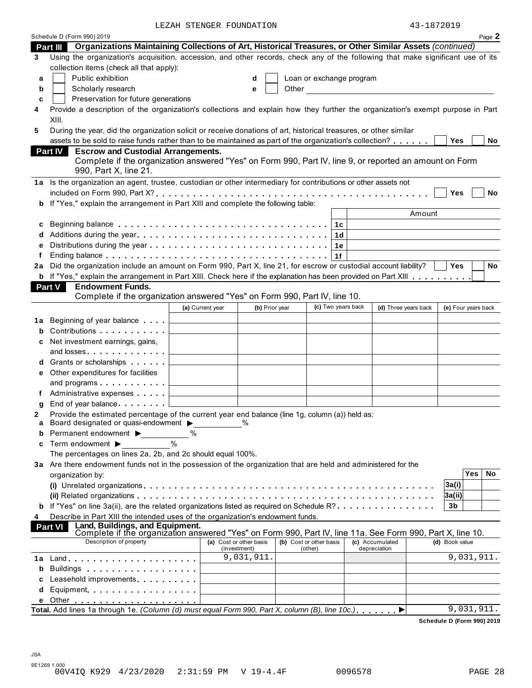LEZAH STENGER FOUNDATION  $43-1872019$ 

|    | Schedule D (Form 990) 2019                                                                                                                                                                                                         |                                           |                |                         |         |                          |                                                                                                                      |                     |            | Page 2 |
|----|------------------------------------------------------------------------------------------------------------------------------------------------------------------------------------------------------------------------------------|-------------------------------------------|----------------|-------------------------|---------|--------------------------|----------------------------------------------------------------------------------------------------------------------|---------------------|------------|--------|
|    | Organizations Maintaining Collections of Art, Historical Treasures, or Other Similar Assets (continued)<br>Part III                                                                                                                |                                           |                |                         |         |                          |                                                                                                                      |                     |            |        |
| 3  | Using the organization's acquisition, accession, and other records, check any of the following that make significant use of its                                                                                                    |                                           |                |                         |         |                          |                                                                                                                      |                     |            |        |
|    | collection items (check all that apply):                                                                                                                                                                                           |                                           |                |                         |         |                          |                                                                                                                      |                     |            |        |
| a  | Public exhibition                                                                                                                                                                                                                  |                                           | d              |                         |         | Loan or exchange program |                                                                                                                      |                     |            |        |
| b  | Scholarly research                                                                                                                                                                                                                 |                                           | е              | Other                   |         |                          | <u> 1989 - Jan Barbara Barat, prima popular popular popular popular popular popular popular popular popular popu</u> |                     |            |        |
| c  | Preservation for future generations                                                                                                                                                                                                |                                           |                |                         |         |                          |                                                                                                                      |                     |            |        |
| 4  | Provide a description of the organization's collections and explain how they further the organization's exempt purpose in Part                                                                                                     |                                           |                |                         |         |                          |                                                                                                                      |                     |            |        |
|    | XIII.                                                                                                                                                                                                                              |                                           |                |                         |         |                          |                                                                                                                      |                     |            |        |
| 5  | During the year, did the organization solicit or receive donations of art, historical treasures, or other similar                                                                                                                  |                                           |                |                         |         |                          |                                                                                                                      |                     |            |        |
|    | assets to be sold to raise funds rather than to be maintained as part of the organization's collection?                                                                                                                            |                                           |                |                         |         |                          |                                                                                                                      | Yes                 |            | No     |
|    | <b>Escrow and Custodial Arrangements.</b><br><b>Part IV</b>                                                                                                                                                                        |                                           |                |                         |         |                          |                                                                                                                      |                     |            |        |
|    | Complete if the organization answered "Yes" on Form 990, Part IV, line 9, or reported an amount on Form                                                                                                                            |                                           |                |                         |         |                          |                                                                                                                      |                     |            |        |
|    | 990, Part X, line 21.                                                                                                                                                                                                              |                                           |                |                         |         |                          |                                                                                                                      |                     |            |        |
|    | 1a Is the organization an agent, trustee, custodian or other intermediary for contributions or other assets not                                                                                                                    |                                           |                |                         |         |                          |                                                                                                                      |                     |            |        |
|    |                                                                                                                                                                                                                                    |                                           |                |                         |         |                          |                                                                                                                      | Yes                 |            | No     |
|    | If "Yes," explain the arrangement in Part XIII and complete the following table:                                                                                                                                                   |                                           |                |                         |         |                          |                                                                                                                      |                     |            |        |
|    |                                                                                                                                                                                                                                    |                                           |                |                         |         |                          | Amount                                                                                                               |                     |            |        |
|    |                                                                                                                                                                                                                                    |                                           |                |                         |         |                          |                                                                                                                      |                     |            |        |
| c  |                                                                                                                                                                                                                                    |                                           |                |                         |         | 1c                       |                                                                                                                      |                     |            |        |
|    |                                                                                                                                                                                                                                    |                                           |                |                         |         | 1 <sub>d</sub>           |                                                                                                                      |                     |            |        |
|    |                                                                                                                                                                                                                                    |                                           |                |                         |         | 1e                       |                                                                                                                      |                     |            |        |
|    |                                                                                                                                                                                                                                    |                                           |                |                         |         | 1f                       |                                                                                                                      |                     |            |        |
| 2a | Did the organization include an amount on Form 990, Part X, line 21, for escrow or custodial account liability?                                                                                                                    |                                           |                |                         |         |                          |                                                                                                                      | <b>Yes</b>          |            | No     |
|    | <b>b</b> If "Yes," explain the arrangement in Part XIII. Check here if the explanation has been provided on Part XIII                                                                                                              |                                           |                |                         |         |                          |                                                                                                                      |                     |            |        |
|    | <b>Endowment Funds.</b><br><b>Part V</b>                                                                                                                                                                                           |                                           |                |                         |         |                          |                                                                                                                      |                     |            |        |
|    | Complete if the organization answered "Yes" on Form 990, Part IV, line 10.                                                                                                                                                         |                                           |                |                         |         |                          |                                                                                                                      |                     |            |        |
|    |                                                                                                                                                                                                                                    | (a) Current year                          | (b) Prior year |                         |         | (c) Two years back       | (d) Three years back                                                                                                 | (e) Four years back |            |        |
| 1а | Beginning of year balance                                                                                                                                                                                                          | the company of the company of the company |                |                         |         |                          |                                                                                                                      |                     |            |        |
| b  | Contributions <b>Contributions</b>                                                                                                                                                                                                 |                                           |                |                         |         |                          |                                                                                                                      |                     |            |        |
| c  | Net investment earnings, gains,                                                                                                                                                                                                    |                                           |                |                         |         |                          |                                                                                                                      |                     |            |        |
|    |                                                                                                                                                                                                                                    |                                           |                |                         |         |                          |                                                                                                                      |                     |            |        |
| d  | Grants or scholarships                                                                                                                                                                                                             |                                           |                |                         |         |                          |                                                                                                                      |                     |            |        |
| е  | Other expenditures for facilities                                                                                                                                                                                                  |                                           |                |                         |         |                          |                                                                                                                      |                     |            |        |
|    | and programs $\ldots$                                                                                                                                                                                                              |                                           |                |                         |         |                          |                                                                                                                      |                     |            |        |
| f  | Administrative expenses                                                                                                                                                                                                            |                                           |                |                         |         |                          |                                                                                                                      |                     |            |        |
| g  | End of year balance example.                                                                                                                                                                                                       |                                           |                |                         |         |                          |                                                                                                                      |                     |            |        |
| 2  | Provide the estimated percentage of the current year end balance (line 1g, column (a)) held as:                                                                                                                                    |                                           |                |                         |         |                          |                                                                                                                      |                     |            |        |
|    | Board designated or quasi-endowment $\blacktriangleright$                                                                                                                                                                          |                                           |                |                         |         |                          |                                                                                                                      |                     |            |        |
| b  | Permanent endowment ▶                                                                                                                                                                                                              |                                           |                |                         |         |                          |                                                                                                                      |                     |            |        |
| c  | Term endowment $\blacktriangleright$                                                                                                                                                                                               |                                           |                |                         |         |                          |                                                                                                                      |                     |            |        |
|    | The percentages on lines 2a, 2b, and 2c should equal 100%.                                                                                                                                                                         |                                           |                |                         |         |                          |                                                                                                                      |                     |            |        |
|    | 3a Are there endowment funds not in the possession of the organization that are held and administered for the                                                                                                                      |                                           |                |                         |         |                          |                                                                                                                      |                     |            |        |
|    | organization by:                                                                                                                                                                                                                   |                                           |                |                         |         |                          |                                                                                                                      |                     | Yes        | No     |
|    |                                                                                                                                                                                                                                    |                                           |                |                         |         |                          |                                                                                                                      | 3a(i)               |            |        |
|    |                                                                                                                                                                                                                                    |                                           |                |                         |         |                          |                                                                                                                      | 3a(ii)              |            |        |
|    | If "Yes" on line 3a(ii), are the related organizations listed as required on Schedule R?                                                                                                                                           |                                           |                |                         |         |                          |                                                                                                                      | 3b                  |            |        |
| 4  | Describe in Part XIII the intended uses of the organization's endowment funds.                                                                                                                                                     |                                           |                |                         |         |                          |                                                                                                                      |                     |            |        |
|    | Land, Buildings, and Equipment.<br>Complete if the organization answered "Yes" on Form 990, Part IV, line 11a. See Form 990, Part X, line 10.<br><b>Part VI</b>                                                                    |                                           |                |                         |         |                          |                                                                                                                      |                     |            |        |
|    | Description of property                                                                                                                                                                                                            |                                           |                |                         |         |                          |                                                                                                                      |                     |            |        |
|    |                                                                                                                                                                                                                                    | (a) Cost or other basis<br>(investment)   |                | (b) Cost or other basis | (other) |                          | (c) Accumulated<br>depreciation                                                                                      | (d) Book value      |            |        |
| 1а |                                                                                                                                                                                                                                    |                                           | 9,031,911.     |                         |         |                          |                                                                                                                      |                     | 9,031,911. |        |
| b  | Buildings <b>Example 20</b> and the set of the set of the set of the set of the set of the set of the set of the set of the set of the set of the set of the set of the set of the set of the set of the set of the set of the set |                                           |                |                         |         |                          |                                                                                                                      |                     |            |        |
| c  | Leasehold improvements entitled and the set of the set of the set of the set of the set of the set of the set of the set of the set of the set of the set of the set of the set of the set of the set of the set of the set of     |                                           |                |                         |         |                          |                                                                                                                      |                     |            |        |
| d  | Equipment                                                                                                                                                                                                                          |                                           |                |                         |         |                          |                                                                                                                      |                     |            |        |
|    |                                                                                                                                                                                                                                    |                                           |                |                         |         |                          |                                                                                                                      |                     |            |        |
|    | Total. Add lines 1a through 1e. (Column (d) must equal Form 990, Part X, column (B), line 10c.),                                                                                                                                   |                                           |                |                         |         |                          | $\blacktriangleright$                                                                                                |                     | 9,031,911. |        |
|    |                                                                                                                                                                                                                                    |                                           |                |                         |         |                          |                                                                                                                      |                     |            |        |

**Schedule D (Form 990) 2019**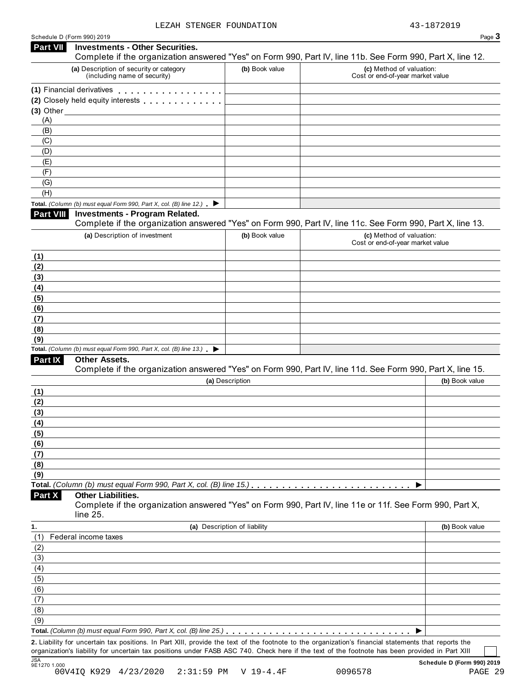| Schedule D (Form 990) 2019 |  |  |
|----------------------------|--|--|
|                            |  |  |

|                                      | Schedule D (Form 990) 2019                                                                                                                                                                                                     |                              |                                                              | Page 3         |
|--------------------------------------|--------------------------------------------------------------------------------------------------------------------------------------------------------------------------------------------------------------------------------|------------------------------|--------------------------------------------------------------|----------------|
| <b>Part VII</b>                      | <b>Investments - Other Securities.</b><br>Complete if the organization answered "Yes" on Form 990, Part IV, line 11b. See Form 990, Part X, line 12.                                                                           |                              |                                                              |                |
|                                      | (a) Description of security or category<br>(including name of security)                                                                                                                                                        | (b) Book value               | (c) Method of valuation:<br>Cost or end-of-year market value |                |
|                                      | (1) Financial derivatives                                                                                                                                                                                                      |                              |                                                              |                |
|                                      | (2) Closely held equity interests entitled as a set of the control of the control of the control of the control of the control of the control of the control of the control of the control of the control of the control of th |                              |                                                              |                |
| $(3)$ Other $\overline{\phantom{a}}$ |                                                                                                                                                                                                                                |                              |                                                              |                |
| (A)                                  |                                                                                                                                                                                                                                |                              |                                                              |                |
| (B)                                  |                                                                                                                                                                                                                                |                              |                                                              |                |
| (C)                                  |                                                                                                                                                                                                                                |                              |                                                              |                |
| (D)                                  |                                                                                                                                                                                                                                |                              |                                                              |                |
| (E)<br>(F)                           |                                                                                                                                                                                                                                |                              |                                                              |                |
| (G)                                  |                                                                                                                                                                                                                                |                              |                                                              |                |
| (H)                                  |                                                                                                                                                                                                                                |                              |                                                              |                |
|                                      | Total. (Column (b) must equal Form 990, Part X, col. (B) line 12.) $\blacktriangleright$                                                                                                                                       |                              |                                                              |                |
| Part VIII                            | <b>Investments - Program Related.</b><br>Complete if the organization answered "Yes" on Form 990, Part IV, line 11c. See Form 990, Part X, line 13.                                                                            |                              |                                                              |                |
|                                      | (a) Description of investment                                                                                                                                                                                                  | (b) Book value               | (c) Method of valuation:                                     |                |
|                                      |                                                                                                                                                                                                                                |                              | Cost or end-of-year market value                             |                |
| (1)                                  |                                                                                                                                                                                                                                |                              |                                                              |                |
| (2)                                  |                                                                                                                                                                                                                                |                              |                                                              |                |
| (3)                                  |                                                                                                                                                                                                                                |                              |                                                              |                |
| (4)                                  |                                                                                                                                                                                                                                |                              |                                                              |                |
| (5)                                  |                                                                                                                                                                                                                                |                              |                                                              |                |
| (6)                                  |                                                                                                                                                                                                                                |                              |                                                              |                |
| (7)                                  |                                                                                                                                                                                                                                |                              |                                                              |                |
| (8)                                  |                                                                                                                                                                                                                                |                              |                                                              |                |
| (9)                                  | Total. (Column (b) must equal Form 990, Part X, col. (B) line 13.) $\blacktriangleright$                                                                                                                                       |                              |                                                              |                |
| Part IX                              | <b>Other Assets.</b>                                                                                                                                                                                                           |                              |                                                              |                |
|                                      | Complete if the organization answered "Yes" on Form 990, Part IV, line 11d. See Form 990, Part X, line 15.                                                                                                                     |                              |                                                              |                |
|                                      |                                                                                                                                                                                                                                | (a) Description              |                                                              | (b) Book value |
| (1)                                  |                                                                                                                                                                                                                                |                              |                                                              |                |
| (2)                                  |                                                                                                                                                                                                                                |                              |                                                              |                |
| (3)                                  |                                                                                                                                                                                                                                |                              |                                                              |                |
| (4)                                  |                                                                                                                                                                                                                                |                              |                                                              |                |
| (5)                                  |                                                                                                                                                                                                                                |                              |                                                              |                |
| (6)                                  |                                                                                                                                                                                                                                |                              |                                                              |                |
| (7)                                  |                                                                                                                                                                                                                                |                              |                                                              |                |
| (8)                                  |                                                                                                                                                                                                                                |                              |                                                              |                |
| (9)                                  |                                                                                                                                                                                                                                |                              |                                                              |                |
|                                      |                                                                                                                                                                                                                                |                              |                                                              |                |
| Part X                               | <b>Other Liabilities.</b><br>Complete if the organization answered "Yes" on Form 990, Part IV, line 11e or 11f. See Form 990, Part X,<br>line $25$ .                                                                           |                              |                                                              |                |
| 1.                                   |                                                                                                                                                                                                                                | (a) Description of liability |                                                              | (b) Book value |
| (1)                                  | Federal income taxes                                                                                                                                                                                                           |                              |                                                              |                |
| (2)                                  |                                                                                                                                                                                                                                |                              |                                                              |                |
| (3)                                  |                                                                                                                                                                                                                                |                              |                                                              |                |
| (4)                                  |                                                                                                                                                                                                                                |                              |                                                              |                |
| (5)                                  |                                                                                                                                                                                                                                |                              |                                                              |                |
| (6)                                  |                                                                                                                                                                                                                                |                              |                                                              |                |
| (7)                                  |                                                                                                                                                                                                                                |                              |                                                              |                |
| (8)                                  |                                                                                                                                                                                                                                |                              |                                                              |                |
| (9)                                  |                                                                                                                                                                                                                                |                              |                                                              |                |
|                                      |                                                                                                                                                                                                                                |                              |                                                              |                |
|                                      | 2. Liability for uncertain tax positions. In Part XIII, provide the text of the footnote to the organization's financial statements that reports the                                                                           |                              |                                                              |                |
|                                      | organization's liability for uncertain tax positions under FASB ASC 740. Check here if the text of the footnote has been provided in Part XIII                                                                                 |                              |                                                              |                |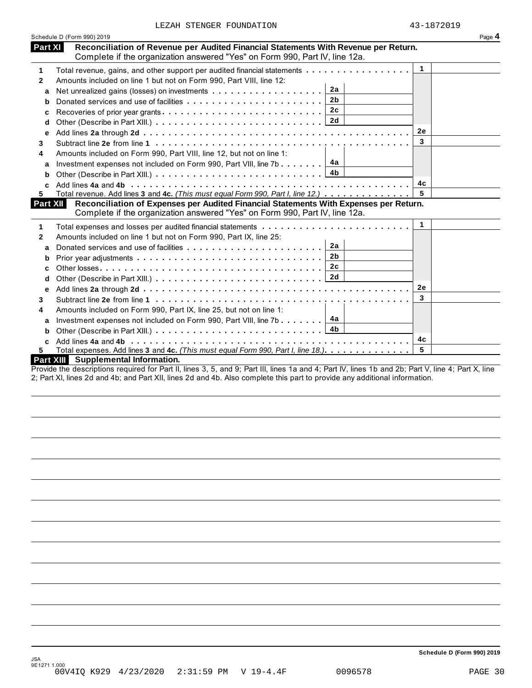|  | LEZAH STENGER FOUNDATION |
|--|--------------------------|
|  |                          |

|                 | Schedule D (Form 990) 2019                                                                                                                                                              |              | Page 4 |
|-----------------|-----------------------------------------------------------------------------------------------------------------------------------------------------------------------------------------|--------------|--------|
| Part XI         | Reconciliation of Revenue per Audited Financial Statements With Revenue per Return.<br>Complete if the organization answered "Yes" on Form 990, Part IV, line 12a.                      |              |        |
| 1               | Total revenue, gains, and other support per audited financial statements                                                                                                                | $\mathbf{1}$ |        |
| $\mathbf{2}$    | Amounts included on line 1 but not on Form 990, Part VIII, line 12:                                                                                                                     |              |        |
| a               | 2a                                                                                                                                                                                      |              |        |
| b               | 2b                                                                                                                                                                                      |              |        |
| c               | 2c                                                                                                                                                                                      |              |        |
| d               |                                                                                                                                                                                         |              |        |
| е               |                                                                                                                                                                                         | 2e           |        |
| 3.              |                                                                                                                                                                                         | 3            |        |
| 4               | Amounts included on Form 990, Part VIII, line 12, but not on line 1:                                                                                                                    |              |        |
| a               | Investment expenses not included on Form 990, Part VIII, line 7b $\boxed{4a}$                                                                                                           |              |        |
| b               |                                                                                                                                                                                         |              |        |
|                 |                                                                                                                                                                                         | 4c           |        |
| 5.              | Total revenue. Add lines 3 and 4c. (This must equal Form 990, Part I, line 12.)                                                                                                         | 5            |        |
| <b>Part XII</b> | Reconciliation of Expenses per Audited Financial Statements With Expenses per Return.<br>Complete if the organization answered "Yes" on Form 990, Part IV, line 12a.                    |              |        |
|                 |                                                                                                                                                                                         | 1            |        |
| 1               | Total expenses and losses per audited financial statements                                                                                                                              |              |        |
| 2               | Amounts included on line 1 but not on Form 990, Part IX, line 25:<br>2a                                                                                                                 |              |        |
| a               |                                                                                                                                                                                         |              |        |
|                 | 2c                                                                                                                                                                                      |              |        |
| с               |                                                                                                                                                                                         |              |        |
| d               |                                                                                                                                                                                         |              |        |
| е               |                                                                                                                                                                                         | <b>2e</b>    |        |
| 3               |                                                                                                                                                                                         | 3            |        |
| 4               | Amounts included on Form 990, Part IX, line 25, but not on line 1:                                                                                                                      |              |        |
| a               | Investment expenses not included on Form 990, Part VIII, line 7b $\boxed{4a}$                                                                                                           |              |        |
| b               |                                                                                                                                                                                         |              |        |
|                 |                                                                                                                                                                                         | 4c           |        |
|                 | Total expenses. Add lines 3 and 4c. (This must equal Form 990, Part I, line 18.)                                                                                                        | 5            |        |
|                 | Part XIII Supplemental Information.<br>ide the decentrations required for Dart II, lines O. F., and O. Dart III. lines do and 4. Dart N. Lines dh. and Ob. Dart N. Lines, 4. Dart N. Li |              |        |

Provide the descriptions required for Part II, lines 3, 5, and 9; Part III, lines 1a and 4; Part IV, lines 1b and 2b; Part V, line 4; Part X, line 2; Part XI, lines 2d and 4b; and Part XII, lines 2d and 4b. Also complete this part to provide any additional information.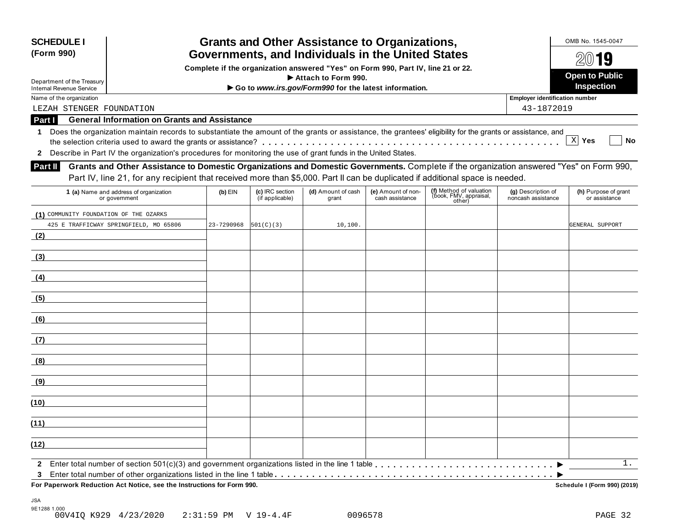| <b>SCHEDULE I</b><br>(Form 990)                      |                                                                                                                                                                                                                                                                             |            | <b>Grants and Other Assistance to Organizations,</b><br>Governments, and Individuals in the United States |                                                                                                         |                                       |                                                             |                                                     |                                                |  |  |  |
|------------------------------------------------------|-----------------------------------------------------------------------------------------------------------------------------------------------------------------------------------------------------------------------------------------------------------------------------|------------|-----------------------------------------------------------------------------------------------------------|---------------------------------------------------------------------------------------------------------|---------------------------------------|-------------------------------------------------------------|-----------------------------------------------------|------------------------------------------------|--|--|--|
| Department of the Treasury                           |                                                                                                                                                                                                                                                                             |            |                                                                                                           | Complete if the organization answered "Yes" on Form 990, Part IV, line 21 or 22.<br>Attach to Form 990. |                                       |                                                             |                                                     | $20$ 19<br><b>Open to Public</b><br>Inspection |  |  |  |
| <b>Internal Revenue Service</b>                      |                                                                                                                                                                                                                                                                             |            |                                                                                                           | Go to www.irs.gov/Form990 for the latest information.                                                   |                                       |                                                             |                                                     |                                                |  |  |  |
| Name of the organization<br>LEZAH STENGER FOUNDATION |                                                                                                                                                                                                                                                                             |            |                                                                                                           |                                                                                                         |                                       |                                                             | <b>Employer identification number</b><br>43-1872019 |                                                |  |  |  |
| Part I                                               | <b>General Information on Grants and Assistance</b>                                                                                                                                                                                                                         |            |                                                                                                           |                                                                                                         |                                       |                                                             |                                                     |                                                |  |  |  |
| 1.<br>$\mathbf{2}$                                   | Does the organization maintain records to substantiate the amount of the grants or assistance, the grantees' eligibility for the grants or assistance, and<br>Describe in Part IV the organization's procedures for monitoring the use of grant funds in the United States. |            |                                                                                                           |                                                                                                         |                                       |                                                             |                                                     | X Yes<br>No                                    |  |  |  |
| Part II                                              | Grants and Other Assistance to Domestic Organizations and Domestic Governments. Complete if the organization answered "Yes" on Form 990,<br>Part IV, line 21, for any recipient that received more than \$5,000. Part II can be duplicated if additional space is needed.   |            |                                                                                                           |                                                                                                         |                                       |                                                             |                                                     |                                                |  |  |  |
|                                                      | 1 (a) Name and address of organization<br>or government                                                                                                                                                                                                                     | $(b)$ EIN  | (c) IRC section<br>(if applicable)                                                                        | (d) Amount of cash<br>grant                                                                             | (e) Amount of non-<br>cash assistance | (f) Method of valuation<br>(book, FMV, appraisal,<br>other) | (g) Description of<br>noncash assistance            | (h) Purpose of grant<br>or assistance          |  |  |  |
| (1) COMMUNITY FOUNDATION OF THE OZARKS               | 425 E TRAFFICWAY SPRINGFIELD, MO 65806                                                                                                                                                                                                                                      | 23-7290968 | 501(C)(3)                                                                                                 | 10, 100.                                                                                                |                                       |                                                             |                                                     | GENERAL SUPPORT                                |  |  |  |
| (2)                                                  |                                                                                                                                                                                                                                                                             |            |                                                                                                           |                                                                                                         |                                       |                                                             |                                                     |                                                |  |  |  |
| (3)                                                  |                                                                                                                                                                                                                                                                             |            |                                                                                                           |                                                                                                         |                                       |                                                             |                                                     |                                                |  |  |  |
| (4)                                                  |                                                                                                                                                                                                                                                                             |            |                                                                                                           |                                                                                                         |                                       |                                                             |                                                     |                                                |  |  |  |
| (5)                                                  |                                                                                                                                                                                                                                                                             |            |                                                                                                           |                                                                                                         |                                       |                                                             |                                                     |                                                |  |  |  |
| (6)                                                  |                                                                                                                                                                                                                                                                             |            |                                                                                                           |                                                                                                         |                                       |                                                             |                                                     |                                                |  |  |  |
| (7)                                                  |                                                                                                                                                                                                                                                                             |            |                                                                                                           |                                                                                                         |                                       |                                                             |                                                     |                                                |  |  |  |
| (8)                                                  |                                                                                                                                                                                                                                                                             |            |                                                                                                           |                                                                                                         |                                       |                                                             |                                                     |                                                |  |  |  |
| (9)                                                  |                                                                                                                                                                                                                                                                             |            |                                                                                                           |                                                                                                         |                                       |                                                             |                                                     |                                                |  |  |  |
| (10)                                                 |                                                                                                                                                                                                                                                                             |            |                                                                                                           |                                                                                                         |                                       |                                                             |                                                     |                                                |  |  |  |
| (11)                                                 |                                                                                                                                                                                                                                                                             |            |                                                                                                           |                                                                                                         |                                       |                                                             |                                                     |                                                |  |  |  |
| (12)                                                 |                                                                                                                                                                                                                                                                             |            |                                                                                                           |                                                                                                         |                                       |                                                             |                                                     |                                                |  |  |  |
| $\mathbf{2}$                                         |                                                                                                                                                                                                                                                                             |            |                                                                                                           |                                                                                                         |                                       |                                                             |                                                     | 1.                                             |  |  |  |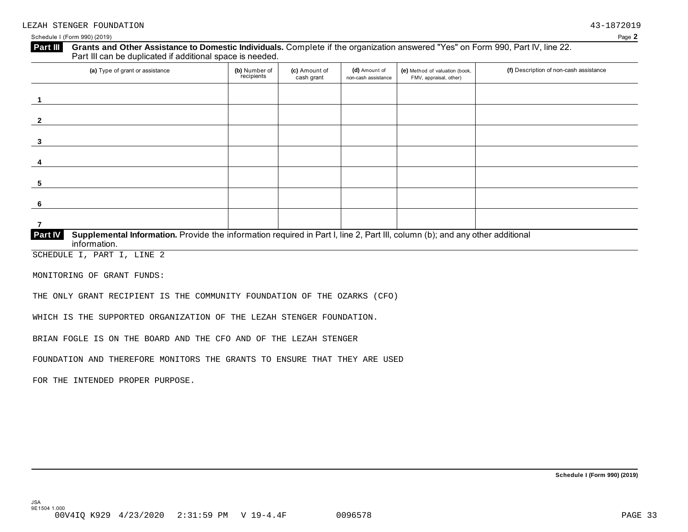### Grants and Other Assistance to Domestic Individuals. Complete if the organization answered "Yes" on Form 990, Part IV, line 22. **Part III** Grants and Other Assistance to Domestic Individuals<br>Part III can be duplicated if additional space is needed.

| (a) Type of grant or assistance                                                                                                                | (b) Number of<br>recipients | (c) Amount of<br>cash grant | (d) Amount of<br>non-cash assistance | (e) Method of valuation (book,<br>FMV, appraisal, other) | (f) Description of non-cash assistance |
|------------------------------------------------------------------------------------------------------------------------------------------------|-----------------------------|-----------------------------|--------------------------------------|----------------------------------------------------------|----------------------------------------|
|                                                                                                                                                |                             |                             |                                      |                                                          |                                        |
|                                                                                                                                                |                             |                             |                                      |                                                          |                                        |
| $\overline{2}$                                                                                                                                 |                             |                             |                                      |                                                          |                                        |
| 3                                                                                                                                              |                             |                             |                                      |                                                          |                                        |
| 4                                                                                                                                              |                             |                             |                                      |                                                          |                                        |
| 5                                                                                                                                              |                             |                             |                                      |                                                          |                                        |
| - 6                                                                                                                                            |                             |                             |                                      |                                                          |                                        |
|                                                                                                                                                |                             |                             |                                      |                                                          |                                        |
| <b>Part IV</b><br>Supplemental Information. Provide the information required in Part I, line 2, Part III, column (b); and any other additional |                             |                             |                                      |                                                          |                                        |

 $information$ .

SCHEDULE I, PART I, LINE 2

MONITORING OF GRANT FUNDS:

THE ONLY GRANT RECIPIENT IS THE COMMUNITY FOUNDATION OF THE OZARKS (CFO)

WHICH IS THE SUPPORTED ORGANIZATION OF THE LEZAH STENGER FOUNDATION.

BRIAN FOGLE IS ON THE BOARD AND THE CFO AND OF THE LEZAH STENGER

FOUNDATION AND THEREFORE MONITORS THE GRANTS TO ENSURE THAT THEY ARE USED

FOR THE INTENDED PROPER PURPOSE.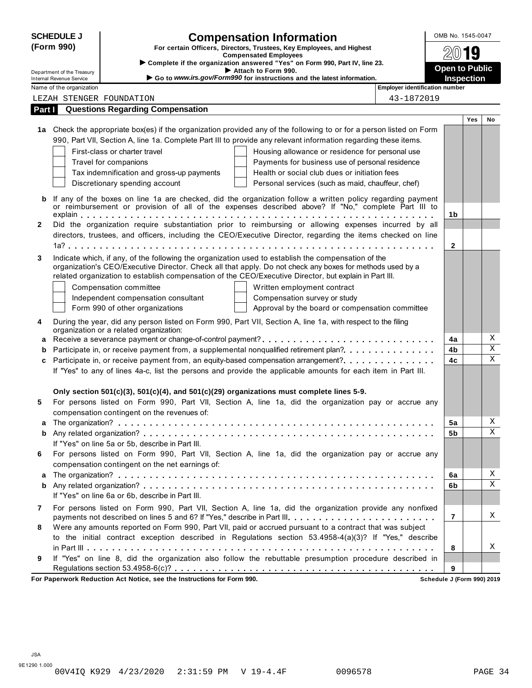| (Form 990)<br>Part I | Department of the Treasury<br><b>Internal Revenue Service</b><br>Name of the organization | LEZAH STENGER FOUNDATION<br><b>Questions Regarding Compensation</b> | <b>Compensation Information</b><br>For certain Officers, Directors, Trustees, Key Employees, and Highest<br><b>Compensated Employees</b><br>Complete if the organization answered "Yes" on Form 990, Part IV, line 23.<br>Attach to Form 990.<br>Go to www.irs.gov/Form990 for instructions and the latest information. | <b>Employer identification number</b> | $20$ 19<br><b>Open to Public</b><br>Inspection |            |    |
|----------------------|-------------------------------------------------------------------------------------------|---------------------------------------------------------------------|-------------------------------------------------------------------------------------------------------------------------------------------------------------------------------------------------------------------------------------------------------------------------------------------------------------------------|---------------------------------------|------------------------------------------------|------------|----|
|                      |                                                                                           |                                                                     |                                                                                                                                                                                                                                                                                                                         |                                       |                                                |            |    |
|                      |                                                                                           |                                                                     |                                                                                                                                                                                                                                                                                                                         |                                       |                                                |            |    |
|                      |                                                                                           |                                                                     |                                                                                                                                                                                                                                                                                                                         |                                       |                                                |            |    |
|                      |                                                                                           |                                                                     |                                                                                                                                                                                                                                                                                                                         |                                       |                                                |            |    |
|                      |                                                                                           |                                                                     |                                                                                                                                                                                                                                                                                                                         | 43-1872019                            |                                                |            |    |
|                      |                                                                                           |                                                                     |                                                                                                                                                                                                                                                                                                                         |                                       |                                                |            |    |
|                      |                                                                                           |                                                                     |                                                                                                                                                                                                                                                                                                                         |                                       |                                                | <b>Yes</b> | No |
|                      |                                                                                           |                                                                     | 1a Check the appropriate box(es) if the organization provided any of the following to or for a person listed on Form                                                                                                                                                                                                    |                                       |                                                |            |    |
|                      |                                                                                           |                                                                     | 990, Part VII, Section A, line 1a. Complete Part III to provide any relevant information regarding these items.                                                                                                                                                                                                         |                                       |                                                |            |    |
|                      |                                                                                           | First-class or charter travel                                       | Housing allowance or residence for personal use                                                                                                                                                                                                                                                                         |                                       |                                                |            |    |
|                      |                                                                                           | Travel for companions<br>Tax indemnification and gross-up payments  | Payments for business use of personal residence<br>Health or social club dues or initiation fees                                                                                                                                                                                                                        |                                       |                                                |            |    |
|                      |                                                                                           | Discretionary spending account                                      | Personal services (such as maid, chauffeur, chef)                                                                                                                                                                                                                                                                       |                                       |                                                |            |    |
|                      |                                                                                           |                                                                     |                                                                                                                                                                                                                                                                                                                         |                                       |                                                |            |    |
| b                    |                                                                                           |                                                                     | If any of the boxes on line 1a are checked, did the organization follow a written policy regarding payment                                                                                                                                                                                                              |                                       |                                                |            |    |
|                      |                                                                                           |                                                                     | or reimbursement or provision of all of the expenses described above? If "No," complete Part III to                                                                                                                                                                                                                     |                                       | 1b                                             |            |    |
| $\mathbf{2}$         |                                                                                           |                                                                     | Did the organization require substantiation prior to reimbursing or allowing expenses incurred by all                                                                                                                                                                                                                   |                                       |                                                |            |    |
|                      |                                                                                           |                                                                     | directors, trustees, and officers, including the CEO/Executive Director, regarding the items checked on line                                                                                                                                                                                                            |                                       |                                                |            |    |
|                      |                                                                                           |                                                                     |                                                                                                                                                                                                                                                                                                                         |                                       | 2                                              |            |    |
| 3                    |                                                                                           |                                                                     | Indicate which, if any, of the following the organization used to establish the compensation of the                                                                                                                                                                                                                     |                                       |                                                |            |    |
|                      |                                                                                           |                                                                     | organization's CEO/Executive Director. Check all that apply. Do not check any boxes for methods used by a                                                                                                                                                                                                               |                                       |                                                |            |    |
|                      |                                                                                           |                                                                     | related organization to establish compensation of the CEO/Executive Director, but explain in Part III.                                                                                                                                                                                                                  |                                       |                                                |            |    |
|                      |                                                                                           | Compensation committee<br>Independent compensation consultant       | Written employment contract<br>Compensation survey or study                                                                                                                                                                                                                                                             |                                       |                                                |            |    |
|                      |                                                                                           | Form 990 of other organizations                                     | Approval by the board or compensation committee                                                                                                                                                                                                                                                                         |                                       |                                                |            |    |
|                      |                                                                                           |                                                                     |                                                                                                                                                                                                                                                                                                                         |                                       |                                                |            |    |
| 4                    |                                                                                           | organization or a related organization:                             | During the year, did any person listed on Form 990, Part VII, Section A, line 1a, with respect to the filing                                                                                                                                                                                                            |                                       |                                                |            |    |
| a                    |                                                                                           |                                                                     |                                                                                                                                                                                                                                                                                                                         |                                       | 4a                                             |            | Χ  |
| b                    |                                                                                           |                                                                     | Participate in, or receive payment from, a supplemental nonqualified retirement plan?                                                                                                                                                                                                                                   |                                       | 4b                                             |            | Χ  |
| c                    |                                                                                           |                                                                     | Participate in, or receive payment from, an equity-based compensation arrangement?                                                                                                                                                                                                                                      |                                       | 4c                                             |            | Χ  |
|                      |                                                                                           |                                                                     | If "Yes" to any of lines 4a-c, list the persons and provide the applicable amounts for each item in Part III.                                                                                                                                                                                                           |                                       |                                                |            |    |
|                      |                                                                                           |                                                                     |                                                                                                                                                                                                                                                                                                                         |                                       |                                                |            |    |
|                      |                                                                                           |                                                                     | Only section 501(c)(3), 501(c)(4), and 501(c)(29) organizations must complete lines 5-9.                                                                                                                                                                                                                                |                                       |                                                |            |    |
| 5                    |                                                                                           | compensation contingent on the revenues of:                         | For persons listed on Form 990, Part VII, Section A, line 1a, did the organization pay or accrue any                                                                                                                                                                                                                    |                                       |                                                |            |    |
| a                    |                                                                                           |                                                                     |                                                                                                                                                                                                                                                                                                                         |                                       | 5a                                             |            | Χ  |
| b                    |                                                                                           |                                                                     |                                                                                                                                                                                                                                                                                                                         |                                       | 5b                                             |            | Χ  |
|                      |                                                                                           | If "Yes" on line 5a or 5b, describe in Part III.                    |                                                                                                                                                                                                                                                                                                                         |                                       |                                                |            |    |
| 6                    |                                                                                           |                                                                     | For persons listed on Form 990, Part VII, Section A, line 1a, did the organization pay or accrue any                                                                                                                                                                                                                    |                                       |                                                |            |    |
|                      |                                                                                           | compensation contingent on the net earnings of:                     |                                                                                                                                                                                                                                                                                                                         |                                       |                                                |            |    |
| a                    |                                                                                           |                                                                     |                                                                                                                                                                                                                                                                                                                         |                                       | 6a                                             |            | Χ  |
| b                    |                                                                                           |                                                                     |                                                                                                                                                                                                                                                                                                                         |                                       | 6b                                             |            | Χ  |
|                      |                                                                                           | If "Yes" on line 6a or 6b, describe in Part III.                    |                                                                                                                                                                                                                                                                                                                         |                                       |                                                |            |    |
| 7                    |                                                                                           |                                                                     | For persons listed on Form 990, Part VII, Section A, line 1a, did the organization provide any nonfixed                                                                                                                                                                                                                 |                                       |                                                |            |    |
|                      |                                                                                           |                                                                     | payments not described on lines 5 and 6? If "Yes," describe in Part III.                                                                                                                                                                                                                                                |                                       | $\overline{7}$                                 |            | Χ  |
| 8                    |                                                                                           |                                                                     | Were any amounts reported on Form 990, Part VII, paid or accrued pursuant to a contract that was subject<br>to the initial contract exception described in Regulations section 53.4958-4(a)(3)? If "Yes," describe                                                                                                      |                                       |                                                |            |    |
|                      |                                                                                           |                                                                     |                                                                                                                                                                                                                                                                                                                         |                                       | 8                                              |            | Χ  |
| 9                    |                                                                                           |                                                                     | If "Yes" on line 8, did the organization also follow the rebuttable presumption procedure described in                                                                                                                                                                                                                  |                                       |                                                |            |    |
|                      |                                                                                           |                                                                     |                                                                                                                                                                                                                                                                                                                         |                                       | 9                                              |            |    |

**For Paperwork Reduction Act Notice, see the Instructions for Form 990. Schedule J (Form 990) 2019**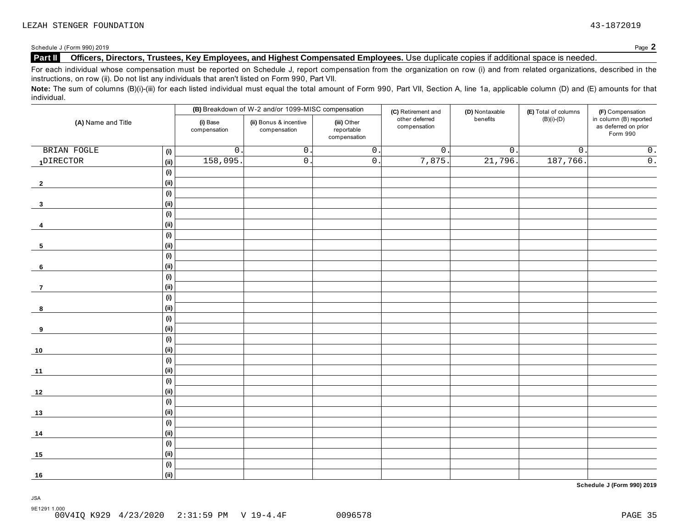## **Part II Officers, Directors, Trustees, Key Employees, and Highest Compensated Employees.** Use duplicate copies ifadditional space is needed.

For each individual whose compensation must be reported on Schedule J, report compensation from the organization on row (i) and from related organizations, described in the instructions, on row (ii). Do not list any individuals that aren't listed on Form 990, Part VII.

Note: The sum of columns (B)(i)-(iii) for each listed individual must equal the total amount of Form 990, Part VII, Section A, line 1a, applicable column (D) and (E) amounts for that individual.

|                    |      |                          | (B) Breakdown of W-2 and/or 1099-MISC compensation                                  |                  | (C) Retirement and             | (D) Nontaxable        | (E) Total of columns | (F) Compensation<br>in column (B) reported |
|--------------------|------|--------------------------|-------------------------------------------------------------------------------------|------------------|--------------------------------|-----------------------|----------------------|--------------------------------------------|
| (A) Name and Title |      | (i) Base<br>compensation | (iii) Other<br>(ii) Bonus & incentive<br>compensation<br>reportable<br>compensation |                  | other deferred<br>compensation | benefits              | $(B)(i)-(D)$         | as deferred on prior<br>Form 990           |
| BRIAN FOGLE        | (i)  | $\mathsf{O}\xspace$      | $\overline{0}$ .                                                                    | $\overline{0}$ . | $\overline{0}$ .               | $\overline{0}$ .      | $\overline{0}$ .     | $\overline{0}$ .                           |
| 1DIRECTOR          | (ii) | 158,095                  | $\overline{0}$ .                                                                    | $\overline{0}$ . | 7,875.                         | $\overline{21,796}$ . | 187,766.             | $\overline{0}$ .                           |
|                    | (i)  |                          |                                                                                     |                  |                                |                       |                      |                                            |
| $\overline{2}$     | (i)  |                          |                                                                                     |                  |                                |                       |                      |                                            |
|                    | (i)  |                          |                                                                                     |                  |                                |                       |                      |                                            |
| $\mathbf{3}$       | (i)  |                          |                                                                                     |                  |                                |                       |                      |                                            |
|                    | (i)  |                          |                                                                                     |                  |                                |                       |                      |                                            |
| 4                  | (ii) |                          |                                                                                     |                  |                                |                       |                      |                                            |
|                    | (i)  |                          |                                                                                     |                  |                                |                       |                      |                                            |
| 5                  | (ii) |                          |                                                                                     |                  |                                |                       |                      |                                            |
|                    | (i)  |                          |                                                                                     |                  |                                |                       |                      |                                            |
| $6\phantom{.}6$    | (i)  |                          |                                                                                     |                  |                                |                       |                      |                                            |
|                    | (i)  |                          |                                                                                     |                  |                                |                       |                      |                                            |
| $\overline{7}$     | (i)  |                          |                                                                                     |                  |                                |                       |                      |                                            |
|                    | (i)  |                          |                                                                                     |                  |                                |                       |                      |                                            |
| 8                  | (ii) |                          |                                                                                     |                  |                                |                       |                      |                                            |
|                    | (i)  |                          |                                                                                     |                  |                                |                       |                      |                                            |
| 9                  | (i)  |                          |                                                                                     |                  |                                |                       |                      |                                            |
|                    | (i)  |                          |                                                                                     |                  |                                |                       |                      |                                            |
| $10$               | (i)  |                          |                                                                                     |                  |                                |                       |                      |                                            |
|                    | (i)  |                          |                                                                                     |                  |                                |                       |                      |                                            |
| 11                 | (i)  |                          |                                                                                     |                  |                                |                       |                      |                                            |
|                    | (i)  |                          |                                                                                     |                  |                                |                       |                      |                                            |
| 12                 | (ii) |                          |                                                                                     |                  |                                |                       |                      |                                            |
|                    | (i)  |                          |                                                                                     |                  |                                |                       |                      |                                            |
| 13                 | (ii) |                          |                                                                                     |                  |                                |                       |                      |                                            |
|                    | (i)  |                          |                                                                                     |                  |                                |                       |                      |                                            |
| 14                 | (ii) |                          |                                                                                     |                  |                                |                       |                      |                                            |
|                    | (i)  |                          |                                                                                     |                  |                                |                       |                      |                                            |
| 15                 | (ii) |                          |                                                                                     |                  |                                |                       |                      |                                            |
|                    | (i)  |                          |                                                                                     |                  |                                |                       |                      |                                            |
| 16                 | (ii) |                          |                                                                                     |                  |                                |                       |                      |                                            |

**Schedule J (Form 990) 2019**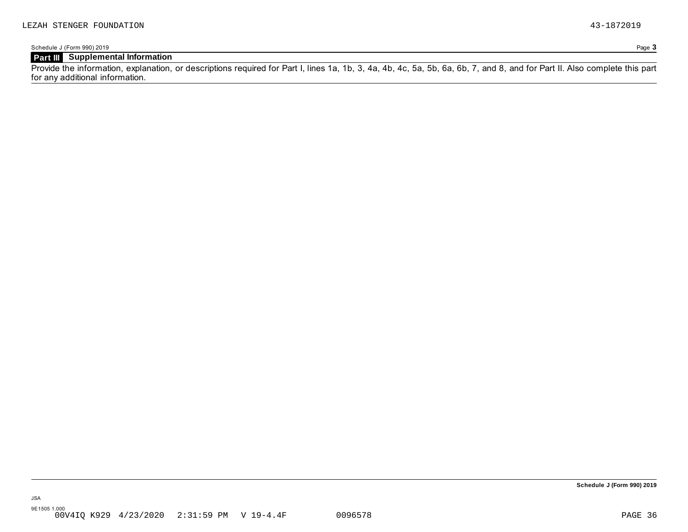## **Part III Supplemental Information**

Provide the information, explanation, or descriptions required for Part I, lines 1a, 1b, 3, 4a, 4b, 4c, 5a, 5b, 6a, 6b, 7, and 8, and for Part II. Also complete this part for any additional information.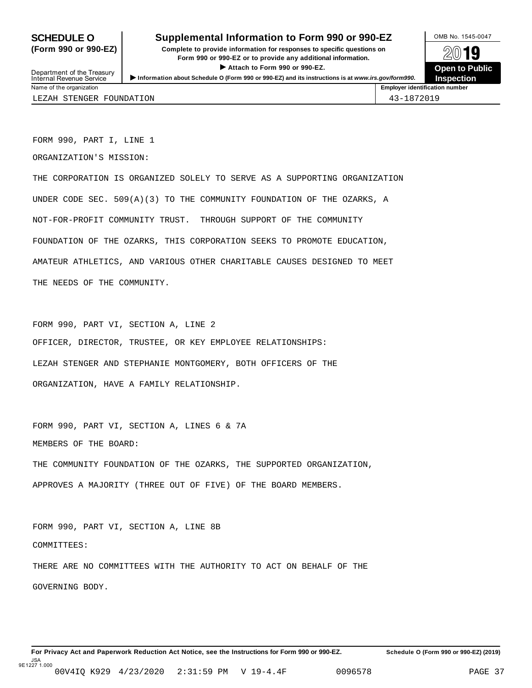Department of the Treasury<br>Internal Revenue Service

## **SCHEDULE O** Supplemental Information to Form 990 or 990-EZ DAMB No. 1545-0047

**(Form 990 or 990-EZ) Complete to provide information for responses to specific questions on** plete to provide information for responses to specific questions on  $\mathbb{Z}^{0}$  **19 EV I D**<br>
■ Attach to Form 990 or 990-EZ. Depen to Public<br>
■ Public Public Public Department of the Treasury <br>Depen to Public<br>Name of the organization number<br>Name of the organization number<br>Name of the organization number<br>Name of the organization number

**Inspection**

FORM 990, PART I, LINE 1

ORGANIZATION'S MISSION:

THE CORPORATION IS ORGANIZED SOLELY TO SERVE AS A SUPPORTING ORGANIZATION UNDER CODE SEC. 509(A)(3) TO THE COMMUNITY FOUNDATION OF THE OZARKS, A NOT-FOR-PROFIT COMMUNITY TRUST. THROUGH SUPPORT OF THE COMMUNITY FOUNDATION OF THE OZARKS, THIS CORPORATION SEEKS TO PROMOTE EDUCATION, AMATEUR ATHLETICS, AND VARIOUS OTHER CHARITABLE CAUSES DESIGNED TO MEET THE NEEDS OF THE COMMUNITY.

FORM 990, PART VI, SECTION A, LINE 2 OFFICER, DIRECTOR, TRUSTEE, OR KEY EMPLOYEE RELATIONSHIPS: LEZAH STENGER AND STEPHANIE MONTGOMERY, BOTH OFFICERS OF THE ORGANIZATION, HAVE A FAMILY RELATIONSHIP.

FORM 990, PART VI, SECTION A, LINES 6 & 7A MEMBERS OF THE BOARD: THE COMMUNITY FOUNDATION OF THE OZARKS, THE SUPPORTED ORGANIZATION, APPROVES A MAJORITY (THREE OUT OF FIVE) OF THE BOARD MEMBERS.

FORM 990, PART VI, SECTION A, LINE 8B COMMITTEES: THERE ARE NO COMMITTEES WITH THE AUTHORITY TO ACT ON BEHALF OF THE GOVERNING BODY.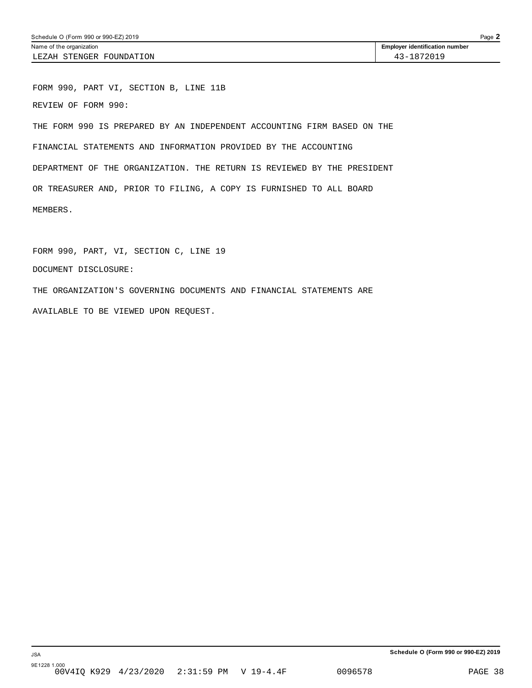FORM 990, PART VI, SECTION B, LINE 11B REVIEW OF FORM 990: THE FORM 990 IS PREPARED BY AN INDEPENDENT ACCOUNTING FIRM BASED ON THE FINANCIAL STATEMENTS AND INFORMATION PROVIDED BY THE ACCOUNTING DEPARTMENT OF THE ORGANIZATION. THE RETURN IS REVIEWED BY THE PRESIDENT OR TREASURER AND, PRIOR TO FILING, A COPY IS FURNISHED TO ALL BOARD MEMBERS.

FORM 990, PART, VI, SECTION C, LINE 19 DOCUMENT DISCLOSURE: THE ORGANIZATION'S GOVERNING DOCUMENTS AND FINANCIAL STATEMENTS ARE AVAILABLE TO BE VIEWED UPON REQUEST.

**Schedule O (Form 990 or 990-EZ) 2019**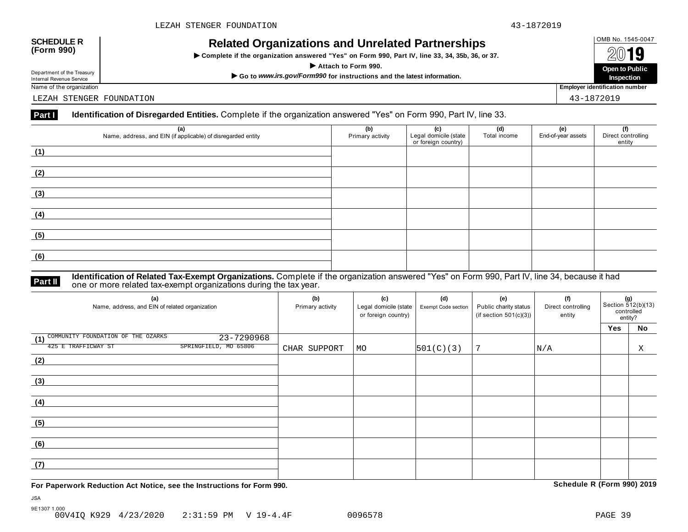## OMB No. 1545-0047 **SCHEDULE R (Form 990) Related Organizations and Unrelated Partnerships**

 $\triangleright$  Complete if the organization answered "Yes" on Form 990, Part IV, line 33, 34, 35b, 36, or 37.



Department of the Treasury

LEZAH STENGER FOUNDATION 43-1872019

### **Part I Identification of Disregarded Entities.** Complete if the organization answered "Yes" on Form 990, Part IV, line 33.

| (a)<br>Name, address, and EIN (if applicable) of disregarded entity | (b)<br>Primary activity | (c)<br>Legal domicile (state<br>or foreign country) | (d)<br>Total income | (e)<br>End-of-year assets | (f)<br>Direct controlling<br>entity |
|---------------------------------------------------------------------|-------------------------|-----------------------------------------------------|---------------------|---------------------------|-------------------------------------|
| (1)                                                                 |                         |                                                     |                     |                           |                                     |
| (2)                                                                 |                         |                                                     |                     |                           |                                     |
| (3)                                                                 |                         |                                                     |                     |                           |                                     |
| (4)                                                                 |                         |                                                     |                     |                           |                                     |
| (5)                                                                 |                         |                                                     |                     |                           |                                     |
| (6)                                                                 |                         |                                                     |                     |                           |                                     |

### **Identification of Related Tax-Exempt Organizations.** Complete if the organization answered "Yes" on Form 990, Part IV, line 34, because it had **Part II** one or more related tax-exempt organizations during the tax year.

| (a)<br>Name, address, and EIN of related organization | (b)<br>Primary activity | (c)<br>Legal domicile (state<br>or foreign country) | (d)<br>Exempt Code section | (e)<br>Public charity status<br>(if section $501(c)(3)$ ) | (f)<br>Direct controlling<br>entity | (g)<br>Section $\frac{3}{12(b)(13)}$<br>controlled<br>entity? |    |
|-------------------------------------------------------|-------------------------|-----------------------------------------------------|----------------------------|-----------------------------------------------------------|-------------------------------------|---------------------------------------------------------------|----|
|                                                       |                         |                                                     |                            |                                                           |                                     | Yes                                                           | No |
| (1) COMMUNITY FOUNDATION OF THE OZARKS<br>23-7290968  |                         |                                                     |                            |                                                           |                                     |                                                               |    |
| SPRINGFIELD, MO 65806<br>425 E TRAFFICWAY ST          | CHAR SUPPORT            | MO                                                  | 501(C)(3)                  | 7                                                         | N/A                                 |                                                               | X  |
| (2)                                                   |                         |                                                     |                            |                                                           |                                     |                                                               |    |
|                                                       |                         |                                                     |                            |                                                           |                                     |                                                               |    |
| (3)                                                   |                         |                                                     |                            |                                                           |                                     |                                                               |    |
|                                                       |                         |                                                     |                            |                                                           |                                     |                                                               |    |
| (4)                                                   |                         |                                                     |                            |                                                           |                                     |                                                               |    |
|                                                       |                         |                                                     |                            |                                                           |                                     |                                                               |    |
| (5)                                                   |                         |                                                     |                            |                                                           |                                     |                                                               |    |
|                                                       |                         |                                                     |                            |                                                           |                                     |                                                               |    |
| (6)                                                   |                         |                                                     |                            |                                                           |                                     |                                                               |    |
|                                                       |                         |                                                     |                            |                                                           |                                     |                                                               |    |
| (7)                                                   |                         |                                                     |                            |                                                           |                                     |                                                               |    |
|                                                       |                         |                                                     |                            |                                                           |                                     |                                                               |    |

**For Paperwork Reduction Act Notice, see the Instructions for Form 990. Schedule R (Form 990) 2019**

JSA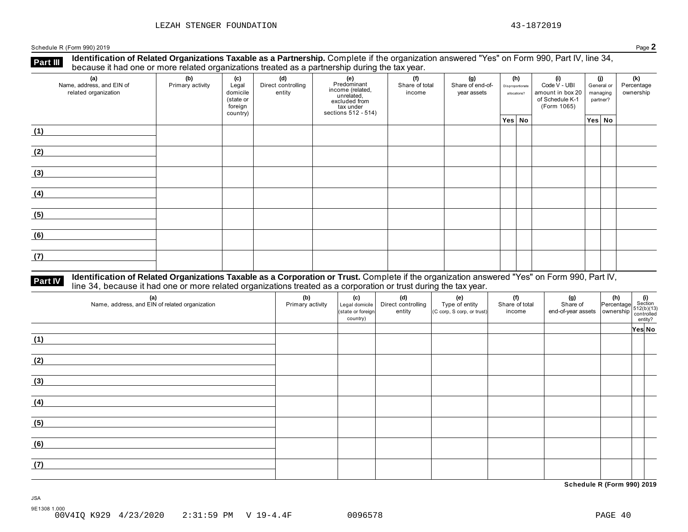**Identification of Related Organizations Taxable as a Partnership.** Complete if the organization answered "Yes" on Form 990, Part IV, line 34, **because it had one or more related organizations Taxable as a Partnership.** Complete it the organization of Related organizations treated as a partnership during the tax year.

| (a)<br>Name, address, and EIN of<br>related organization | (b)<br>Primary activity | (c)<br>Legal<br>domicile<br>(state or<br>foreign<br>country) | (d)<br>Direct controlling<br>entity | (e)<br>Predominant<br>income (related,<br>unrelated,<br>excluded from<br>tax under<br>sections 512 - 514) | (f)<br>Share of total<br>income | (g)<br>Share of end-of-<br>year assets | (h)<br>Disproportionate<br>allocations? | (i)<br>Code V - UBI<br>amount in box 20<br>of Schedule K-1<br>(Form 1065) | (j)<br>General or<br>managing<br>partner? | (k)<br>Percentage<br>ownership |
|----------------------------------------------------------|-------------------------|--------------------------------------------------------------|-------------------------------------|-----------------------------------------------------------------------------------------------------------|---------------------------------|----------------------------------------|-----------------------------------------|---------------------------------------------------------------------------|-------------------------------------------|--------------------------------|
|                                                          |                         |                                                              |                                     |                                                                                                           |                                 |                                        | Yes No                                  |                                                                           | Yes No                                    |                                |
| (1)                                                      |                         |                                                              |                                     |                                                                                                           |                                 |                                        |                                         |                                                                           |                                           |                                |
| (2)                                                      |                         |                                                              |                                     |                                                                                                           |                                 |                                        |                                         |                                                                           |                                           |                                |
| (3)                                                      |                         |                                                              |                                     |                                                                                                           |                                 |                                        |                                         |                                                                           |                                           |                                |
| (4)                                                      |                         |                                                              |                                     |                                                                                                           |                                 |                                        |                                         |                                                                           |                                           |                                |
| (5)                                                      |                         |                                                              |                                     |                                                                                                           |                                 |                                        |                                         |                                                                           |                                           |                                |
| (6)                                                      |                         |                                                              |                                     |                                                                                                           |                                 |                                        |                                         |                                                                           |                                           |                                |
| (7)                                                      |                         |                                                              |                                     |                                                                                                           |                                 |                                        |                                         |                                                                           |                                           |                                |

# **Part IV** Identification of Related Organizations Taxable as a Corporation or Trust. Complete if the organization answered "Yes" on Form 990, Part IV,<br>line 34, because it had one or more related organizations treated as a

| (a)<br>Name, address, and EIN of related organization | (b)<br>Primary activity | (c)<br>Legal domicile<br>(state or foreign<br>country) | (d)<br>Direct controlling<br>entity | (e)<br>Type of entity<br>(C corp, S corp, or trust) | (f)<br>Share of total<br>income | $\begin{array}{ c c c }\n\hline\n\text{(g)} & \text{(h)} & \text{(i)} \\ \text{Share of} & \text{Percentage} & \text{Section} \\ \text{end-of-year assets} & \text{ ownership} & \text{control} \\ \hline\n\text{control} & \text{entity?} \\ \hline\n\end{array}$ |        |  |
|-------------------------------------------------------|-------------------------|--------------------------------------------------------|-------------------------------------|-----------------------------------------------------|---------------------------------|--------------------------------------------------------------------------------------------------------------------------------------------------------------------------------------------------------------------------------------------------------------------|--------|--|
|                                                       |                         |                                                        |                                     |                                                     |                                 |                                                                                                                                                                                                                                                                    | Yes No |  |
| (1)                                                   |                         |                                                        |                                     |                                                     |                                 |                                                                                                                                                                                                                                                                    |        |  |
| (2)                                                   |                         |                                                        |                                     |                                                     |                                 |                                                                                                                                                                                                                                                                    |        |  |
| (3)                                                   |                         |                                                        |                                     |                                                     |                                 |                                                                                                                                                                                                                                                                    |        |  |
| (4)                                                   |                         |                                                        |                                     |                                                     |                                 |                                                                                                                                                                                                                                                                    |        |  |
| (5)                                                   |                         |                                                        |                                     |                                                     |                                 |                                                                                                                                                                                                                                                                    |        |  |
| (6)                                                   |                         |                                                        |                                     |                                                     |                                 |                                                                                                                                                                                                                                                                    |        |  |
| (7)                                                   |                         |                                                        |                                     |                                                     |                                 |                                                                                                                                                                                                                                                                    |        |  |

**Schedule R (Form 990) 2019**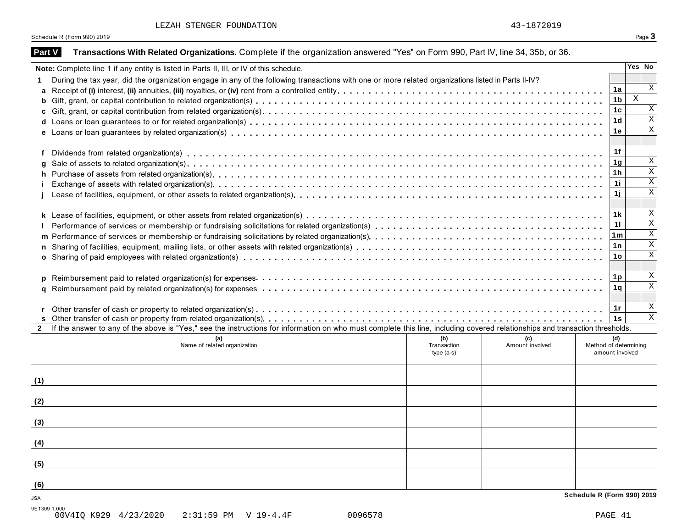| LEZAH STENGER FOUNDATION |  |  |  |
|--------------------------|--|--|--|
|--------------------------|--|--|--|

| <b>Part V</b> | Transactions With Related Organizations. Complete if the organization answered "Yes" on Form 990, Part IV, line 34, 35b, or 36.                                                                                                |                 |                           |
|---------------|--------------------------------------------------------------------------------------------------------------------------------------------------------------------------------------------------------------------------------|-----------------|---------------------------|
|               | Note: Complete line 1 if any entity is listed in Parts II, III, or IV of this schedule.                                                                                                                                        |                 | Yes No                    |
|               | During the tax year, did the organization engage in any of the following transactions with one or more related organizations listed in Parts II-IV?                                                                            |                 |                           |
|               |                                                                                                                                                                                                                                | 1a              | $\boldsymbol{\mathrm{X}}$ |
|               |                                                                                                                                                                                                                                | 1 <sub>b</sub>  | $\mathbf{x}$              |
|               |                                                                                                                                                                                                                                | 1 <sub>c</sub>  | X                         |
|               |                                                                                                                                                                                                                                | 1 <sub>d</sub>  | $\overline{\mathbf{x}}$   |
|               |                                                                                                                                                                                                                                | 1e              | $\overline{X}$            |
|               |                                                                                                                                                                                                                                |                 |                           |
|               | Dividends from related organization(s) enterpresent research resources response to contact the content of the content of the content of the content of the content of the content of the content of the content of the content | 1f              |                           |
| g             |                                                                                                                                                                                                                                | 1 <sub>g</sub>  | $\, {\rm X}$              |
|               |                                                                                                                                                                                                                                | 1 <sub>h</sub>  | $\overline{\mathbf{x}}$   |
|               |                                                                                                                                                                                                                                | 11              | $\overline{\text{X}}$     |
|               |                                                                                                                                                                                                                                | 1j              | $\overline{\mathbf{x}}$   |
|               |                                                                                                                                                                                                                                |                 |                           |
|               |                                                                                                                                                                                                                                | 1 k             | X                         |
|               |                                                                                                                                                                                                                                | 11              | $\overline{\mathbf{x}}$   |
|               |                                                                                                                                                                                                                                | 1m              | $\overline{X}$            |
|               |                                                                                                                                                                                                                                | 1n              | $\mathbf X$               |
|               |                                                                                                                                                                                                                                | 1 <sub>o</sub>  | $\overline{X}$            |
|               |                                                                                                                                                                                                                                |                 |                           |
|               |                                                                                                                                                                                                                                | 1p              | X                         |
|               |                                                                                                                                                                                                                                | 1q              | $\overline{\mathbf{x}}$   |
|               |                                                                                                                                                                                                                                |                 |                           |
|               |                                                                                                                                                                                                                                | 1r              | X                         |
|               |                                                                                                                                                                                                                                | 1s              | $\overline{\mathbf{x}}$   |
|               | If the answer to any of the above is "Yes," see the instructions for information on who must complete this line, including covered relationships and transaction thresholds.                                                   |                 |                           |
|               | (b)<br>(a)<br>(c)                                                                                                                                                                                                              | (d)             |                           |
|               | Name of related organization<br>Transaction<br>Amount involved<br>Method of determining                                                                                                                                        |                 |                           |
|               | $type(a-s)$                                                                                                                                                                                                                    | amount involved |                           |
|               |                                                                                                                                                                                                                                |                 |                           |
| (1)           |                                                                                                                                                                                                                                |                 |                           |
|               |                                                                                                                                                                                                                                |                 |                           |
| (2)           |                                                                                                                                                                                                                                |                 |                           |
|               |                                                                                                                                                                                                                                |                 |                           |
| (3)           |                                                                                                                                                                                                                                |                 |                           |
|               |                                                                                                                                                                                                                                |                 |                           |
| (4)           |                                                                                                                                                                                                                                |                 |                           |
|               |                                                                                                                                                                                                                                |                 |                           |
| (5)           |                                                                                                                                                                                                                                |                 |                           |
|               |                                                                                                                                                                                                                                |                 |                           |
| (6)           |                                                                                                                                                                                                                                |                 |                           |
|               | Schedule R (Form 990) 2019                                                                                                                                                                                                     |                 |                           |
| <b>JSA</b>    |                                                                                                                                                                                                                                |                 |                           |
| 9E1309 1.000  |                                                                                                                                                                                                                                |                 |                           |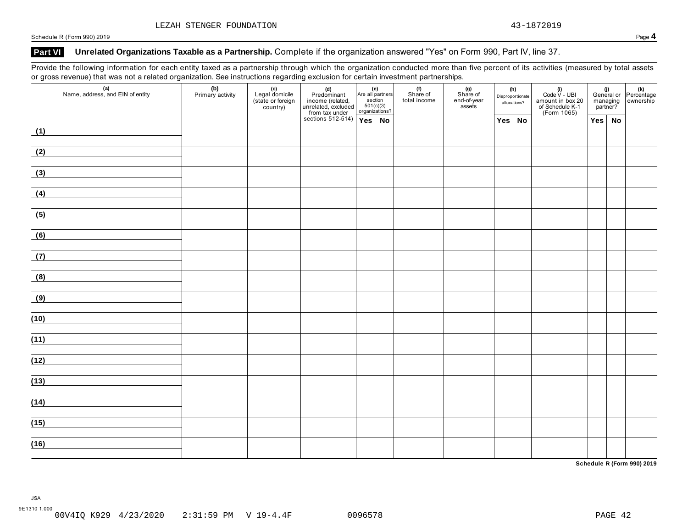## **Part VI Unrelated Organizations Taxable as a Partnership.** Complete if the organization answered "Yes" on Form 990, Part IV, line 37.

Provide the following information for each entity taxed as a partnership through which the organization conducted more than five percent of its activities (measured by total assets or gross revenue) that was not a related organization. See instructions regarding exclusion for certain investment partnerships.

| $\mathsf{v}$<br>$\sim$ $\sim$ $\sim$ $\sim$<br>(a)<br>Name, address, and EIN of entity                                       | (b)<br>Primary activity | - ت<br>(c)<br>Legal domicile<br>(state or foreign<br>country) | ັ<br>(d)<br>Predominant<br>income (related,<br>unrelated, excluded<br>from tax under | section<br>501(c)(3)<br>organizations? | $\left  \begin{array}{c} \text{(e)} \\ \text{Are all partners} \end{array} \right $ | and the con-<br>(f)<br>Share of<br>total income | $(g)$<br>Share of<br>end-of-year<br>assets | (h)<br>Disproportionate<br>allocations? | (i)<br>Code V - UBI<br>amount in box 20<br>of Schedule K-1<br>(Form 1065) | (i)<br>General or Percentage<br>managing ownership<br>partner? |               |  |
|------------------------------------------------------------------------------------------------------------------------------|-------------------------|---------------------------------------------------------------|--------------------------------------------------------------------------------------|----------------------------------------|-------------------------------------------------------------------------------------|-------------------------------------------------|--------------------------------------------|-----------------------------------------|---------------------------------------------------------------------------|----------------------------------------------------------------|---------------|--|
|                                                                                                                              |                         |                                                               | sections 512-514) $Yes \mid No$                                                      |                                        |                                                                                     |                                                 |                                            | $Yes \mid No$                           |                                                                           |                                                                | $Yes \mid No$ |  |
| (1)<br><u> 1989 - Andrea Station, amerikansk politik (</u>                                                                   |                         |                                                               |                                                                                      |                                        |                                                                                     |                                                 |                                            |                                         |                                                                           |                                                                |               |  |
| (2)                                                                                                                          |                         |                                                               |                                                                                      |                                        |                                                                                     |                                                 |                                            |                                         |                                                                           |                                                                |               |  |
| (3)                                                                                                                          |                         |                                                               |                                                                                      |                                        |                                                                                     |                                                 |                                            |                                         |                                                                           |                                                                |               |  |
| (4)                                                                                                                          |                         |                                                               |                                                                                      |                                        |                                                                                     |                                                 |                                            |                                         |                                                                           |                                                                |               |  |
| (5)<br>and the control of the control of                                                                                     |                         |                                                               |                                                                                      |                                        |                                                                                     |                                                 |                                            |                                         |                                                                           |                                                                |               |  |
| (6)<br><u> 1989 - Andrea Station, amerikansk politik (</u>                                                                   |                         |                                                               |                                                                                      |                                        |                                                                                     |                                                 |                                            |                                         |                                                                           |                                                                |               |  |
| (7)<br><u>and the state of the state of the state</u>                                                                        |                         |                                                               |                                                                                      |                                        |                                                                                     |                                                 |                                            |                                         |                                                                           |                                                                |               |  |
| (8)                                                                                                                          |                         |                                                               |                                                                                      |                                        |                                                                                     |                                                 |                                            |                                         |                                                                           |                                                                |               |  |
| (9)                                                                                                                          |                         |                                                               |                                                                                      |                                        |                                                                                     |                                                 |                                            |                                         |                                                                           |                                                                |               |  |
| (10)                                                                                                                         |                         |                                                               |                                                                                      |                                        |                                                                                     |                                                 |                                            |                                         |                                                                           |                                                                |               |  |
| (11)                                                                                                                         |                         |                                                               |                                                                                      |                                        |                                                                                     |                                                 |                                            |                                         |                                                                           |                                                                |               |  |
| (12)<br><u> 1980 - Andrea Station Barbara, politik eta provincia eta provincia eta provincia eta provincia eta provincia</u> |                         |                                                               |                                                                                      |                                        |                                                                                     |                                                 |                                            |                                         |                                                                           |                                                                |               |  |
| (13)<br><u> 1989 - Jan Barbara Barbara, manazarta da kasas da kasas da kasas da kasas da kasas da kasas da kasas da kasa</u> |                         |                                                               |                                                                                      |                                        |                                                                                     |                                                 |                                            |                                         |                                                                           |                                                                |               |  |
| (14)                                                                                                                         |                         |                                                               |                                                                                      |                                        |                                                                                     |                                                 |                                            |                                         |                                                                           |                                                                |               |  |
| (15)                                                                                                                         |                         |                                                               |                                                                                      |                                        |                                                                                     |                                                 |                                            |                                         |                                                                           |                                                                |               |  |
| (16)                                                                                                                         |                         |                                                               |                                                                                      |                                        |                                                                                     |                                                 |                                            |                                         |                                                                           |                                                                |               |  |
|                                                                                                                              |                         |                                                               |                                                                                      |                                        |                                                                                     |                                                 |                                            |                                         |                                                                           |                                                                |               |  |

**Schedule R (Form 990) 2019**

JSA